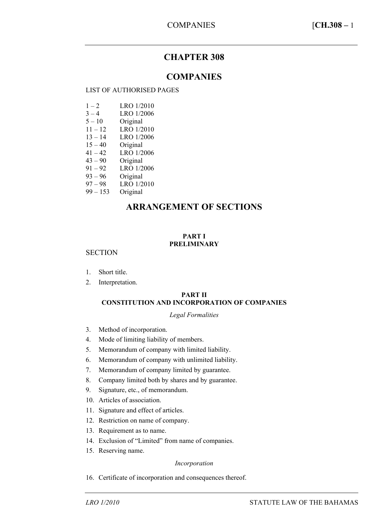# **CHAPTER 308**

# **COMPANIES**

## LIST OF AUTHORISED PAGES

- $1 2$  LRO  $1/2010$
- $3 4$  LRO 1/2006
- $5 10$  Original
- 11 12 LRO 1/2010
- 13 14 LRO 1/2006  $15 - 40$  Original
- 
- 41 42 LRO 1/2006  $43 - 90$  Original
- 91 92 LRO 1/2006
- $93 96$  Original
- 97 98 LRO 1/2010
- 99 153 Original

# **ARRANGEMENT OF SECTIONS**

## **PART I PRELIMINARY**

## **SECTION**

- 1. Short title.
- 2. Interpretation.

## **PART II CONSTITUTION AND INCORPORATION OF COMPANIES**

## *Legal Formalities*

- 3. Method of incorporation.
- 4. Mode of limiting liability of members.
- 5. Memorandum of company with limited liability.
- 6. Memorandum of company with unlimited liability.
- 7. Memorandum of company limited by guarantee.
- 8. Company limited both by shares and by guarantee.
- 9. Signature, etc., of memorandum.
- 10. Articles of association.
- 11. Signature and effect of articles.
- 12. Restriction on name of company.
- 13. Requirement as to name.
- 14. Exclusion of "Limited" from name of companies.
- 15. Reserving name.

#### *Incorporation*

16. Certificate of incorporation and consequences thereof.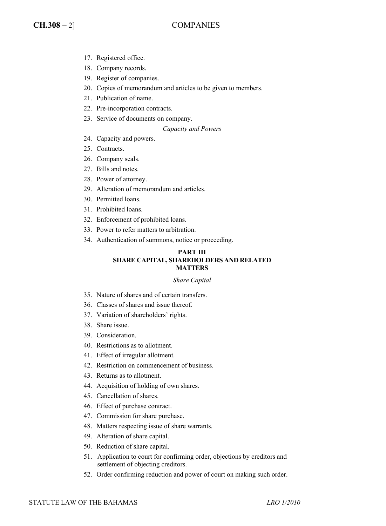- 17. Registered office.
- 18. Company records.
- 19. Register of companies.
- 20. Copies of memorandum and articles to be given to members.
- 21. Publication of name.
- 22. Pre-incorporation contracts.
- 23. Service of documents on company.

#### *Capacity and Powers*

- 24. Capacity and powers.
- 25. Contracts.
- 26. Company seals.
- 27. Bills and notes.
- 28. Power of attorney.
- 29. Alteration of memorandum and articles.
- 30. Permitted loans.
- 31. Prohibited loans.
- 32. Enforcement of prohibited loans.
- 33. Power to refer matters to arbitration.
- 34. Authentication of summons, notice or proceeding.

### **PART III SHARE CAPITAL, SHAREHOLDERS AND RELATED MATTERS**

#### *Share Capital*

- 35. Nature of shares and of certain transfers.
- 36. Classes of shares and issue thereof.
- 37. Variation of shareholders' rights.
- 38. Share issue.
- 39. Consideration.
- 40. Restrictions as to allotment.
- 41. Effect of irregular allotment.
- 42. Restriction on commencement of business.
- 43. Returns as to allotment.
- 44. Acquisition of holding of own shares.
- 45. Cancellation of shares.
- 46. Effect of purchase contract.
- 47. Commission for share purchase.
- 48. Matters respecting issue of share warrants.
- 49. Alteration of share capital.
- 50. Reduction of share capital.
- 51. Application to court for confirming order, objections by creditors and settlement of objecting creditors.
- 52. Order confirming reduction and power of court on making such order.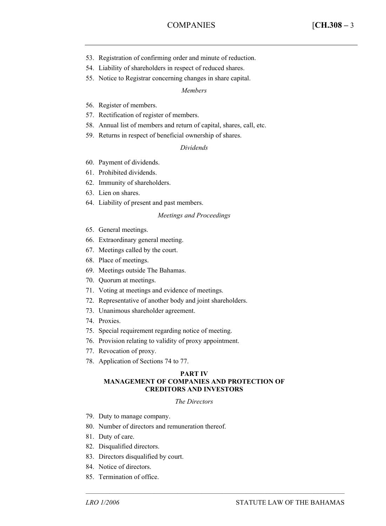- 53. Registration of confirming order and minute of reduction.
- 54. Liability of shareholders in respect of reduced shares.
- 55. Notice to Registrar concerning changes in share capital.

## *Members*

- 56. Register of members.
- 57. Rectification of register of members.
- 58. Annual list of members and return of capital, shares, call, etc.
- 59. Returns in respect of beneficial ownership of shares.

## *Dividends*

- 60. Payment of dividends.
- 61. Prohibited dividends.
- 62. Immunity of shareholders.
- 63. Lien on shares.
- 64. Liability of present and past members.

### *Meetings and Proceedings*

- 65. General meetings.
- 66. Extraordinary general meeting.
- 67. Meetings called by the court.
- 68. Place of meetings.
- 69. Meetings outside The Bahamas.
- 70. Quorum at meetings.
- 71. Voting at meetings and evidence of meetings.
- 72. Representative of another body and joint shareholders.
- 73. Unanimous shareholder agreement.
- 74. Proxies.
- 75. Special requirement regarding notice of meeting.
- 76. Provision relating to validity of proxy appointment.
- 77. Revocation of proxy.
- 78. Application of Sections 74 to 77.

### **PART IV MANAGEMENT OF COMPANIES AND PROTECTION OF CREDITORS AND INVESTORS**

## *The Directors*

––––––––––––––––––––––––––––––––––––––––––––––––––––––––––––––––––––––––––––

- 79. Duty to manage company.
- 80. Number of directors and remuneration thereof.
- 81. Duty of care.
- 82. Disqualified directors.
- 83. Directors disqualified by court.
- 84. Notice of directors.
- 85. Termination of office.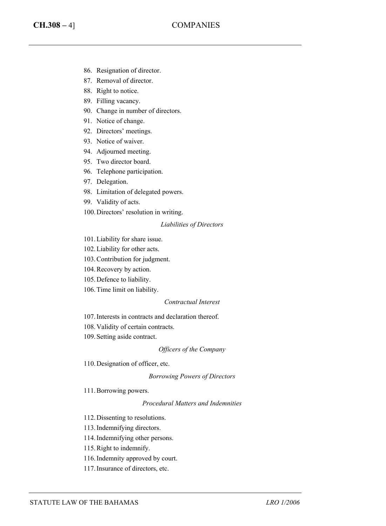- 86. Resignation of director.
- 87. Removal of director.
- 88. Right to notice.
- 89. Filling vacancy.
- 90. Change in number of directors.
- 91. Notice of change.
- 92. Directors' meetings.
- 93. Notice of waiver.
- 94. Adjourned meeting.
- 95. Two director board.
- 96. Telephone participation.
- 97. Delegation.
- 98. Limitation of delegated powers.
- 99. Validity of acts.
- 100.Directors' resolution in writing.

### *Liabilities of Directors*

- 101.Liability for share issue.
- 102.Liability for other acts.
- 103.Contribution for judgment.
- 104.Recovery by action.
- 105.Defence to liability.
- 106.Time limit on liability.

## *Contractual Interest*

- 107.Interests in contracts and declaration thereof.
- 108.Validity of certain contracts.
- 109.Setting aside contract.

#### *Officers of the Company*

110.Designation of officer, etc.

#### *Borrowing Powers of Directors*

111.Borrowing powers.

## *Procedural Matters and Indemnities*

- 112.Dissenting to resolutions.
- 113.Indemnifying directors.
- 114.Indemnifying other persons.
- 115.Right to indemnify.
- 116.Indemnity approved by court.
- 117.Insurance of directors, etc.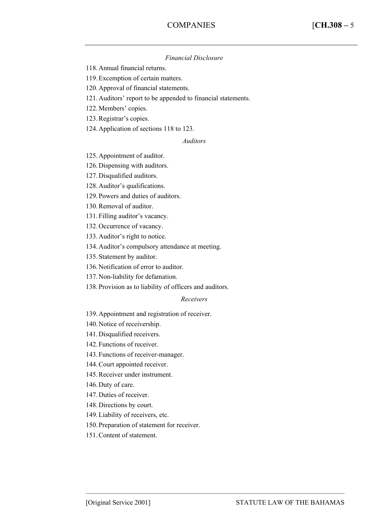#### *Financial Disclosure*

118.Annual financial returns.

119.Excemption of certain matters.

120.Approval of financial statements.

121.Auditors' report to be appended to financial statements.

122.Members' copies.

123.Registrar's copies.

124.Application of sections 118 to 123.

*Auditors*

125.Appointment of auditor.

126.Dispensing with auditors.

127.Disqualified auditors.

128.Auditor's qualifications.

129.Powers and duties of auditors.

130.Removal of auditor.

131.Filling auditor's vacancy.

132.Occurrence of vacancy.

133.Auditor's right to notice.

134.Auditor's compulsory attendance at meeting.

135.Statement by auditor.

136.Notification of error to auditor.

137.Non-liability for defamation.

138.Provision as to liability of officers and auditors.

#### *Receivers*

––––––––––––––––––––––––––––––––––––––––––––––––––––––––––––––––––––––––––––

139.Appointment and registration of receiver.

140.Notice of receivership.

141.Disqualified receivers.

142.Functions of receiver.

143.Functions of receiver-manager.

144.Court appointed receiver.

145.Receiver under instrument.

146.Duty of care.

147.Duties of receiver.

148.Directions by court.

149.Liability of receivers, etc.

150.Preparation of statement for receiver.

151.Content of statement.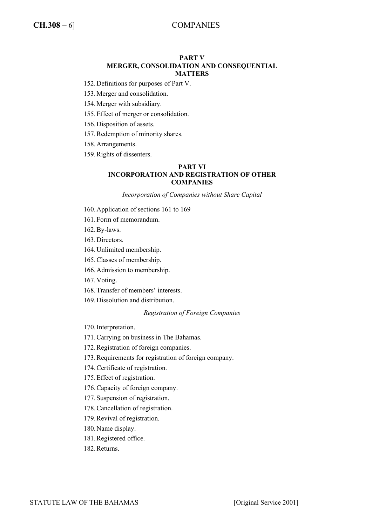### **PART V MERGER, CONSOLIDATION AND CONSEQUENTIAL MATTERS**

- 152.Definitions for purposes of Part V.
- 153.Merger and consolidation.
- 154.Merger with subsidiary.
- 155.Effect of merger or consolidation.
- 156.Disposition of assets.
- 157.Redemption of minority shares.
- 158.Arrangements.
- 159.Rights of dissenters.

## **PART VI INCORPORATION AND REGISTRATION OF OTHER COMPANIES**

*Incorporation of Companies without Share Capital*

- 160.Application of sections 161 to 169
- 161.Form of memorandum.
- 162.By-laws.
- 163.Directors.
- 164.Unlimited membership.
- 165.Classes of membership.
- 166.Admission to membership.
- 167.Voting.
- 168.Transfer of members' interests.
- 169.Dissolution and distribution.

#### *Registration of Foreign Companies*

- 170.Interpretation.
- 171.Carrying on business in The Bahamas.
- 172.Registration of foreign companies.
- 173.Requirements for registration of foreign company.
- 174.Certificate of registration.
- 175.Effect of registration.
- 176.Capacity of foreign company.
- 177.Suspension of registration.
- 178.Cancellation of registration.
- 179.Revival of registration.
- 180.Name display.
- 181.Registered office.
- 182.Returns.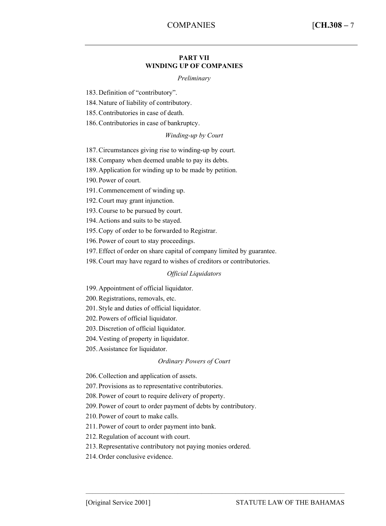### **PART VII WINDING UP OF COMPANIES**

#### *Preliminary*

- 183.Definition of "contributory".
- 184.Nature of liability of contributory.
- 185.Contributories in case of death.
- 186.Contributories in case of bankruptcy.

#### *Winding-up by Court*

- 187.Circumstances giving rise to winding-up by court.
- 188.Company when deemed unable to pay its debts.
- 189.Application for winding up to be made by petition.
- 190.Power of court.
- 191.Commencement of winding up.
- 192.Court may grant injunction.
- 193.Course to be pursued by court.
- 194.Actions and suits to be stayed.
- 195.Copy of order to be forwarded to Registrar.
- 196.Power of court to stay proceedings.
- 197.Effect of order on share capital of company limited by guarantee.
- 198.Court may have regard to wishes of creditors or contributories.

### *Official Liquidators*

- 199.Appointment of official liquidator.
- 200.Registrations, removals, etc.
- 201.Style and duties of official liquidator.
- 202.Powers of official liquidator.
- 203.Discretion of official liquidator.
- 204.Vesting of property in liquidator.
- 205.Assistance for liquidator.

## *Ordinary Powers of Court*

––––––––––––––––––––––––––––––––––––––––––––––––––––––––––––––––––––––––––––

- 206.Collection and application of assets.
- 207.Provisions as to representative contributories.
- 208.Power of court to require delivery of property.
- 209.Power of court to order payment of debts by contributory.
- 210.Power of court to make calls.
- 211.Power of court to order payment into bank.
- 212.Regulation of account with court.
- 213.Representative contributory not paying monies ordered.
- 214.Order conclusive evidence.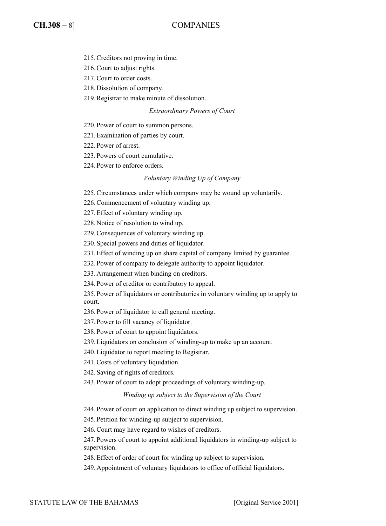- 215.Creditors not proving in time.
- 216.Court to adjust rights.
- 217.Court to order costs.
- 218.Dissolution of company.
- 219.Registrar to make minute of dissolution.

#### *Extraordinary Powers of Court*

- 220.Power of court to summon persons.
- 221.Examination of parties by court.
- 222.Power of arrest.
- 223.Powers of court cumulative.
- 224.Power to enforce orders.

#### *Voluntary Winding Up of Company*

225.Circumstances under which company may be wound up voluntarily.

- 226.Commencement of voluntary winding up.
- 227.Effect of voluntary winding up.

228.Notice of resolution to wind up.

- 229.Consequences of voluntary winding up.
- 230.Special powers and duties of liquidator.
- 231.Effect of winding up on share capital of company limited by guarantee.
- 232.Power of company to delegate authority to appoint liquidator.
- 233.Arrangement when binding on creditors.
- 234.Power of creditor or contributory to appeal.
- 235.Power of liquidators or contributories in voluntary winding up to apply to court.
- 236.Power of liquidator to call general meeting.
- 237.Power to fill vacancy of liquidator.
- 238.Power of court to appoint liquidators.
- 239.Liquidators on conclusion of winding-up to make up an account.
- 240.Liquidator to report meeting to Registrar.
- 241.Costs of voluntary liquidation.
- 242.Saving of rights of creditors.
- 243.Power of court to adopt proceedings of voluntary winding-up.

### *Winding up subject to the Supervision of the Court*

- 244.Power of court on application to direct winding up subject to supervision.
- 245.Petition for winding-up subject to supervision.
- 246.Court may have regard to wishes of creditors.

247.Powers of court to appoint additional liquidators in winding-up subject to supervision.

248.Effect of order of court for winding up subject to supervision.

249.Appointment of voluntary liquidators to office of official liquidators.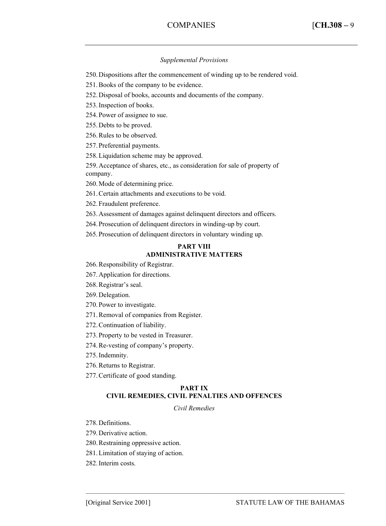## *Supplemental Provisions*

250.Dispositions after the commencement of winding up to be rendered void.

251.Books of the company to be evidence.

252.Disposal of books, accounts and documents of the company.

253.Inspection of books.

254.Power of assignee to sue.

255.Debts to be proved.

256.Rules to be observed.

257.Preferential payments.

258.Liquidation scheme may be approved.

259.Acceptance of shares, etc., as consideration for sale of property of company.

260.Mode of determining price.

261.Certain attachments and executions to be void.

262.Fraudulent preference.

263.Assessment of damages against delinquent directors and officers.

264.Prosecution of delinquent directors in winding-up by court.

265.Prosecution of delinquent directors in voluntary winding up.

### **PART VIII ADMINISTRATIVE MATTERS**

266.Responsibility of Registrar.

267.Application for directions.

268.Registrar's seal.

269.Delegation.

270.Power to investigate.

271.Removal of companies from Register.

272.Continuation of liability.

273.Property to be vested in Treasurer.

274.Re-vesting of company's property.

275.Indemnity.

276.Returns to Registrar.

277.Certificate of good standing.

#### **PART IX CIVIL REMEDIES, CIVIL PENALTIES AND OFFENCES**

*Civil Remedies*

––––––––––––––––––––––––––––––––––––––––––––––––––––––––––––––––––––––––––––

278.Definitions.

279.Derivative action.

280.Restraining oppressive action.

281.Limitation of staying of action.

282.Interim costs.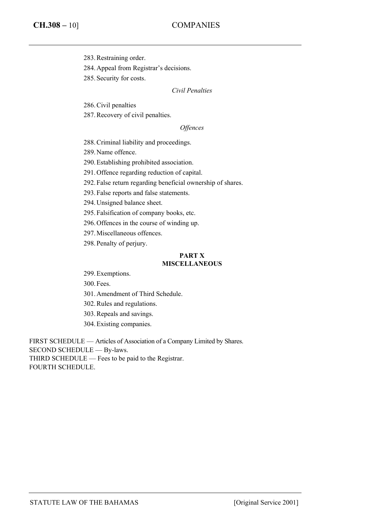- 283.Restraining order.
- 284.Appeal from Registrar's decisions.
- 285.Security for costs.

## *Civil Penalties*

- 286.Civil penalties
- 287.Recovery of civil penalties.

### *Offences*

- 288.Criminal liability and proceedings.
- 289.Name offence.
- 290.Establishing prohibited association.
- 291.Offence regarding reduction of capital.
- 292.False return regarding beneficial ownership of shares.
- 293.False reports and false statements.
- 294.Unsigned balance sheet.
- 295.Falsification of company books, etc.
- 296.Offences in the course of winding up.
- 297.Miscellaneous offences.
- 298.Penalty of perjury.

#### **PART X MISCELLANEOUS**

- 299.Exemptions.
- 300.Fees.
- 301.Amendment of Third Schedule.
- 302.Rules and regulations.
- 303.Repeals and savings.
- 304.Existing companies.

FIRST SCHEDULE — Articles of Association of a Company Limited by Shares. SECOND SCHEDULE — By-laws. THIRD SCHEDULE — Fees to be paid to the Registrar. FOURTH SCHEDULE.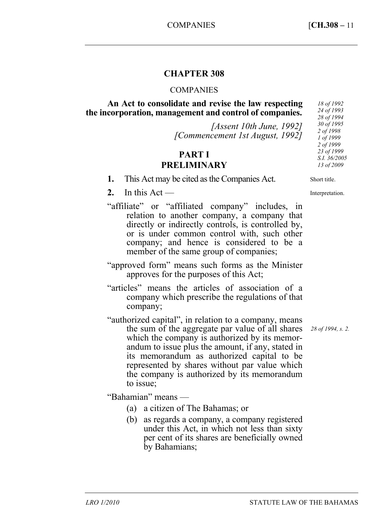# **CHAPTER 308**

## COMPANIES

# **An Act to consolidate and revise the law respecting the incorporation, management and control of companies.**

*[Assent 10th June, 1992] [Commencement 1st August, 1992]* 

# **PART I PRELIMINARY**

Short title. Interpretation.

**1.** This Act may be cited as the Companies Act.

**2.** In this Act —

- "affiliate" or "affiliated company" includes, in relation to another company, a company that directly or indirectly controls, is controlled by, or is under common control with, such other company; and hence is considered to be a member of the same group of companies;
- "approved form" means such forms as the Minister approves for the purposes of this Act;
- "articles" means the articles of association of a company which prescribe the regulations of that company;
- "authorized capital", in relation to a company, means the sum of the aggregate par value of all shares which the company is authorized by its memorandum to issue plus the amount, if any, stated in its memorandum as authorized capital to be represented by shares without par value which the company is authorized by its memorandum to issue;

"Bahamian" means —

- (a) a citizen of The Bahamas; or
- (b) as regards a company, a company registered under this Act, in which not less than sixty per cent of its shares are beneficially owned by Bahamians;

*28 of 1994, s. 2.*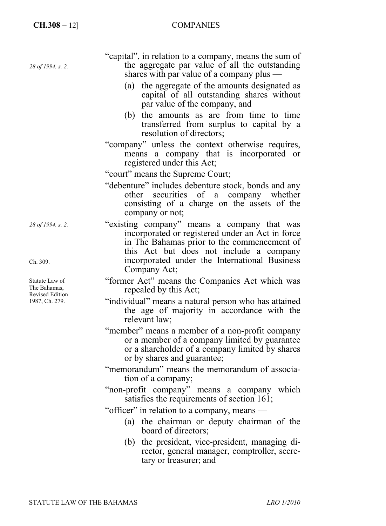| 28 of 1994, s. 2.                                                   | "capital", in relation to a company, means the sum of<br>the aggregate par value of all the outstanding<br>shares with par value of a company plus -<br>the aggregate of the amounts designated as<br>(a)<br>capital of all outstanding shares without<br>par value of the company, and<br>the amounts as are from time to time<br>(b)<br>transferred from surplus to capital by a<br>resolution of directors;                                                                                                                                                                                                                                                                                                                    |
|---------------------------------------------------------------------|-----------------------------------------------------------------------------------------------------------------------------------------------------------------------------------------------------------------------------------------------------------------------------------------------------------------------------------------------------------------------------------------------------------------------------------------------------------------------------------------------------------------------------------------------------------------------------------------------------------------------------------------------------------------------------------------------------------------------------------|
|                                                                     | "company" unless the context otherwise requires,<br>means a company that is incorporated or<br>registered under this Act;<br>"court" means the Supreme Court;                                                                                                                                                                                                                                                                                                                                                                                                                                                                                                                                                                     |
|                                                                     | "debenture" includes debenture stock, bonds and any<br>other securities of a company whether<br>consisting of a charge on the assets of the<br>company or not;                                                                                                                                                                                                                                                                                                                                                                                                                                                                                                                                                                    |
| 28 of 1994, s. 2.<br>Ch. 309.                                       | "existing company" means a company that was<br>incorporated or registered under an Act in force<br>in The Bahamas prior to the commencement of<br>this Act but does not include a company<br>incorporated under the International Business<br>Company Act;                                                                                                                                                                                                                                                                                                                                                                                                                                                                        |
| Statute Law of<br>The Bahamas,<br>Revised Edition<br>1987, Ch. 279. | "former Act" means the Companies Act which was<br>repealed by this Act;<br>"individual" means a natural person who has attained<br>the age of majority in accordance with the<br>relevant law;<br>"member" means a member of a non-profit company<br>or a member of a company limited by guarantee<br>or a shareholder of a company limited by shares<br>or by shares and guarantee;<br>"memorandum" means the memorandum of associa-<br>tion of a company;<br>"non-profit company" means a company which<br>satisfies the requirements of section 161;<br>"officer" in relation to a company, means -<br>the chairman or deputy chairman of the<br>(a)<br>board of directors;<br>(b) the president, vice-president, managing di- |
|                                                                     | rector, general manager, comptroller, secre-<br>tary or treasurer; and                                                                                                                                                                                                                                                                                                                                                                                                                                                                                                                                                                                                                                                            |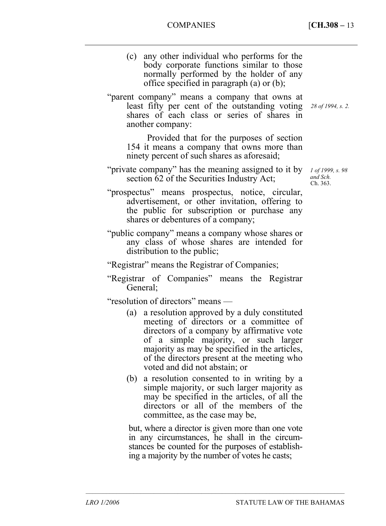- (c) any other individual who performs for the body corporate functions similar to those normally performed by the holder of any office specified in paragraph (a) or (b);
- "parent company" means a company that owns at least fifty per cent of the outstanding voting shares of each class or series of shares in another company: *28 of 1994, s. 2.*

Provided that for the purposes of section 154 it means a company that owns more than ninety percent of such shares as aforesaid;

- "private company" has the meaning assigned to it by *1 of 1999, s. 98*  section 62 of the Securities Industry Act;
- "prospectus" means prospectus, notice, circular, advertisement, or other invitation, offering to the public for subscription or purchase any shares or debentures of a company;
- "public company" means a company whose shares or any class of whose shares are intended for distribution to the public;
- "Registrar" means the Registrar of Companies;
- "Registrar of Companies" means the Registrar General;

"resolution of directors" means —

- (a) a resolution approved by a duly constituted meeting of directors or a committee of directors of a company by affirmative vote of a simple majority, or such larger majority as may be specified in the articles, of the directors present at the meeting who voted and did not abstain; or
- (b) a resolution consented to in writing by a simple majority, or such larger majority as may be specified in the articles, of all the directors or all of the members of the committee, as the case may be,

but, where a director is given more than one vote in any circumstances, he shall in the circumstances be counted for the purposes of establishing a majority by the number of votes he casts;

––––––––––––––––––––––––––––––––––––––––––––––––––––––––––––––––––––––––––––

*and Sch.*  Ch. 363.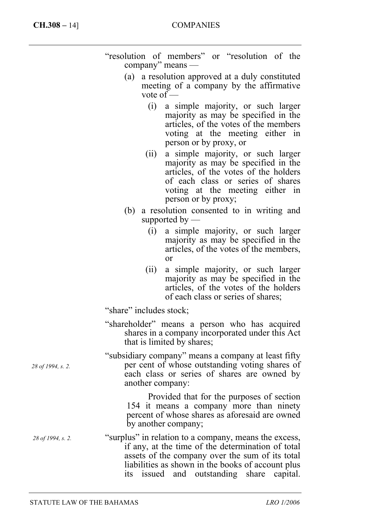|  |                    | "resolution of members" or "resolution of the |  |
|--|--------------------|-----------------------------------------------|--|
|  | company" means $-$ |                                               |  |

- (a) a resolution approved at a duly constituted meeting of a company by the affirmative vote of —
	- (i) a simple majority, or such larger majority as may be specified in the articles, of the votes of the members voting at the meeting either in person or by proxy, or
	- (ii) a simple majority, or such larger majority as may be specified in the articles, of the votes of the holders of each class or series of shares voting at the meeting either in person or by proxy;
- (b) a resolution consented to in writing and supported by  $-$ 
	- (i) a simple majority, or such larger majority as may be specified in the articles, of the votes of the members, or
	- (ii) a simple majority, or such larger majority as may be specified in the articles, of the votes of the holders of each class or series of shares;

"share" includes stock;

"shareholder" means a person who has acquired shares in a company incorporated under this Act that is limited by shares;

"subsidiary company" means a company at least fifty per cent of whose outstanding voting shares of each class or series of shares are owned by another company:

> Provided that for the purposes of section 154 it means a company more than ninety percent of whose shares as aforesaid are owned by another company;

"surplus" in relation to a company, means the excess, if any, at the time of the determination of total assets of the company over the sum of its total liabilities as shown in the books of account plus its issued and outstanding share capital. *28 of 1994, s. 2.* 

*28 of 1994, s. 2.*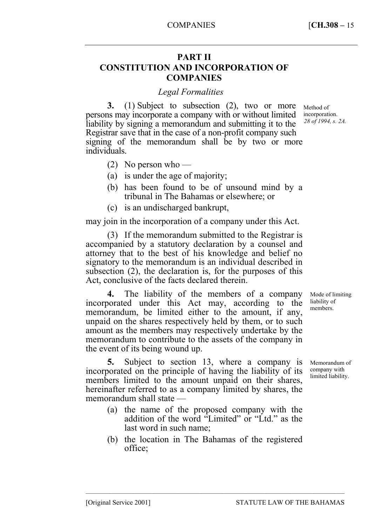# **PART II CONSTITUTION AND INCORPORATION OF COMPANIES**

# *Legal Formalities*

**3.** (1) Subject to subsection (2), two or more persons may incorporate a company with or without limited liability by signing a memorandum and submitting it to the Registrar save that in the case of a non-profit company such signing of the memorandum shall be by two or more individuals.

Method of incorporation. *28 of 1994, s. 2A.* 

- $(2)$  No person who —
- (a) is under the age of majority;
- (b) has been found to be of unsound mind by a tribunal in The Bahamas or elsewhere; or
- (c) is an undischarged bankrupt,

may join in the incorporation of a company under this Act.

(3) If the memorandum submitted to the Registrar is accompanied by a statutory declaration by a counsel and attorney that to the best of his knowledge and belief no signatory to the memorandum is an individual described in subsection (2), the declaration is, for the purposes of this Act, conclusive of the facts declared therein.

**4.** The liability of the members of a company incorporated under this Act may, according to the memorandum, be limited either to the amount, if any, unpaid on the shares respectively held by them, or to such amount as the members may respectively undertake by the memorandum to contribute to the assets of the company in the event of its being wound up.

**5.** Subject to section 13, where a company is incorporated on the principle of having the liability of its members limited to the amount unpaid on their shares, hereinafter referred to as a company limited by shares, the memorandum shall state —

- (a) the name of the proposed company with the addition of the word "Limited" or "Ltd." as the last word in such name;
- (b) the location in The Bahamas of the registered office;

––––––––––––––––––––––––––––––––––––––––––––––––––––––––––––––––––––––––––––

Mode of limiting liability of members.

Memorandum of company with limited liability.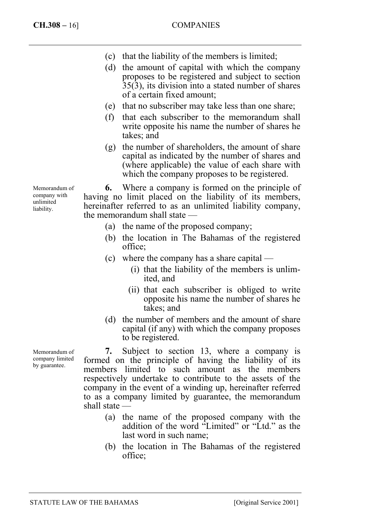- (c) that the liability of the members is limited;
- (d) the amount of capital with which the company proposes to be registered and subject to section 35(3), its division into a stated number of shares of a certain fixed amount;
- (e) that no subscriber may take less than one share;
- (f) that each subscriber to the memorandum shall write opposite his name the number of shares he takes; and
- (g) the number of shareholders, the amount of share capital as indicated by the number of shares and (where applicable) the value of each share with which the company proposes to be registered.

**6.** Where a company is formed on the principle of having no limit placed on the liability of its members, hereinafter referred to as an unlimited liability company, the memorandum shall state —

- (a) the name of the proposed company;
- (b) the location in The Bahamas of the registered office;
- (c) where the company has a share capital
	- (i) that the liability of the members is unlimited, and
	- (ii) that each subscriber is obliged to write opposite his name the number of shares he takes; and
- (d) the number of members and the amount of share capital (if any) with which the company proposes to be registered.

**7.** Subject to section 13, where a company is formed on the principle of having the liability of its members limited to such amount as the members respectively undertake to contribute to the assets of the company in the event of a winding up, hereinafter referred to as a company limited by guarantee, the memorandum shall state —

- (a) the name of the proposed company with the addition of the word "Limited" or "Ltd." as the last word in such name;
- (b) the location in The Bahamas of the registered office;

Memorandum of company with unlimited liability.

Memorandum of company limited by guarantee.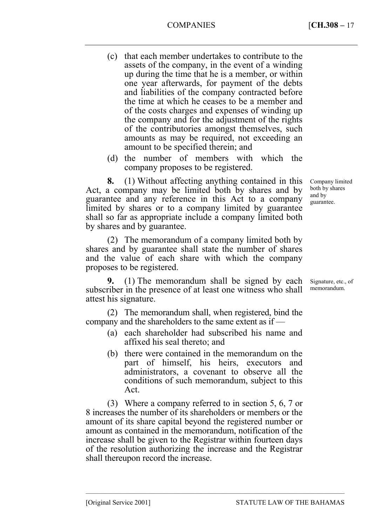- (c) that each member undertakes to contribute to the assets of the company, in the event of a winding up during the time that he is a member, or within one year afterwards, for payment of the debts and liabilities of the company contracted before the time at which he ceases to be a member and of the costs charges and expenses of winding up the company and for the adjustment of the rights of the contributories amongst themselves, such amounts as may be required, not exceeding an amount to be specified therein; and
- (d) the number of members with which the company proposes to be registered.

**8.** (1) Without affecting anything contained in this Act, a company may be limited both by shares and by guarantee and any reference in this Act to a company limited by shares or to a company limited by guarantee shall so far as appropriate include a company limited both by shares and by guarantee.

(2) The memorandum of a company limited both by shares and by guarantee shall state the number of shares and the value of each share with which the company proposes to be registered.

**9.** (1) The memorandum shall be signed by each subscriber in the presence of at least one witness who shall attest his signature.

(2) The memorandum shall, when registered, bind the company and the shareholders to the same extent as if —

- (a) each shareholder had subscribed his name and affixed his seal thereto; and
- (b) there were contained in the memorandum on the part of himself, his heirs, executors and administrators, a covenant to observe all the conditions of such memorandum, subject to this Act.

(3) Where a company referred to in section 5, 6, 7 or 8 increases the number of its shareholders or members or the amount of its share capital beyond the registered number or amount as contained in the memorandum, notification of the increase shall be given to the Registrar within fourteen days of the resolution authorizing the increase and the Registrar shall thereupon record the increase.

––––––––––––––––––––––––––––––––––––––––––––––––––––––––––––––––––––––––––––

Company limited both by shares and by guarantee.

Signature, etc., of memorandum.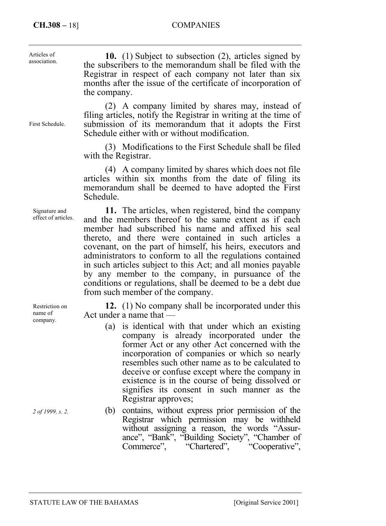## **CH.308 –** 18] COMPANIES

| Articles of<br>association.           | <b>10.</b> (1) Subject to subsection (2), articles signed by<br>the subscribers to the memorandum shall be filed with the<br>Registrar in respect of each company not later than six<br>months after the issue of the certificate of incorporation of<br>the company.                                                                                                                                                                                                                                                                                                           |
|---------------------------------------|---------------------------------------------------------------------------------------------------------------------------------------------------------------------------------------------------------------------------------------------------------------------------------------------------------------------------------------------------------------------------------------------------------------------------------------------------------------------------------------------------------------------------------------------------------------------------------|
| First Schedule.                       | (2) A company limited by shares may, instead of<br>filing articles, notify the Registrar in writing at the time of<br>submission of its memorandum that it adopts the First<br>Schedule either with or without modification.                                                                                                                                                                                                                                                                                                                                                    |
|                                       | (3) Modifications to the First Schedule shall be filed<br>with the Registrar.                                                                                                                                                                                                                                                                                                                                                                                                                                                                                                   |
|                                       | (4) A company limited by shares which does not file<br>articles within six months from the date of filing its<br>memorandum shall be deemed to have adopted the First<br>Schedule.                                                                                                                                                                                                                                                                                                                                                                                              |
| Signature and<br>effect of articles.  | 11. The articles, when registered, bind the company<br>and the members thereof to the same extent as if each<br>member had subscribed his name and affixed his seal<br>thereto, and there were contained in such articles a<br>covenant, on the part of himself, his heirs, executors and<br>administrators to conform to all the regulations contained<br>in such articles subject to this Act; and all monies payable<br>by any member to the company, in pursuance of the<br>conditions or regulations, shall be deemed to be a debt due<br>from such member of the company. |
| Restriction on<br>name of<br>company. | 12. (1) No company shall be incorporated under this<br>Act under a name that $-$<br>is identical with that under which an existing<br>(a)<br>company is already incorporated under the<br>former Act or any other Act concerned with the<br>incorporation of companies or which so nearly<br>resembles such other name as to be calculated to<br>deceive or confuse except where the company in<br>existence is in the course of being dissolved or                                                                                                                             |

Registrar approves;

*2 of 1999, s. 2.* 

(b) contains, without express prior permission of the Registrar which permission may be withheld without assigning a reason, the words "Assurance", "Bank", "Building Society", "Chamber of Commerce", "Chartered", "Cooperative",

signifies its consent in such manner as the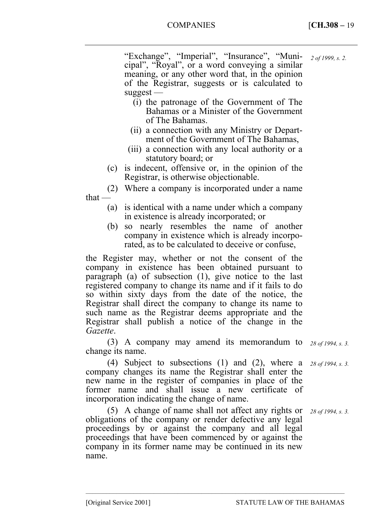*2 of 1999, s. 2.* 

"Exchange", "Imperial", "Insurance", "Municipal", "Royal", or a word conveying a similar meaning, or any other word that, in the opinion of the Registrar, suggests or is calculated to suggest —

- (i) the patronage of the Government of The Bahamas or a Minister of the Government of The Bahamas.
- (ii) a connection with any Ministry or Department of the Government of The Bahamas,
- (iii) a connection with any local authority or a statutory board; or
- (c) is indecent, offensive or, in the opinion of the Registrar, is otherwise objectionable.

(2) Where a company is incorporated under a name that —

- (a) is identical with a name under which a company in existence is already incorporated; or
- (b) so nearly resembles the name of another company in existence which is already incorporated, as to be calculated to deceive or confuse,

the Register may, whether or not the consent of the company in existence has been obtained pursuant to paragraph (a) of subsection (1), give notice to the last registered company to change its name and if it fails to do so within sixty days from the date of the notice, the Registrar shall direct the company to change its name to such name as the Registrar deems appropriate and the Registrar shall publish a notice of the change in the *Gazette*.

(3) A company may amend its memorandum to *28 of 1994, s. 3.*  change its name.

(4) Subject to subsections (1) and (2), where a company changes its name the Registrar shall enter the new name in the register of companies in place of the former name and shall issue a new certificate of incorporation indicating the change of name.

(5) A change of name shall not affect any rights or obligations of the company or render defective any legal proceedings by or against the company and all legal proceedings that have been commenced by or against the company in its former name may be continued in its new name.

––––––––––––––––––––––––––––––––––––––––––––––––––––––––––––––––––––––––––––

*28 of 1994, s. 3.* 

*28 of 1994, s. 3.*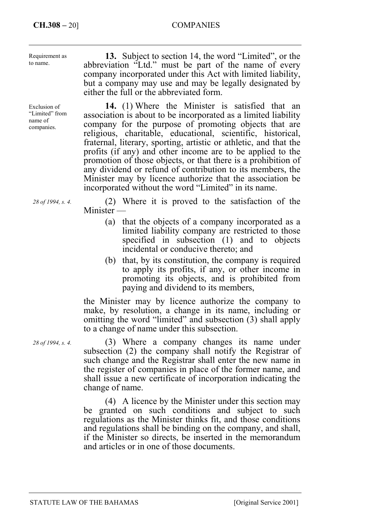# **CH.308 –** 20] COMPANIES

**13.** Subject to section 14, the word "Limited", or the abbreviation "Ltd." must be part of the name of every company incorporated under this Act with limited liability, but a company may use and may be legally designated by either the full or the abbreviated form. **14.** (1) Where the Minister is satisfied that an association is about to be incorporated as a limited liability company for the purpose of promoting objects that are religious, charitable, educational, scientific, historical, fraternal, literary, sporting, artistic or athletic, and that the profits (if any) and other income are to be applied to the promotion of those objects, or that there is a prohibition of any dividend or refund of contribution to its members, the Minister may by licence authorize that the association be incorporated without the word "Limited" in its name. (2) Where it is proved to the satisfaction of the Minister — (a) that the objects of a company incorporated as a Requirement as to name. Exclusion of "Limited" from name of companies. *28 of 1994, s. 4.* 

- limited liability company are restricted to those specified in subsection (1) and to objects incidental or conducive thereto; and
- (b) that, by its constitution, the company is required to apply its profits, if any, or other income in promoting its objects, and is prohibited from paying and dividend to its members,

the Minister may by licence authorize the company to make, by resolution, a change in its name, including or omitting the word "limited" and subsection (3) shall apply to a change of name under this subsection.

(3) Where a company changes its name under subsection (2) the company shall notify the Registrar of such change and the Registrar shall enter the new name in the register of companies in place of the former name, and shall issue a new certificate of incorporation indicating the change of name.

(4) A licence by the Minister under this section may be granted on such conditions and subject to such regulations as the Minister thinks fit, and those conditions and regulations shall be binding on the company, and shall, if the Minister so directs, be inserted in the memorandum and articles or in one of those documents.

*28 of 1994, s. 4.*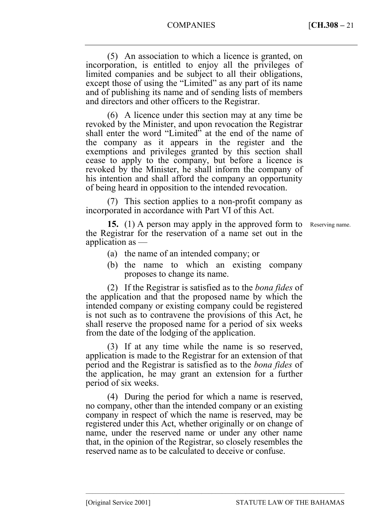## COMPANIES [**CH.308 –** 21

(5) An association to which a licence is granted, on incorporation, is entitled to enjoy all the privileges of limited companies and be subject to all their obligations, except those of using the "Limited" as any part of its name and of publishing its name and of sending lists of members and directors and other officers to the Registrar.

(6) A licence under this section may at any time be revoked by the Minister, and upon revocation the Registrar shall enter the word "Limited" at the end of the name of the company as it appears in the register and the exemptions and privileges granted by this section shall cease to apply to the company, but before a licence is revoked by the Minister, he shall inform the company of his intention and shall afford the company an opportunity of being heard in opposition to the intended revocation.

(7) This section applies to a non-profit company as incorporated in accordance with Part VI of this Act.

**15.** (1) A person may apply in the approved form to Reserving name. the Registrar for the reservation of a name set out in the application as —

- (a) the name of an intended company; or
- (b) the name to which an existing company proposes to change its name.

(2) If the Registrar is satisfied as to the *bona fides* of the application and that the proposed name by which the intended company or existing company could be registered is not such as to contravene the provisions of this Act, he shall reserve the proposed name for a period of six weeks from the date of the lodging of the application.

(3) If at any time while the name is so reserved, application is made to the Registrar for an extension of that period and the Registrar is satisfied as to the *bona fides* of the application, he may grant an extension for a further period of six weeks.

(4) During the period for which a name is reserved, no company, other than the intended company or an existing company in respect of which the name is reserved, may be registered under this Act, whether originally or on change of name, under the reserved name or under any other name that, in the opinion of the Registrar, so closely resembles the reserved name as to be calculated to deceive or confuse.

––––––––––––––––––––––––––––––––––––––––––––––––––––––––––––––––––––––––––––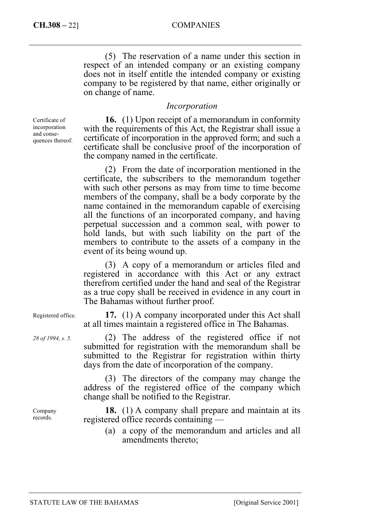## **CH.308 –** 22] COMPANIES

(5) The reservation of a name under this section in respect of an intended company or an existing company does not in itself entitle the intended company or existing company to be registered by that name, either originally or on change of name.

## *Incorporation*

**16.** (1) Upon receipt of a memorandum in conformity with the requirements of this Act, the Registrar shall issue a certificate of incorporation in the approved form; and such a certificate shall be conclusive proof of the incorporation of the company named in the certificate.

(2) From the date of incorporation mentioned in the certificate, the subscribers to the memorandum together with such other persons as may from time to time become members of the company, shall be a body corporate by the name contained in the memorandum capable of exercising all the functions of an incorporated company, and having perpetual succession and a common seal, with power to hold lands, but with such liability on the part of the members to contribute to the assets of a company in the event of its being wound up.

(3) A copy of a memorandum or articles filed and registered in accordance with this Act or any extract therefrom certified under the hand and seal of the Registrar as a true copy shall be received in evidence in any court in The Bahamas without further proof.

**17.** (1) A company incorporated under this Act shall at all times maintain a registered office in The Bahamas.

(2) The address of the registered office if not submitted for registration with the memorandum shall be submitted to the Registrar for registration within thirty days from the date of incorporation of the company.

(3) The directors of the company may change the address of the registered office of the company which change shall be notified to the Registrar.

**18.** (1) A company shall prepare and maintain at its registered office records containing —

(a) a copy of the memorandum and articles and all amendments thereto;

Certificate of incorporation and consequences thereof.

Registered office.

*28 of 1994, s. 5.* 

Company records.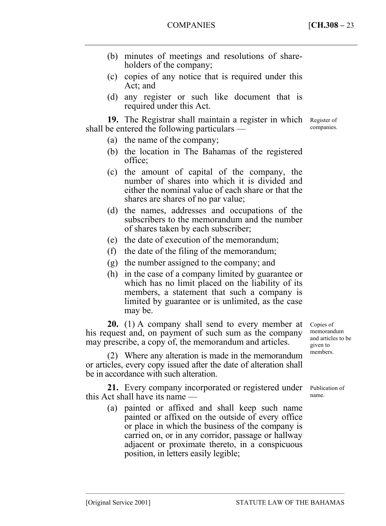- (b) minutes of meetings and resolutions of shareholders of the company;
- (c) copies of any notice that is required under this Act; and
- (d) any register or such like document that is required under this Act.

19. The Registrar shall maintain a register in which Register of shall be entered the following particulars companies.

- (a) the name of the company;
- (b) the location in The Bahamas of the registered office;
- (c) the amount of capital of the company, the number of shares into which it is divided and either the nominal value of each share or that the shares are shares of no par value;
- (d) the names, addresses and occupations of the subscribers to the memorandum and the number of shares taken by each subscriber;
- (e) the date of execution of the memorandum;
- (f) the date of the filing of the memorandum;
- (g) the number assigned to the company; and
- (h) in the case of a company limited by guarantee or which has no limit placed on the liability of its members, a statement that such a company is limited by guarantee or is unlimited, as the case may be.

**20.** (1) A company shall send to every member at his request and, on payment of such sum as the company may prescribe, a copy of, the memorandum and articles.

(2) Where any alteration is made in the memorandum or articles, every copy issued after the date of alteration shall be in accordance with such alteration.

21. Every company incorporated or registered under Publication of this Act shall have its name —

(a) painted or affixed and shall keep such name painted or affixed on the outside of every office or place in which the business of the company is carried on, or in any corridor, passage or hallway adjacent or proximate thereto, in a conspicuous position, in letters easily legible;

––––––––––––––––––––––––––––––––––––––––––––––––––––––––––––––––––––––––––––

Copies of memorandum and articles to be given to members.

name.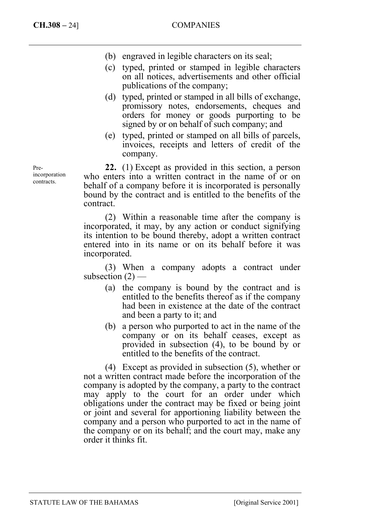- (b) engraved in legible characters on its seal;
- (c) typed, printed or stamped in legible characters on all notices, advertisements and other official publications of the company;
- (d) typed, printed or stamped in all bills of exchange, promissory notes, endorsements, cheques and orders for money or goods purporting to be signed by or on behalf of such company; and
- (e) typed, printed or stamped on all bills of parcels, invoices, receipts and letters of credit of the company.

**22.** (1) Except as provided in this section, a person who enters into a written contract in the name of or on behalf of a company before it is incorporated is personally bound by the contract and is entitled to the benefits of the contract.

(2) Within a reasonable time after the company is incorporated, it may, by any action or conduct signifying its intention to be bound thereby, adopt a written contract entered into in its name or on its behalf before it was incorporated.

(3) When a company adopts a contract under subsection  $(2)$  —

- (a) the company is bound by the contract and is entitled to the benefits thereof as if the company had been in existence at the date of the contract and been a party to it; and
- (b) a person who purported to act in the name of the company or on its behalf ceases, except as provided in subsection (4), to be bound by or entitled to the benefits of the contract.

(4) Except as provided in subsection (5), whether or not a written contract made before the incorporation of the company is adopted by the company, a party to the contract may apply to the court for an order under which obligations under the contract may be fixed or being joint or joint and several for apportioning liability between the company and a person who purported to act in the name of the company or on its behalf; and the court may, make any order it thinks fit.

Preincorporation contracts.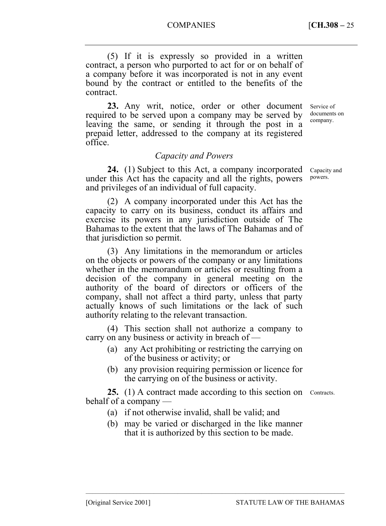(5) If it is expressly so provided in a written contract, a person who purported to act for or on behalf of a company before it was incorporated is not in any event bound by the contract or entitled to the benefits of the contract.

**23.** Any writ, notice, order or other document required to be served upon a company may be served by leaving the same, or sending it through the post in a prepaid letter, addressed to the company at its registered office.

# *Capacity and Powers*

**24.** (1) Subject to this Act, a company incorporated under this Act has the capacity and all the rights, powers and privileges of an individual of full capacity.

(2) A company incorporated under this Act has the capacity to carry on its business, conduct its affairs and exercise its powers in any jurisdiction outside of The Bahamas to the extent that the laws of The Bahamas and of that jurisdiction so permit.

(3) Any limitations in the memorandum or articles on the objects or powers of the company or any limitations whether in the memorandum or articles or resulting from a decision of the company in general meeting on the authority of the board of directors or officers of the company, shall not affect a third party, unless that party actually knows of such limitations or the lack of such authority relating to the relevant transaction.

(4) This section shall not authorize a company to carry on any business or activity in breach of —

- (a) any Act prohibiting or restricting the carrying on of the business or activity; or
- (b) any provision requiring permission or licence for the carrying on of the business or activity.

25. (1) A contract made according to this section on Contracts. behalf of a company —

- (a) if not otherwise invalid, shall be valid; and
- (b) may be varied or discharged in the like manner that it is authorized by this section to be made.

––––––––––––––––––––––––––––––––––––––––––––––––––––––––––––––––––––––––––––

Service of documents on company.

Capacity and powers.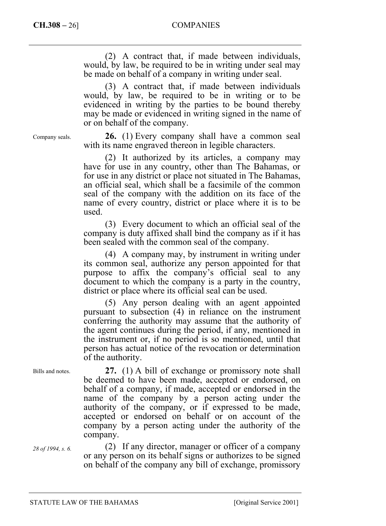## **CH.308 –** 26] COMPANIES

(2) A contract that, if made between individuals, would, by law, be required to be in writing under seal may be made on behalf of a company in writing under seal.

(3) A contract that, if made between individuals would, by law, be required to be in writing or to be evidenced in writing by the parties to be bound thereby may be made or evidenced in writing signed in the name of or on behalf of the company.

Company seals.

**26.** (1) Every company shall have a common seal with its name engraved thereon in legible characters.

(2) It authorized by its articles, a company may have for use in any country, other than The Bahamas, or for use in any district or place not situated in The Bahamas, an official seal, which shall be a facsimile of the common seal of the company with the addition on its face of the name of every country, district or place where it is to be used.

(3) Every document to which an official seal of the company is duty affixed shall bind the company as if it has been sealed with the common seal of the company.

(4) A company may, by instrument in writing under its common seal, authorize any person appointed for that purpose to affix the company's official seal to any document to which the company is a party in the country, district or place where its official seal can be used.

(5) Any person dealing with an agent appointed pursuant to subsection (4) in reliance on the instrument conferring the authority may assume that the authority of the agent continues during the period, if any, mentioned in the instrument or, if no period is so mentioned, until that person has actual notice of the revocation or determination of the authority.

Bills and notes.

**27.** (1) A bill of exchange or promissory note shall be deemed to have been made, accepted or endorsed, on behalf of a company, if made, accepted or endorsed in the name of the company by a person acting under the authority of the company, or if expressed to be made, accepted or endorsed on behalf or on account of the company by a person acting under the authority of the company.

*28 of 1994, s. 6.* 

(2) If any director, manager or officer of a company or any person on its behalf signs or authorizes to be signed on behalf of the company any bill of exchange, promissory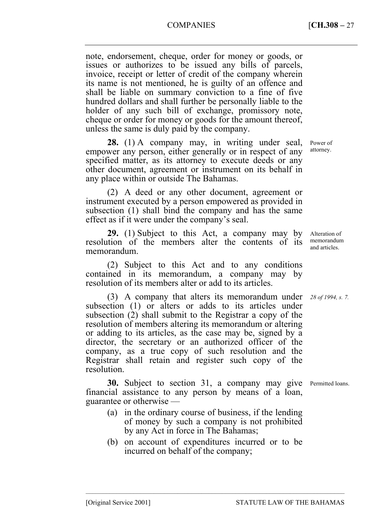## COMPANIES [**CH.308 –** 27

note, endorsement, cheque, order for money or goods, or issues or authorizes to be issued any bills of parcels, invoice, receipt or letter of credit of the company wherein its name is not mentioned, he is guilty of an offence and shall be liable on summary conviction to a fine of five hundred dollars and shall further be personally liable to the holder of any such bill of exchange, promissory note, cheque or order for money or goods for the amount thereof, unless the same is duly paid by the company.

**28.** (1) A company may, in writing under seal, empower any person, either generally or in respect of any specified matter, as its attorney to execute deeds or any other document, agreement or instrument on its behalf in any place within or outside The Bahamas. Power of

(2) A deed or any other document, agreement or instrument executed by a person empowered as provided in subsection (1) shall bind the company and has the same effect as if it were under the company's seal.

29. (1) Subject to this Act, a company may by Alteration of resolution of the members alter the contents of its memorandum.

(2) Subject to this Act and to any conditions contained in its memorandum, a company may by resolution of its members alter or add to its articles.

(3) A company that alters its memorandum under *28 of 1994, s. 7.*  subsection (1) or alters or adds to its articles under subsection (2) shall submit to the Registrar a copy of the resolution of members altering its memorandum or altering or adding to its articles, as the case may be, signed by a director, the secretary or an authorized officer of the company, as a true copy of such resolution and the Registrar shall retain and register such copy of the resolution.

**30.** Subject to section 31, a company may give Permitted loans. financial assistance to any person by means of a loan, guarantee or otherwise —

- (a) in the ordinary course of business, if the lending of money by such a company is not prohibited by any Act in force in The Bahamas;
- (b) on account of expenditures incurred or to be incurred on behalf of the company;

––––––––––––––––––––––––––––––––––––––––––––––––––––––––––––––––––––––––––––

attorney.

memorandum and articles.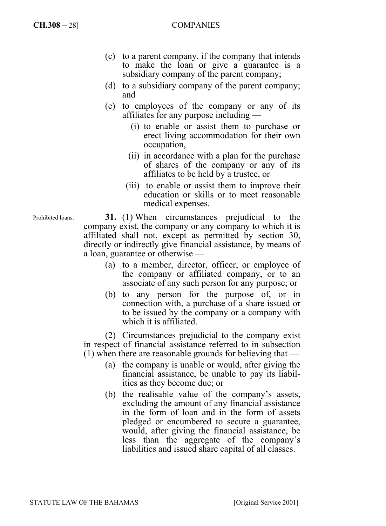- (c) to a parent company, if the company that intends to make the loan or give a guarantee is a subsidiary company of the parent company;
- (d) to a subsidiary company of the parent company; and
- (e) to employees of the company or any of its affiliates for any purpose including —
	- (i) to enable or assist them to purchase or erect living accommodation for their own occupation,
	- (ii) in accordance with a plan for the purchase of shares of the company or any of its affiliates to be held by a trustee, or
	- (iii) to enable or assist them to improve their education or skills or to meet reasonable medical expenses.

**31.** (1) When circumstances prejudicial to the company exist, the company or any company to which it is affiliated shall not, except as permitted by section 30, directly or indirectly give financial assistance, by means of a loan, guarantee or otherwise —

- (a) to a member, director, officer, or employee of the company or affiliated company, or to an associate of any such person for any purpose; or
- (b) to any person for the purpose of, or in connection with, a purchase of a share issued or to be issued by the company or a company with which it is affiliated.

(2) Circumstances prejudicial to the company exist in respect of financial assistance referred to in subsection  $(1)$  when there are reasonable grounds for believing that —

- (a) the company is unable or would, after giving the financial assistance, be unable to pay its liabilities as they become due; or
- (b) the realisable value of the company's assets, excluding the amount of any financial assistance in the form of loan and in the form of assets pledged or encumbered to secure a guarantee, would, after giving the financial assistance, be less than the aggregate of the company's liabilities and issued share capital of all classes.

Prohibited loans.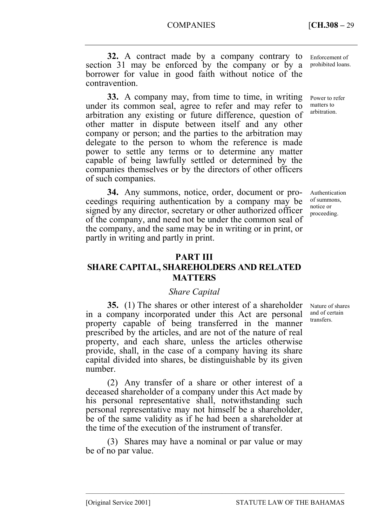**32.** A contract made by a company contrary to section 31 may be enforced by the company or by a borrower for value in good faith without notice of the contravention.

**33.** A company may, from time to time, in writing under its common seal, agree to refer and may refer to arbitration any existing or future difference, question of other matter in dispute between itself and any other company or person; and the parties to the arbitration may delegate to the person to whom the reference is made power to settle any terms or to determine any matter capable of being lawfully settled or determined by the companies themselves or by the directors of other officers of such companies.

**34.** Any summons, notice, order, document or proceedings requiring authentication by a company may be signed by any director, secretary or other authorized officer of the company, and need not be under the common seal of the company, and the same may be in writing or in print, or partly in writing and partly in print.

# **PART III SHARE CAPITAL, SHAREHOLDERS AND RELATED MATTERS**

# *Share Capital*

**35.** (1) The shares or other interest of a shareholder in a company incorporated under this Act are personal property capable of being transferred in the manner prescribed by the articles, and are not of the nature of real property, and each share, unless the articles otherwise provide, shall, in the case of a company having its share capital divided into shares, be distinguishable by its given number.

(2) Any transfer of a share or other interest of a deceased shareholder of a company under this Act made by his personal representative shall, notwithstanding such personal representative may not himself be a shareholder, be of the same validity as if he had been a shareholder at the time of the execution of the instrument of transfer.

(3) Shares may have a nominal or par value or may be of no par value.

––––––––––––––––––––––––––––––––––––––––––––––––––––––––––––––––––––––––––––

Enforcement of prohibited loans.

Power to refer matters to arbitration.

Authentication of summons, notice or proceeding.

Nature of shares and of certain transfers.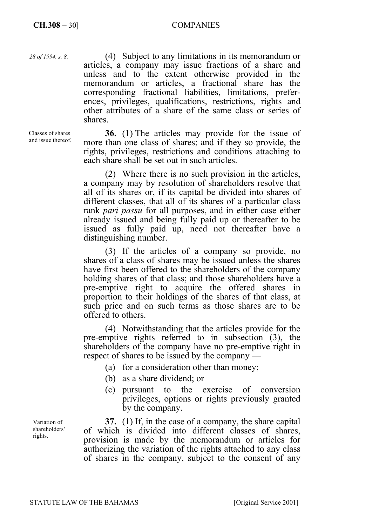*28 of 1994, s. 8.* 

Classes of shares and issue thereof.

(4) Subject to any limitations in its memorandum or articles, a company may issue fractions of a share and unless and to the extent otherwise provided in the memorandum or articles, a fractional share has the corresponding fractional liabilities, limitations, preferences, privileges, qualifications, restrictions, rights and other attributes of a share of the same class or series of shares.

**36.** (1) The articles may provide for the issue of more than one class of shares; and if they so provide, the rights, privileges, restrictions and conditions attaching to each share shall be set out in such articles.

(2) Where there is no such provision in the articles, a company may by resolution of shareholders resolve that all of its shares or, if its capital be divided into shares of different classes, that all of its shares of a particular class rank *pari passu* for all purposes, and in either case either already issued and being fully paid up or thereafter to be issued as fully paid up, need not thereafter have a distinguishing number.

(3) If the articles of a company so provide, no shares of a class of shares may be issued unless the shares have first been offered to the shareholders of the company holding shares of that class; and those shareholders have a pre-emptive right to acquire the offered shares in proportion to their holdings of the shares of that class, at such price and on such terms as those shares are to be offered to others.

(4) Notwithstanding that the articles provide for the pre-emptive rights referred to in subsection (3), the shareholders of the company have no pre-emptive right in respect of shares to be issued by the company —

- (a) for a consideration other than money;
- (b) as a share dividend; or
- (c) pursuant to the exercise of conversion privileges, options or rights previously granted by the company.

**37.** (1) If, in the case of a company, the share capital of which is divided into different classes of shares, provision is made by the memorandum or articles for authorizing the variation of the rights attached to any class of shares in the company, subject to the consent of any

Variation of shareholders' rights.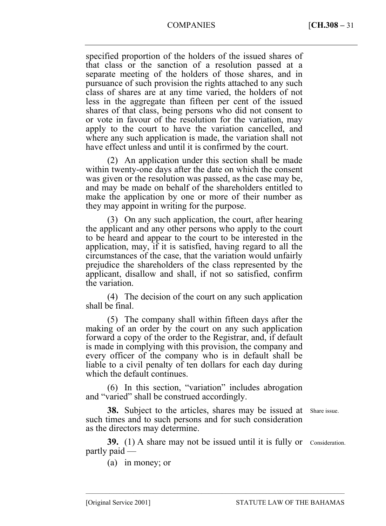## COMPANIES [**CH.308 –** 31

specified proportion of the holders of the issued shares of that class or the sanction of a resolution passed at a separate meeting of the holders of those shares, and in pursuance of such provision the rights attached to any such class of shares are at any time varied, the holders of not less in the aggregate than fifteen per cent of the issued shares of that class, being persons who did not consent to or vote in favour of the resolution for the variation, may apply to the court to have the variation cancelled, and where any such application is made, the variation shall not have effect unless and until it is confirmed by the court.

(2) An application under this section shall be made within twenty-one days after the date on which the consent was given or the resolution was passed, as the case may be, and may be made on behalf of the shareholders entitled to make the application by one or more of their number as they may appoint in writing for the purpose.

(3) On any such application, the court, after hearing the applicant and any other persons who apply to the court to be heard and appear to the court to be interested in the application, may, if it is satisfied, having regard to all the circumstances of the case, that the variation would unfairly prejudice the shareholders of the class represented by the applicant, disallow and shall, if not so satisfied, confirm the variation.

(4) The decision of the court on any such application shall be final.

(5) The company shall within fifteen days after the making of an order by the court on any such application forward a copy of the order to the Registrar, and, if default is made in complying with this provision, the company and every officer of the company who is in default shall be liable to a civil penalty of ten dollars for each day during which the default continues.

(6) In this section, "variation" includes abrogation and "varied" shall be construed accordingly.

**38.** Subject to the articles, shares may be issued at such times and to such persons and for such consideration as the directors may determine.

Share issue.

**39.** (1) A share may not be issued until it is fully or Consideration. partly paid —

––––––––––––––––––––––––––––––––––––––––––––––––––––––––––––––––––––––––––––

(a) in money; or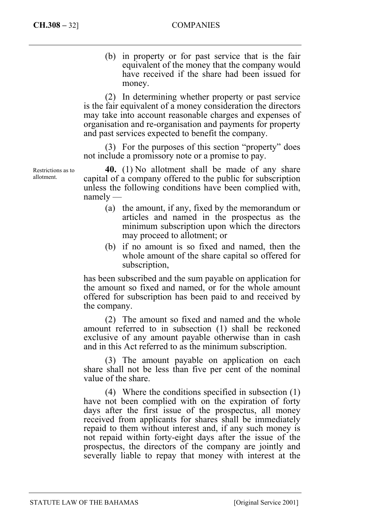(b) in property or for past service that is the fair equivalent of the money that the company would have received if the share had been issued for money.

(2) In determining whether property or past service is the fair equivalent of a money consideration the directors may take into account reasonable charges and expenses of organisation and re-organisation and payments for property and past services expected to benefit the company.

(3) For the purposes of this section "property" does not include a promissory note or a promise to pay.

**40.** (1) No allotment shall be made of any share capital of a company offered to the public for subscription unless the following conditions have been complied with, namely —

- (a) the amount, if any, fixed by the memorandum or articles and named in the prospectus as the minimum subscription upon which the directors may proceed to allotment; or
- (b) if no amount is so fixed and named, then the whole amount of the share capital so offered for subscription,

has been subscribed and the sum payable on application for the amount so fixed and named, or for the whole amount offered for subscription has been paid to and received by the company.

(2) The amount so fixed and named and the whole amount referred to in subsection (1) shall be reckoned exclusive of any amount payable otherwise than in cash and in this Act referred to as the minimum subscription.

(3) The amount payable on application on each share shall not be less than five per cent of the nominal value of the share.

(4) Where the conditions specified in subsection (1) have not been complied with on the expiration of forty days after the first issue of the prospectus, all money received from applicants for shares shall be immediately repaid to them without interest and, if any such money is not repaid within forty-eight days after the issue of the prospectus, the directors of the company are jointly and severally liable to repay that money with interest at the

Restrictions as to allotment.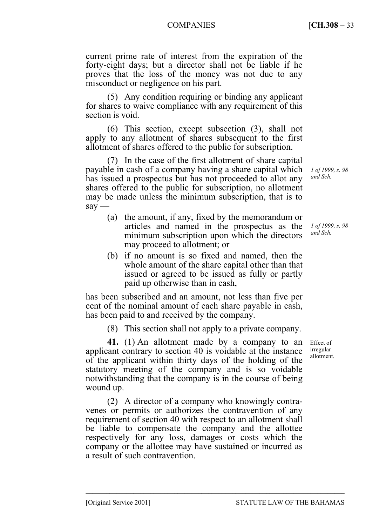current prime rate of interest from the expiration of the forty-eight days; but a director shall not be liable if he proves that the loss of the money was not due to any misconduct or negligence on his part.

(5) Any condition requiring or binding any applicant for shares to waive compliance with any requirement of this section is void.

(6) This section, except subsection (3), shall not apply to any allotment of shares subsequent to the first allotment of shares offered to the public for subscription.

(7) In the case of the first allotment of share capital payable in cash of a company having a share capital which has issued a prospectus but has not proceeded to allot any shares offered to the public for subscription, no allotment may be made unless the minimum subscription, that is to  $say -$ 

- (a) the amount, if any, fixed by the memorandum or articles and named in the prospectus as the minimum subscription upon which the directors may proceed to allotment; or
- (b) if no amount is so fixed and named, then the whole amount of the share capital other than that issued or agreed to be issued as fully or partly paid up otherwise than in cash,

has been subscribed and an amount, not less than five per cent of the nominal amount of each share payable in cash, has been paid to and received by the company.

(8) This section shall not apply to a private company.

**41.** (1) An allotment made by a company to an applicant contrary to section 40 is voidable at the instance of the applicant within thirty days of the holding of the statutory meeting of the company and is so voidable notwithstanding that the company is in the course of being wound up.

(2) A director of a company who knowingly contravenes or permits or authorizes the contravention of any requirement of section 40 with respect to an allotment shall be liable to compensate the company and the allottee respectively for any loss, damages or costs which the company or the allottee may have sustained or incurred as a result of such contravention.

––––––––––––––––––––––––––––––––––––––––––––––––––––––––––––––––––––––––––––

*1 of 1999, s. 98 and Sch.* 

*1 of 1999, s. 98 and Sch.* 

Effect of irregular allotment.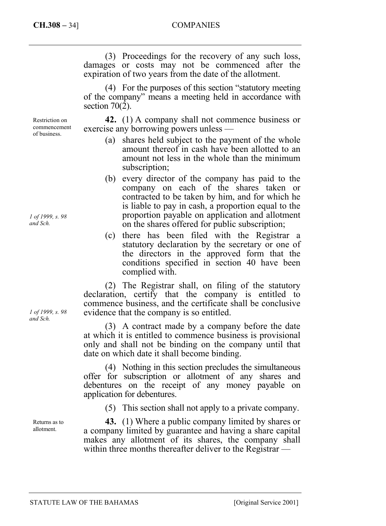(3) Proceedings for the recovery of any such loss, damages or costs may not be commenced after the expiration of two years from the date of the allotment.

(4) For the purposes of this section "statutory meeting of the company" means a meeting held in accordance with section  $70(2)$ .

**42.** (1) A company shall not commence business or exercise any borrowing powers unless —

- (a) shares held subject to the payment of the whole amount thereof in cash have been allotted to an amount not less in the whole than the minimum subscription;
- (b) every director of the company has paid to the company on each of the shares taken or contracted to be taken by him, and for which he is liable to pay in cash, a proportion equal to the proportion payable on application and allotment on the shares offered for public subscription;
- (c) there has been filed with the Registrar a statutory declaration by the secretary or one of the directors in the approved form that the conditions specified in section 40 have been complied with.

(2) The Registrar shall, on filing of the statutory declaration, certify that the company is entitled to commence business, and the certificate shall be conclusive evidence that the company is so entitled.

(3) A contract made by a company before the date at which it is entitled to commence business is provisional only and shall not be binding on the company until that date on which date it shall become binding.

(4) Nothing in this section precludes the simultaneous offer for subscription or allotment of any shares and debentures on the receipt of any money payable on application for debentures.

(5) This section shall not apply to a private company.

**43.** (1) Where a public company limited by shares or a company limited by guarantee and having a share capital makes any allotment of its shares, the company shall within three months thereafter deliver to the Registrar —

Restriction on commencement of business.

*1 of 1999, s. 98 and Sch.* 

*1 of 1999, s. 98 and Sch.* 

Returns as to allotment.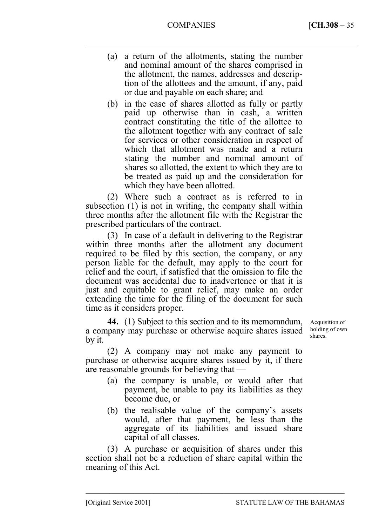- (a) a return of the allotments, stating the number and nominal amount of the shares comprised in the allotment, the names, addresses and description of the allottees and the amount, if any, paid or due and payable on each share; and
- (b) in the case of shares allotted as fully or partly paid up otherwise than in cash, a written contract constituting the title of the allottee to the allotment together with any contract of sale for services or other consideration in respect of which that allotment was made and a return stating the number and nominal amount of shares so allotted, the extent to which they are to be treated as paid up and the consideration for which they have been allotted.

(2) Where such a contract as is referred to in subsection (1) is not in writing, the company shall within three months after the allotment file with the Registrar the prescribed particulars of the contract.

(3) In case of a default in delivering to the Registrar within three months after the allotment any document required to be filed by this section, the company, or any person liable for the default, may apply to the court for relief and the court, if satisfied that the omission to file the document was accidental due to inadvertence or that it is just and equitable to grant relief, may make an order extending the time for the filing of the document for such time as it considers proper.

**44.** (1) Subject to this section and to its memorandum, a company may purchase or otherwise acquire shares issued by it.

(2) A company may not make any payment to purchase or otherwise acquire shares issued by it, if there are reasonable grounds for believing that —

- (a) the company is unable, or would after that payment, be unable to pay its liabilities as they become due, or
- (b) the realisable value of the company's assets would, after that payment, be less than the aggregate of its liabilities and issued share capital of all classes.

––––––––––––––––––––––––––––––––––––––––––––––––––––––––––––––––––––––––––––

(3) A purchase or acquisition of shares under this section shall not be a reduction of share capital within the meaning of this Act.

Acquisition of holding of own shares.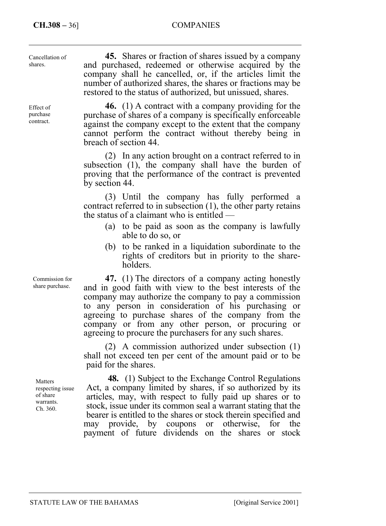## **CH.308 –** 36] COMPANIES

| Cancellation of<br>shares.         | <b>45.</b> Shares or fraction of shares issued by a company<br>and purchased, redeemed or otherwise acquired by the<br>company shall he cancelled, or, if the articles limit the<br>number of authorized shares, the shares or fractions may be<br>restored to the status of authorized, but unissued, shares.                                                                                        |
|------------------------------------|-------------------------------------------------------------------------------------------------------------------------------------------------------------------------------------------------------------------------------------------------------------------------------------------------------------------------------------------------------------------------------------------------------|
| Effect of<br>purchase<br>contract. | <b>46.</b> (1) A contract with a company providing for the<br>purchase of shares of a company is specifically enforceable<br>against the company except to the extent that the company<br>cannot perform the contract without thereby being in<br>breach of section 44.                                                                                                                               |
|                                    | (2) In any action brought on a contract referred to in<br>subsection (1), the company shall have the burden of<br>proving that the performance of the contract is prevented<br>by section 44.                                                                                                                                                                                                         |
|                                    | (3) Until the company has fully performed a<br>contract referred to in subsection $(1)$ , the other party retains<br>the status of a claimant who is entitled $-$                                                                                                                                                                                                                                     |
|                                    | (a) to be paid as soon as the company is lawfully<br>able to do so, or                                                                                                                                                                                                                                                                                                                                |
|                                    | to be ranked in a liquidation subordinate to the<br>(b)<br>rights of creditors but in priority to the share-<br>holders.                                                                                                                                                                                                                                                                              |
| Commission for<br>share purchase.  | 47. (1) The directors of a company acting honestly<br>and in good faith with view to the best interests of the<br>company may authorize the company to pay a commission<br>to any person in consideration of his purchasing or<br>agreeing to purchase shares of the company from the<br>company or from any other person, or procuring or<br>agreeing to procure the purchasers for any such shares. |

(2) A commission authorized under subsection (1) shall not exceed ten per cent of the amount paid or to be paid for the shares.

**48.** (1) Subject to the Exchange Control Regulations Act, a company limited by shares, if so authorized by its articles, may, with respect to fully paid up shares or to stock, issue under its common seal a warrant stating that the bearer is entitled to the shares or stock therein specified and may provide, by coupons or otherwise, for the payment of future dividends on the shares or stock

Matters respecting issue of share warrants. Ch. 360.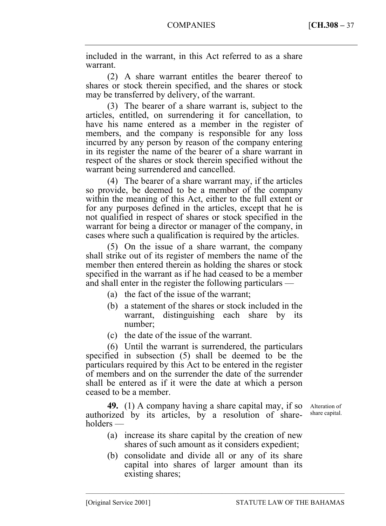included in the warrant, in this Act referred to as a share warrant.

(2) A share warrant entitles the bearer thereof to shares or stock therein specified, and the shares or stock may be transferred by delivery, of the warrant.

(3) The bearer of a share warrant is, subject to the articles, entitled, on surrendering it for cancellation, to have his name entered as a member in the register of members, and the company is responsible for any loss incurred by any person by reason of the company entering in its register the name of the bearer of a share warrant in respect of the shares or stock therein specified without the warrant being surrendered and cancelled.

(4) The bearer of a share warrant may, if the articles so provide, be deemed to be a member of the company within the meaning of this Act, either to the full extent or for any purposes defined in the articles, except that he is not qualified in respect of shares or stock specified in the warrant for being a director or manager of the company, in cases where such a qualification is required by the articles.

(5) On the issue of a share warrant, the company shall strike out of its register of members the name of the member then entered therein as holding the shares or stock specified in the warrant as if he had ceased to be a member and shall enter in the register the following particulars —

- (a) the fact of the issue of the warrant;
- (b) a statement of the shares or stock included in the warrant, distinguishing each share by its number;
- (c) the date of the issue of the warrant.

(6) Until the warrant is surrendered, the particulars specified in subsection (5) shall be deemed to be the particulars required by this Act to be entered in the register of members and on the surrender the date of the surrender shall be entered as if it were the date at which a person ceased to be a member.

**49.** (1) A company having a share capital may, if so authorized by its articles, by a resolution of shareholders —

- (a) increase its share capital by the creation of new shares of such amount as it considers expedient;
- (b) consolidate and divide all or any of its share capital into shares of larger amount than its existing shares;

––––––––––––––––––––––––––––––––––––––––––––––––––––––––––––––––––––––––––––

Alteration of share capital.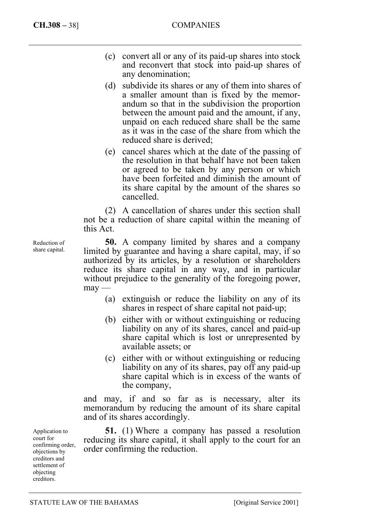- (c) convert all or any of its paid-up shares into stock and reconvert that stock into paid-up shares of any denomination;
- (d) subdivide its shares or any of them into shares of a smaller amount than is fixed by the memorandum so that in the subdivision the proportion between the amount paid and the amount, if any, unpaid on each reduced share shall be the same as it was in the case of the share from which the reduced share is derived;
- (e) cancel shares which at the date of the passing of the resolution in that behalf have not been taken or agreed to be taken by any person or which have been forfeited and diminish the amount of its share capital by the amount of the shares so cancelled.

(2) A cancellation of shares under this section shall not be a reduction of share capital within the meaning of this Act.

**50.** A company limited by shares and a company limited by guarantee and having a share capital, may, if so authorized by its articles, by a resolution or shareholders reduce its share capital in any way, and in particular without prejudice to the generality of the foregoing power,  $may -$ 

- (a) extinguish or reduce the liability on any of its shares in respect of share capital not paid-up;
- (b) either with or without extinguishing or reducing liability on any of its shares, cancel and paid-up share capital which is lost or unrepresented by available assets; or
- (c) either with or without extinguishing or reducing liability on any of its shares, pay off any paid-up share capital which is in excess of the wants of the company,

and may, if and so far as is necessary, alter its memorandum by reducing the amount of its share capital and of its shares accordingly.

**51.** (1) Where a company has passed a resolution reducing its share capital, it shall apply to the court for an order confirming the reduction.

Reduction of share capital.

Application to court for confirming order, objections by creditors and settlement of objecting creditors.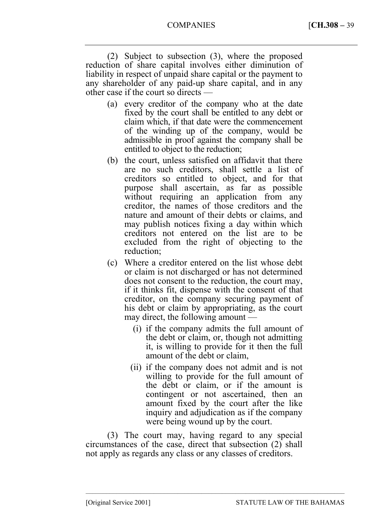COMPANIES [**CH.308 –** 39

(2) Subject to subsection (3), where the proposed reduction of share capital involves either diminution of liability in respect of unpaid share capital or the payment to any shareholder of any paid-up share capital, and in any other case if the court so directs —

- (a) every creditor of the company who at the date fixed by the court shall be entitled to any debt or claim which, if that date were the commencement of the winding up of the company, would be admissible in proof against the company shall be entitled to object to the reduction;
- (b) the court, unless satisfied on affidavit that there are no such creditors, shall settle a list of creditors so entitled to object, and for that purpose shall ascertain, as far as possible without requiring an application from any creditor, the names of those creditors and the nature and amount of their debts or claims, and may publish notices fixing a day within which creditors not entered on the list are to be excluded from the right of objecting to the reduction;
- (c) Where a creditor entered on the list whose debt or claim is not discharged or has not determined does not consent to the reduction, the court may, if it thinks fit, dispense with the consent of that creditor, on the company securing payment of his debt or claim by appropriating, as the court may direct, the following amount —
	- (i) if the company admits the full amount of the debt or claim, or, though not admitting it, is willing to provide for it then the full amount of the debt or claim,
	- (ii) if the company does not admit and is not willing to provide for the full amount of the debt or claim, or if the amount is contingent or not ascertained, then an amount fixed by the court after the like inquiry and adjudication as if the company were being wound up by the court.

––––––––––––––––––––––––––––––––––––––––––––––––––––––––––––––––––––––––––––

(3) The court may, having regard to any special circumstances of the case, direct that subsection (2) shall not apply as regards any class or any classes of creditors.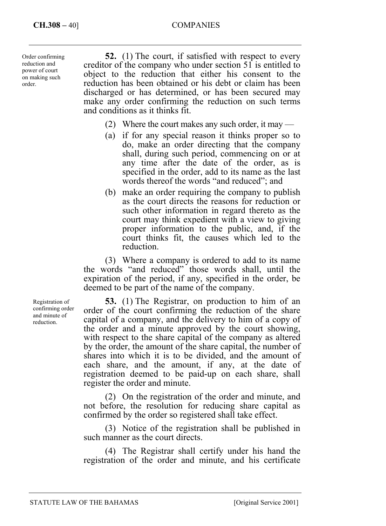#### **CH.308 –** 40] COMPANIES

Order confirming reduction and power of court on making such order.

**52.** (1) The court, if satisfied with respect to every creditor of the company who under section 51 is entitled to object to the reduction that either his consent to the reduction has been obtained or his debt or claim has been discharged or has determined, or has been secured may make any order confirming the reduction on such terms and conditions as it thinks fit.

- (2) Where the court makes any such order, it may —
- (a) if for any special reason it thinks proper so to do, make an order directing that the company shall, during such period, commencing on or at any time after the date of the order, as is specified in the order, add to its name as the last words thereof the words "and reduced"; and
- (b) make an order requiring the company to publish as the court directs the reasons for reduction or such other information in regard thereto as the court may think expedient with a view to giving proper information to the public, and, if the court thinks fit, the causes which led to the reduction.

(3) Where a company is ordered to add to its name the words "and reduced" those words shall, until the expiration of the period, if any, specified in the order, be deemed to be part of the name of the company.

**53.** (1) The Registrar, on production to him of an order of the court confirming the reduction of the share capital of a company, and the delivery to him of a copy of the order and a minute approved by the court showing, with respect to the share capital of the company as altered by the order, the amount of the share capital, the number of shares into which it is to be divided, and the amount of each share, and the amount, if any, at the date of registration deemed to be paid-up on each share, shall register the order and minute.

(2) On the registration of the order and minute, and not before, the resolution for reducing share capital as confirmed by the order so registered shall take effect.

(3) Notice of the registration shall be published in such manner as the court directs.

(4) The Registrar shall certify under his hand the registration of the order and minute, and his certificate

Registration of confirming order and minute of reduction.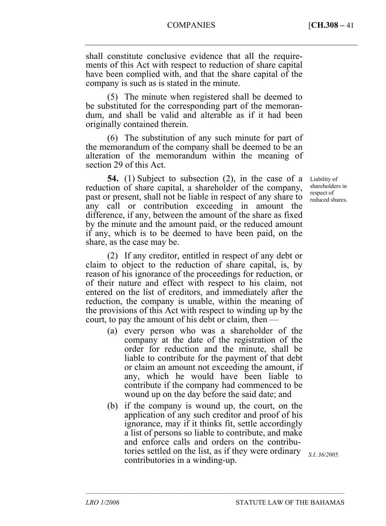shall constitute conclusive evidence that all the requirements of this Act with respect to reduction of share capital have been complied with, and that the share capital of the company is such as is stated in the minute.

(5) The minute when registered shall be deemed to be substituted for the corresponding part of the memorandum, and shall be valid and alterable as if it had been originally contained therein.

(6) The substitution of any such minute for part of the memorandum of the company shall be deemed to be an alteration of the memorandum within the meaning of section 29 of this Act.

**54.** (1) Subject to subsection (2), in the case of a reduction of share capital, a shareholder of the company, past or present, shall not be liable in respect of any share to any call or contribution exceeding in amount the difference, if any, between the amount of the share as fixed by the minute and the amount paid, or the reduced amount if any, which is to be deemed to have been paid, on the share, as the case may be.

(2) If any creditor, entitled in respect of any debt or claim to object to the reduction of share capital, is, by reason of his ignorance of the proceedings for reduction, or of their nature and effect with respect to his claim, not entered on the list of creditors, and immediately after the reduction, the company is unable, within the meaning of the provisions of this Act with respect to winding up by the court, to pay the amount of his debt or claim, then —

- (a) every person who was a shareholder of the company at the date of the registration of the order for reduction and the minute, shall be liable to contribute for the payment of that debt or claim an amount not exceeding the amount, if any, which he would have been liable to contribute if the company had commenced to be wound up on the day before the said date; and
- (b) if the company is wound up, the court, on the application of any such creditor and proof of his ignorance, may if it thinks fit, settle accordingly a list of persons so liable to contribute, and make and enforce calls and orders on the contributories settled on the list, as if they were ordinary contributories in a winding-up.

––––––––––––––––––––––––––––––––––––––––––––––––––––––––––––––––––––––––––––

*S.I. 36/2005.* 

Liability of shareholders in respect of reduced shares.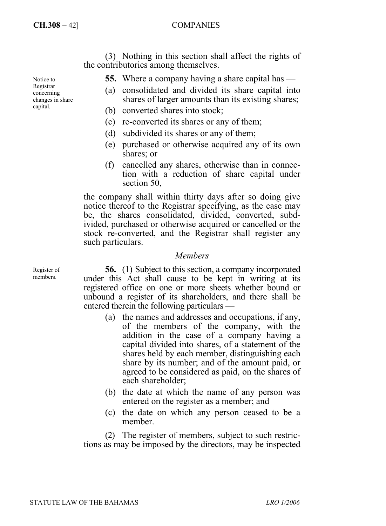(3) Nothing in this section shall affect the rights of the contributories among themselves.

Notice to Registrar concerning changes in share capital.

**55.** Where a company having a share capital has —

- (a) consolidated and divided its share capital into shares of larger amounts than its existing shares;
- (b) converted shares into stock;
- (c) re-converted its shares or any of them;
- (d) subdivided its shares or any of them;
- (e) purchased or otherwise acquired any of its own shares; or
- (f) cancelled any shares, otherwise than in connection with a reduction of share capital under section 50,

the company shall within thirty days after so doing give notice thereof to the Registrar specifying, as the case may be, the shares consolidated, divided, converted, subdivided, purchased or otherwise acquired or cancelled or the stock re-converted, and the Registrar shall register any such particulars.

#### *Members*

**56.** (1) Subject to this section, a company incorporated under this Act shall cause to be kept in writing at its registered office on one or more sheets whether bound or unbound a register of its shareholders, and there shall be entered therein the following particulars —

- (a) the names and addresses and occupations, if any, of the members of the company, with the addition in the case of a company having a capital divided into shares, of a statement of the shares held by each member, distinguishing each share by its number; and of the amount paid, or agreed to be considered as paid, on the shares of each shareholder;
- (b) the date at which the name of any person was entered on the register as a member; and
- (c) the date on which any person ceased to be a member.

(2) The register of members, subject to such restrictions as may be imposed by the directors, may be inspected

Register of members.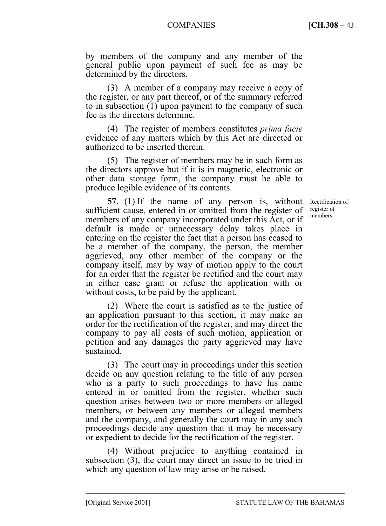by members of the company and any member of the general public upon payment of such fee as may be determined by the directors.

(3) A member of a company may receive a copy of the register, or any part thereof, or of the summary referred to in subsection (1) upon payment to the company of such fee as the directors determine.

(4) The register of members constitutes *prima facie* evidence of any matters which by this Act are directed or authorized to be inserted therein.

(5) The register of members may be in such form as the directors approve but if it is in magnetic, electronic or other data storage form, the company must be able to produce legible evidence of its contents.

**57.** (1) If the name of any person is, without sufficient cause, entered in or omitted from the register of members of any company incorporated under this Act, or if default is made or unnecessary delay takes place in entering on the register the fact that a person has ceased to be a member of the company, the person, the member aggrieved, any other member of the company or the company itself, may by way of motion apply to the court for an order that the register be rectified and the court may in either case grant or refuse the application with or without costs, to be paid by the applicant.

(2) Where the court is satisfied as to the justice of an application pursuant to this section, it may make an order for the rectification of the register, and may direct the company to pay all costs of such motion, application or petition and any damages the party aggrieved may have sustained.

(3) The court may in proceedings under this section decide on any question relating to the title of any person who is a party to such proceedings to have his name entered in or omitted from the register, whether such question arises between two or more members or alleged members, or between any members or alleged members and the company, and generally the court may in any such proceedings decide any question that it may be necessary or expedient to decide for the rectification of the register.

(4) Without prejudice to anything contained in subsection (3), the court may direct an issue to be tried in which any question of law may arise or be raised.

––––––––––––––––––––––––––––––––––––––––––––––––––––––––––––––––––––––––––––

Rectification of register of members.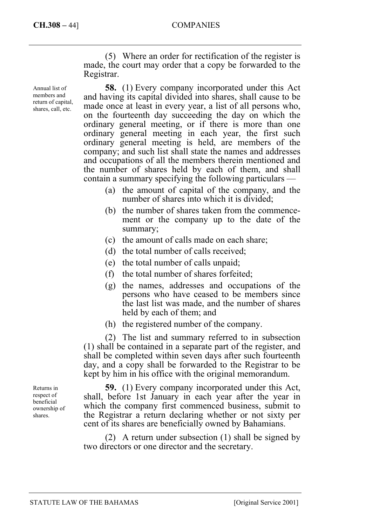Annual list of members and return of capital, shares, call, etc.

#### **CH.308 –** 44] COMPANIES

(5) Where an order for rectification of the register is made, the court may order that a copy be forwarded to the Registrar.

**58.** (1) Every company incorporated under this Act and having its capital divided into shares, shall cause to be made once at least in every year, a list of all persons who, on the fourteenth day succeeding the day on which the ordinary general meeting, or if there is more than one ordinary general meeting in each year, the first such ordinary general meeting is held, are members of the company; and such list shall state the names and addresses and occupations of all the members therein mentioned and the number of shares held by each of them, and shall contain a summary specifying the following particulars —

- (a) the amount of capital of the company, and the number of shares into which it is divided;
- (b) the number of shares taken from the commencement or the company up to the date of the summary;
- (c) the amount of calls made on each share;
- (d) the total number of calls received;
- (e) the total number of calls unpaid;
- (f) the total number of shares forfeited;
- (g) the names, addresses and occupations of the persons who have ceased to be members since the last list was made, and the number of shares held by each of them; and
- (h) the registered number of the company.

(2) The list and summary referred to in subsection (1) shall be contained in a separate part of the register, and shall be completed within seven days after such fourteenth day, and a copy shall be forwarded to the Registrar to be kept by him in his office with the original memorandum.

Returns in respect of beneficial ownership of shares.

**59.** (1) Every company incorporated under this Act, shall, before 1st January in each year after the year in which the company first commenced business, submit to the Registrar a return declaring whether or not sixty per cent of its shares are beneficially owned by Bahamians.

(2) A return under subsection (1) shall be signed by two directors or one director and the secretary.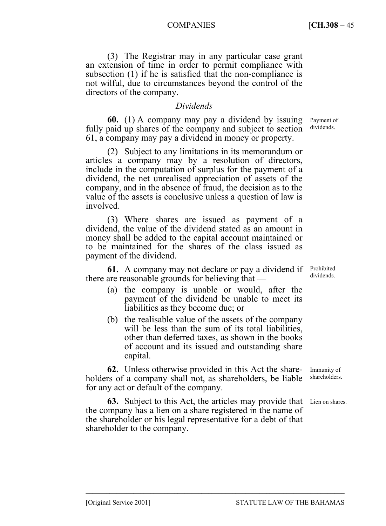#### COMPANIES [**CH.308 –** 45

(3) The Registrar may in any particular case grant an extension of time in order to permit compliance with subsection (1) if he is satisfied that the non-compliance is not wilful, due to circumstances beyond the control of the directors of the company.

#### *Dividends*

**60.** (1) A company may pay a dividend by issuing fully paid up shares of the company and subject to section 61, a company may pay a dividend in money or property.

(2) Subject to any limitations in its memorandum or articles a company may by a resolution of directors, include in the computation of surplus for the payment of a dividend, the net unrealised appreciation of assets of the company, and in the absence of fraud, the decision as to the value of the assets is conclusive unless a question of law is involved.

(3) Where shares are issued as payment of a dividend, the value of the dividend stated as an amount in money shall be added to the capital account maintained or to be maintained for the shares of the class issued as payment of the dividend.

**61.** A company may not declare or pay a dividend if there are reasonable grounds for believing that — Prohibited

- (a) the company is unable or would, after the payment of the dividend be unable to meet its liabilities as they become due; or
- (b) the realisable value of the assets of the company will be less than the sum of its total liabilities, other than deferred taxes, as shown in the books of account and its issued and outstanding share capital.

**62.** Unless otherwise provided in this Act the shareholders of a company shall not, as shareholders, be liable for any act or default of the company.

**63.** Subject to this Act, the articles may provide that Lien on shares. the company has a lien on a share registered in the name of the shareholder or his legal representative for a debt of that shareholder to the company.

––––––––––––––––––––––––––––––––––––––––––––––––––––––––––––––––––––––––––––

Payment of dividends.

dividends.

Immunity of shareholders.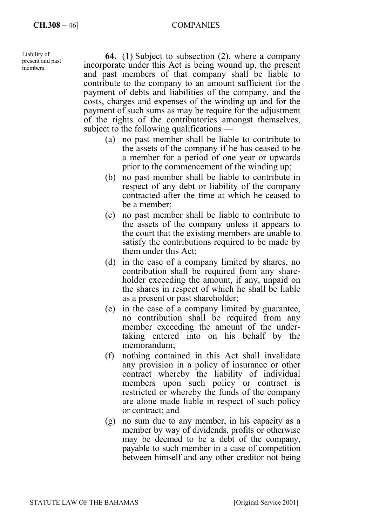Liability of present and past members.

**64.** (1) Subject to subsection (2), where a company incorporate under this Act is being wound up, the present and past members of that company shall be liable to contribute to the company to an amount sufficient for the payment of debts and liabilities of the company, and the costs, charges and expenses of the winding up and for the payment of such sums as may be require for the adjustment of the rights of the contributories amongst themselves, subject to the following qualifications —

- (a) no past member shall be liable to contribute to the assets of the company if he has ceased to be a member for a period of one year or upwards prior to the commencement of the winding up;
- (b) no past member shall be liable to contribute in respect of any debt or liability of the company contracted after the time at which he ceased to be a member;
- (c) no past member shall be liable to contribute to the assets of the company unless it appears to the court that the existing members are unable to satisfy the contributions required to be made by them under this Act;
- (d) in the case of a company limited by shares, no contribution shall be required from any shareholder exceeding the amount, if any, unpaid on the shares in respect of which he shall be liable as a present or past shareholder;
- (e) in the case of a company limited by guarantee, no contribution shall be required from any member exceeding the amount of the undertaking entered into on his behalf by the memorandum;
- (f) nothing contained in this Act shall invalidate any provision in a policy of insurance or other contract whereby the liability of individual members upon such policy or contract is restricted or whereby the funds of the company are alone made liable in respect of such policy or contract; and
- (g) no sum due to any member, in his capacity as a member by way of dividends, profits or otherwise may be deemed to be a debt of the company, payable to such member in a case of competition between himself and any other creditor not being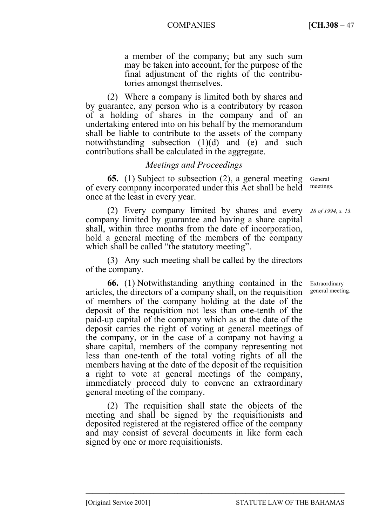a member of the company; but any such sum may be taken into account, for the purpose of the final adjustment of the rights of the contributories amongst themselves.

(2) Where a company is limited both by shares and by guarantee, any person who is a contributory by reason of a holding of shares in the company and of an undertaking entered into on his behalf by the memorandum shall be liable to contribute to the assets of the company notwithstanding subsection  $(1)(d)$  and  $(e)$  and such contributions shall be calculated in the aggregate.

## *Meetings and Proceedings*

**65.** (1) Subject to subsection (2), a general meeting of every company incorporated under this Act shall be held once at the least in every year. General meetings.

(2) Every company limited by shares and every company limited by guarantee and having a share capital shall, within three months from the date of incorporation, hold a general meeting of the members of the company which shall be called "the statutory meeting".

(3) Any such meeting shall be called by the directors of the company.

**66.** (1) Notwithstanding anything contained in the articles, the directors of a company shall, on the requisition of members of the company holding at the date of the deposit of the requisition not less than one-tenth of the paid-up capital of the company which as at the date of the deposit carries the right of voting at general meetings of the company, or in the case of a company not having a share capital, members of the company representing not less than one-tenth of the total voting rights of all the members having at the date of the deposit of the requisition a right to vote at general meetings of the company, immediately proceed duly to convene an extraordinary general meeting of the company.

(2) The requisition shall state the objects of the meeting and shall be signed by the requisitionists and deposited registered at the registered office of the company and may consist of several documents in like form each signed by one or more requisitionists.

*28 of 1994, s. 13.* 

Extraordinary general meeting.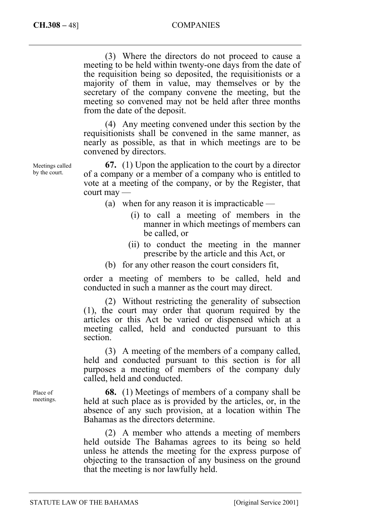#### **CH.308 –** 48] COMPANIES

(3) Where the directors do not proceed to cause a meeting to be held within twenty-one days from the date of the requisition being so deposited, the requisitionists or a majority of them in value, may themselves or by the secretary of the company convene the meeting, but the meeting so convened may not be held after three months from the date of the deposit.

(4) Any meeting convened under this section by the requisitionists shall be convened in the same manner, as nearly as possible, as that in which meetings are to be convened by directors.

**67.** (1) Upon the application to the court by a director of a company or a member of a company who is entitled to vote at a meeting of the company, or by the Register, that court may —

- (a) when for any reason it is impracticable
	- (i) to call a meeting of members in the manner in which meetings of members can be called, or
	- (ii) to conduct the meeting in the manner prescribe by the article and this Act, or
- (b) for any other reason the court considers fit,

order a meeting of members to be called, held and conducted in such a manner as the court may direct.

(2) Without restricting the generality of subsection (1), the court may order that quorum required by the articles or this Act be varied or dispensed which at a meeting called, held and conducted pursuant to this section.

(3) A meeting of the members of a company called, held and conducted pursuant to this section is for all purposes a meeting of members of the company duly called, held and conducted.

**68.** (1) Meetings of members of a company shall be held at such place as is provided by the articles, or, in the absence of any such provision, at a location within The Bahamas as the directors determine.

(2) A member who attends a meeting of members held outside The Bahamas agrees to its being so held unless he attends the meeting for the express purpose of objecting to the transaction of any business on the ground that the meeting is nor lawfully held.

Meetings called by the court.

Place of meetings.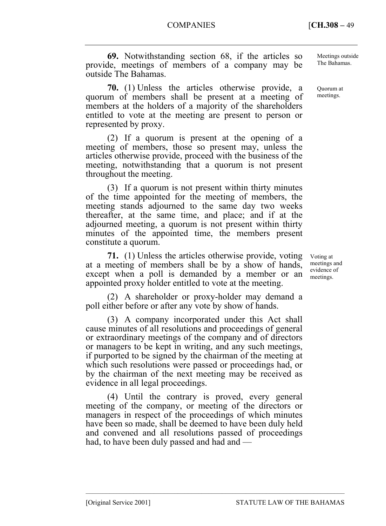**69.** Notwithstanding section 68, if the articles so provide, meetings of members of a company may be outside The Bahamas.

**70.** (1) Unless the articles otherwise provide, a quorum of members shall be present at a meeting of members at the holders of a majority of the shareholders entitled to vote at the meeting are present to person or represented by proxy.

(2) If a quorum is present at the opening of a meeting of members, those so present may, unless the articles otherwise provide, proceed with the business of the meeting, notwithstanding that a quorum is not present throughout the meeting.

(3) If a quorum is not present within thirty minutes of the time appointed for the meeting of members, the meeting stands adjourned to the same day two weeks thereafter, at the same time, and place; and if at the adjourned meeting, a quorum is not present within thirty minutes of the appointed time, the members present constitute a quorum.

**71.** (1) Unless the articles otherwise provide, voting at a meeting of members shall be by a show of hands, except when a poll is demanded by a member or an appointed proxy holder entitled to vote at the meeting.

(2) A shareholder or proxy-holder may demand a poll either before or after any vote by show of hands.

(3) A company incorporated under this Act shall cause minutes of all resolutions and proceedings of general or extraordinary meetings of the company and of directors or managers to be kept in writing, and any such meetings, if purported to be signed by the chairman of the meeting at which such resolutions were passed or proceedings had, or by the chairman of the next meeting may be received as evidence in all legal proceedings.

(4) Until the contrary is proved, every general meeting of the company, or meeting of the directors or managers in respect of the proceedings of which minutes have been so made, shall be deemed to have been duly held and convened and all resolutions passed of proceedings had, to have been duly passed and had and —

––––––––––––––––––––––––––––––––––––––––––––––––––––––––––––––––––––––––––––

Meetings outside The Bahamas.

Quorum at meetings.

Voting at meetings and evidence of meetings.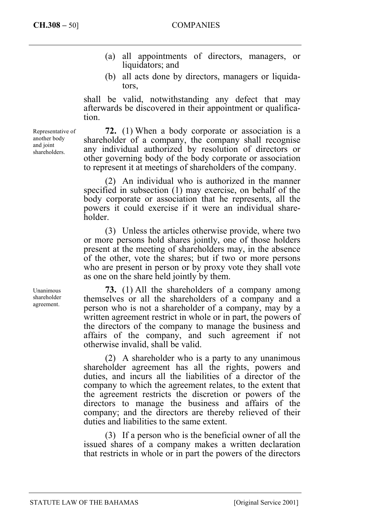- (a) all appointments of directors, managers, or liquidators; and
- (b) all acts done by directors, managers or liquidators,

shall be valid, notwithstanding any defect that may afterwards be discovered in their appointment or qualification.

**72.** (1) When a body corporate or association is a shareholder of a company, the company shall recognise any individual authorized by resolution of directors or other governing body of the body corporate or association to represent it at meetings of shareholders of the company.

(2) An individual who is authorized in the manner specified in subsection (1) may exercise, on behalf of the body corporate or association that he represents, all the powers it could exercise if it were an individual share**holder** 

(3) Unless the articles otherwise provide, where two or more persons hold shares jointly, one of those holders present at the meeting of shareholders may, in the absence of the other, vote the shares; but if two or more persons who are present in person or by proxy vote they shall vote as one on the share held jointly by them.

**73.** (1) All the shareholders of a company among themselves or all the shareholders of a company and a person who is not a shareholder of a company, may by a written agreement restrict in whole or in part, the powers of the directors of the company to manage the business and affairs of the company, and such agreement if not otherwise invalid, shall be valid.

(2) A shareholder who is a party to any unanimous shareholder agreement has all the rights, powers and duties, and incurs all the liabilities of a director of the company to which the agreement relates, to the extent that the agreement restricts the discretion or powers of the directors to manage the business and affairs of the company; and the directors are thereby relieved of their duties and liabilities to the same extent.

(3) If a person who is the beneficial owner of all the issued shares of a company makes a written declaration that restricts in whole or in part the powers of the directors

another body and joint shareholders.

Representative of

Unanimous shareholder agreement.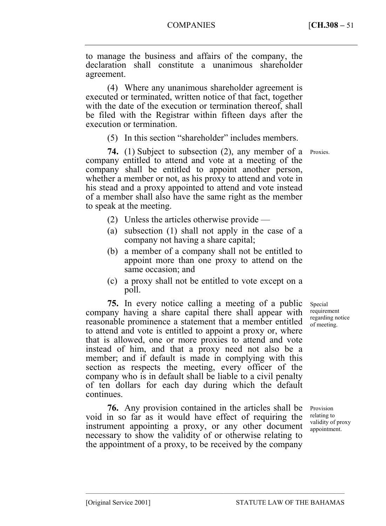to manage the business and affairs of the company, the declaration shall constitute a unanimous shareholder agreement.

(4) Where any unanimous shareholder agreement is executed or terminated, written notice of that fact, together with the date of the execution or termination thereof, shall be filed with the Registrar within fifteen days after the execution or termination.

(5) In this section "shareholder" includes members.

**74.** (1) Subject to subsection (2), any member of a Proxies. company entitled to attend and vote at a meeting of the company shall be entitled to appoint another person, whether a member or not, as his proxy to attend and vote in his stead and a proxy appointed to attend and vote instead of a member shall also have the same right as the member to speak at the meeting.

- (2) Unless the articles otherwise provide —
- (a) subsection (1) shall not apply in the case of a company not having a share capital;
- (b) a member of a company shall not be entitled to appoint more than one proxy to attend on the same occasion; and
- (c) a proxy shall not be entitled to vote except on a poll.

**75.** In every notice calling a meeting of a public company having a share capital there shall appear with reasonable prominence a statement that a member entitled to attend and vote is entitled to appoint a proxy or, where that is allowed, one or more proxies to attend and vote instead of him, and that a proxy need not also be a member; and if default is made in complying with this section as respects the meeting, every officer of the company who is in default shall be liable to a civil penalty of ten dollars for each day during which the default continues.

**76.** Any provision contained in the articles shall be void in so far as it would have effect of requiring the instrument appointing a proxy, or any other document necessary to show the validity of or otherwise relating to the appointment of a proxy, to be received by the company

––––––––––––––––––––––––––––––––––––––––––––––––––––––––––––––––––––––––––––

Special requirement regarding notice of meeting.

Provision relating to validity of proxy appointment.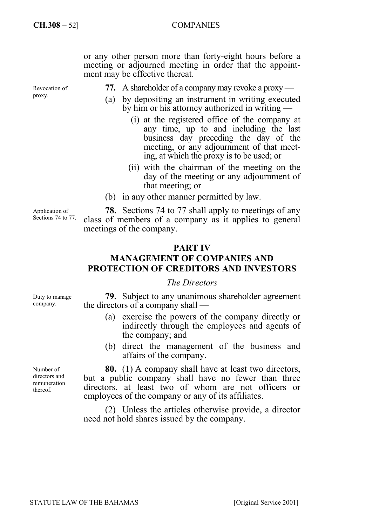#### **CH.308 –** 52] COMPANIES

or any other person more than forty-eight hours before a meeting or adjourned meeting in order that the appointment may be effective thereat.

Revocation of proxy.

**77.** A shareholder of a company may revoke a proxy —

- (a) by depositing an instrument in writing executed by him or his attorney authorized in writing —
	- (i) at the registered office of the company at any time, up to and including the last business day preceding the day of the meeting, or any adjournment of that meeting, at which the proxy is to be used; or
	- (ii) with the chairman of the meeting on the day of the meeting or any adjournment of that meeting; or
- (b) in any other manner permitted by law.

**78.** Sections 74 to 77 shall apply to meetings of any class of members of a company as it applies to general meetings of the company.

## **PART IV**

# **MANAGEMENT OF COMPANIES AND PROTECTION OF CREDITORS AND INVESTORS**

#### *The Directors*

**79.** Subject to any unanimous shareholder agreement the directors of a company shall —

- (a) exercise the powers of the company directly or indirectly through the employees and agents of the company; and
- (b) direct the management of the business and affairs of the company.

**80.** (1) A company shall have at least two directors, but a public company shall have no fewer than three directors, at least two of whom are not officers or employees of the company or any of its affiliates.

(2) Unless the articles otherwise provide, a director need not hold shares issued by the company.

Application of Sections 74 to 77.

company.

Duty to manage

Number of directors and remuneration thereof.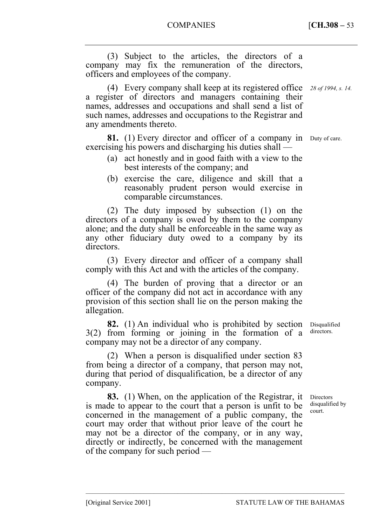(3) Subject to the articles, the directors of a company may fix the remuneration of the directors, officers and employees of the company.

(4) Every company shall keep at its registered office *28 of 1994, s. 14.*  a register of directors and managers containing their names, addresses and occupations and shall send a list of such names, addresses and occupations to the Registrar and any amendments thereto.

**81.** (1) Every director and officer of a company in Duty of care. exercising his powers and discharging his duties shall —

- (a) act honestly and in good faith with a view to the best interests of the company; and
- (b) exercise the care, diligence and skill that a reasonably prudent person would exercise in comparable circumstances.

(2) The duty imposed by subsection (1) on the directors of a company is owed by them to the company alone; and the duty shall be enforceable in the same way as any other fiduciary duty owed to a company by its directors.

(3) Every director and officer of a company shall comply with this Act and with the articles of the company.

(4) The burden of proving that a director or an officer of the company did not act in accordance with any provision of this section shall lie on the person making the allegation.

**82.** (1) An individual who is prohibited by section 3(2) from forming or joining in the formation of a company may not be a director of any company.

(2) When a person is disqualified under section 83 from being a director of a company, that person may not, during that period of disqualification, be a director of any company.

**83.** (1) When, on the application of the Registrar, it is made to appear to the court that a person is unfit to be concerned in the management of a public company, the court may order that without prior leave of the court he may not be a director of the company, or in any way, directly or indirectly, be concerned with the management of the company for such period —

––––––––––––––––––––––––––––––––––––––––––––––––––––––––––––––––––––––––––––

Disqualified directors.

**Directors** disqualified by court.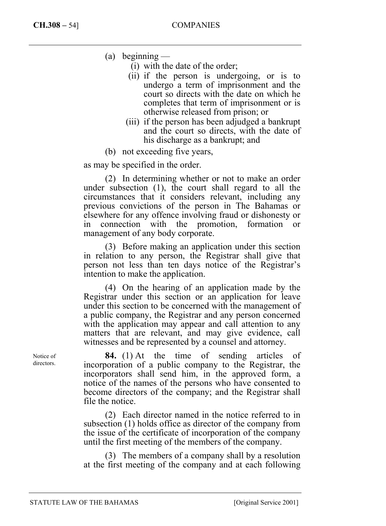- $(a)$  beginning
	- (i) with the date of the order;
	- (ii) if the person is undergoing, or is to undergo a term of imprisonment and the court so directs with the date on which he completes that term of imprisonment or is otherwise released from prison; or
	- (iii) if the person has been adjudged a bankrupt and the court so directs, with the date of his discharge as a bankrupt; and
- (b) not exceeding five years,

as may be specified in the order.

(2) In determining whether or not to make an order under subsection (1), the court shall regard to all the circumstances that it considers relevant, including any previous convictions of the person in The Bahamas or elsewhere for any offence involving fraud or dishonesty or in connection with the promotion, formation management of any body corporate.

(3) Before making an application under this section in relation to any person, the Registrar shall give that person not less than ten days notice of the Registrar's intention to make the application.

(4) On the hearing of an application made by the Registrar under this section or an application for leave under this section to be concerned with the management of a public company, the Registrar and any person concerned with the application may appear and call attention to any matters that are relevant, and may give evidence, call witnesses and be represented by a counsel and attorney.

**84.** (1) At the time of sending articles of incorporation of a public company to the Registrar, the incorporators shall send him, in the approved form, a notice of the names of the persons who have consented to become directors of the company; and the Registrar shall file the notice.

(2) Each director named in the notice referred to in subsection (1) holds office as director of the company from the issue of the certificate of incorporation of the company until the first meeting of the members of the company.

(3) The members of a company shall by a resolution at the first meeting of the company and at each following

Notice of directors.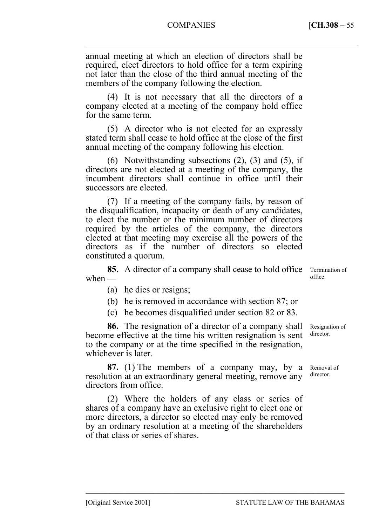annual meeting at which an election of directors shall be required, elect directors to hold office for a term expiring not later than the close of the third annual meeting of the members of the company following the election.

(4) It is not necessary that all the directors of a company elected at a meeting of the company hold office for the same term.

(5) A director who is not elected for an expressly stated term shall cease to hold office at the close of the first annual meeting of the company following his election.

(6) Notwithstanding subsections (2), (3) and (5), if directors are not elected at a meeting of the company, the incumbent directors shall continue in office until their successors are elected.

(7) If a meeting of the company fails, by reason of the disqualification, incapacity or death of any candidates, to elect the number or the minimum number of directors required by the articles of the company, the directors elected at that meeting may exercise all the powers of the directors as if the number of directors so elected constituted a quorum.

**85.** A director of a company shall cease to hold office when  $-$ Termination of office.

- (a) he dies or resigns;
- (b) he is removed in accordance with section 87; or

(c) he becomes disqualified under section 82 or 83.

**86.** The resignation of a director of a company shall become effective at the time his written resignation is sent to the company or at the time specified in the resignation, whichever is later.

**87.** (1) The members of a company may, by a resolution at an extraordinary general meeting, remove any directors from office.

(2) Where the holders of any class or series of shares of a company have an exclusive right to elect one or more directors, a director so elected may only be removed by an ordinary resolution at a meeting of the shareholders of that class or series of shares.

––––––––––––––––––––––––––––––––––––––––––––––––––––––––––––––––––––––––––––

Resignation of director.

Removal of director.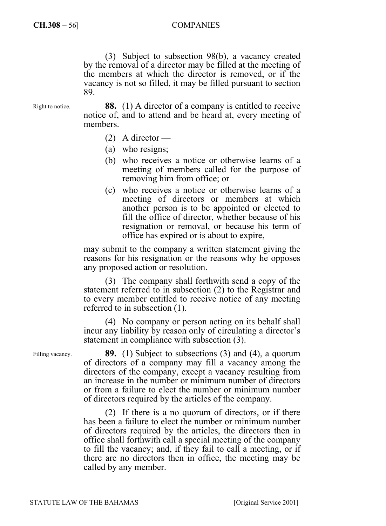(3) Subject to subsection 98(b), a vacancy created by the removal of a director may be filled at the meeting of the members at which the director is removed, or if the vacancy is not so filled, it may be filled pursuant to section 89.

Right to notice.

**88.** (1) A director of a company is entitled to receive notice of, and to attend and be heard at, every meeting of members.

- $(2)$  A director —
- (a) who resigns;
- (b) who receives a notice or otherwise learns of a meeting of members called for the purpose of removing him from office; or
- (c) who receives a notice or otherwise learns of a meeting of directors or members at which another person is to be appointed or elected to fill the office of director, whether because of his resignation or removal, or because his term of office has expired or is about to expire,

may submit to the company a written statement giving the reasons for his resignation or the reasons why he opposes any proposed action or resolution.

(3) The company shall forthwith send a copy of the statement referred to in subsection (2) to the Registrar and to every member entitled to receive notice of any meeting referred to in subsection (1).

(4) No company or person acting on its behalf shall incur any liability by reason only of circulating a director's statement in compliance with subsection (3).

Filling vacancy.

**89.** (1) Subject to subsections (3) and (4), a quorum of directors of a company may fill a vacancy among the directors of the company, except a vacancy resulting from an increase in the number or minimum number of directors or from a failure to elect the number or minimum number of directors required by the articles of the company.

(2) If there is a no quorum of directors, or if there has been a failure to elect the number or minimum number of directors required by the articles, the directors then in office shall forthwith call a special meeting of the company to fill the vacancy; and, if they fail to call a meeting, or if there are no directors then in office, the meeting may be called by any member.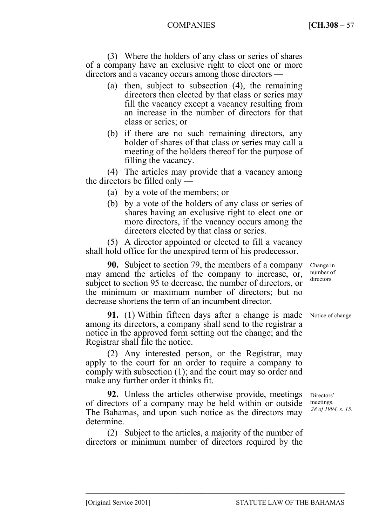(3) Where the holders of any class or series of shares of a company have an exclusive right to elect one or more directors and a vacancy occurs among those directors —

- (a) then, subject to subsection (4), the remaining directors then elected by that class or series may fill the vacancy except a vacancy resulting from an increase in the number of directors for that class or series; or
- (b) if there are no such remaining directors, any holder of shares of that class or series may call a meeting of the holders thereof for the purpose of filling the vacancy.

(4) The articles may provide that a vacancy among the directors be filled only —

- (a) by a vote of the members; or
- (b) by a vote of the holders of any class or series of shares having an exclusive right to elect one or more directors, if the vacancy occurs among the directors elected by that class or series.

(5) A director appointed or elected to fill a vacancy shall hold office for the unexpired term of his predecessor.

**90.** Subject to section 79, the members of a company may amend the articles of the company to increase, or, subject to section 95 to decrease, the number of directors, or the minimum or maximum number of directors; but no decrease shortens the term of an incumbent director.

**91.** (1) Within fifteen days after a change is made among its directors, a company shall send to the registrar a notice in the approved form setting out the change; and the Registrar shall file the notice.

(2) Any interested person, or the Registrar, may apply to the court for an order to require a company to comply with subsection (1); and the court may so order and make any further order it thinks fit.

**92.** Unless the articles otherwise provide, meetings of directors of a company may be held within or outside The Bahamas, and upon such notice as the directors may determine.

(2) Subject to the articles, a majority of the number of directors or minimum number of directors required by the

––––––––––––––––––––––––––––––––––––––––––––––––––––––––––––––––––––––––––––

Change in number of directors.

Notice of change.

Directors' meetings. *28 of 1994, s. 15.*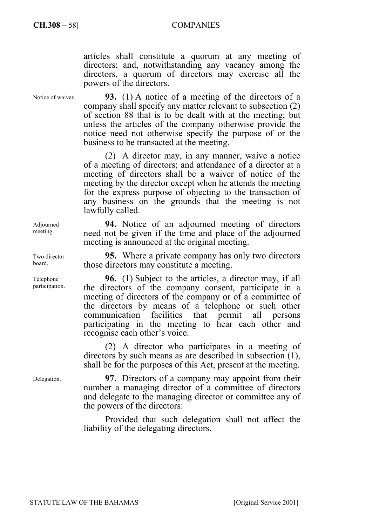#### **CH.308 –** 58] COMPANIES

articles shall constitute a quorum at any meeting of directors; and, notwithstanding any vacancy among the directors, a quorum of directors may exercise all the powers of the directors.

Notice of waiver.

**93.** (1) A notice of a meeting of the directors of a company shall specify any matter relevant to subsection (2) of section 88 that is to be dealt with at the meeting; but unless the articles of the company otherwise provide the notice need not otherwise specify the purpose of or the business to be transacted at the meeting.

(2) A director may, in any manner, waive a notice of a meeting of directors; and attendance of a director at a meeting of directors shall be a waiver of notice of the meeting by the director except when he attends the meeting for the express purpose of objecting to the transaction of any business on the grounds that the meeting is not lawfully called.

**94.** Notice of an adjourned meeting of directors need not be given if the time and place of the adjourned meeting is announced at the original meeting.

**95.** Where a private company has only two directors those directors may constitute a meeting.

**96.** (1) Subject to the articles, a director may, if all the directors of the company consent, participate in a meeting of directors of the company or of a committee of the directors by means of a telephone or such other communication facilities that permit all persons participating in the meeting to hear each other and recognise each other's voice.

(2) A director who participates in a meeting of directors by such means as are described in subsection (1), shall be for the purposes of this Act, present at the meeting.

**97.** Directors of a company may appoint from their number a managing director of a committee of directors and delegate to the managing director or committee any of the powers of the directors:

Provided that such delegation shall not affect the liability of the delegating directors.

Adjourned meeting.

Two director board.

Telephone participation.

Delegation.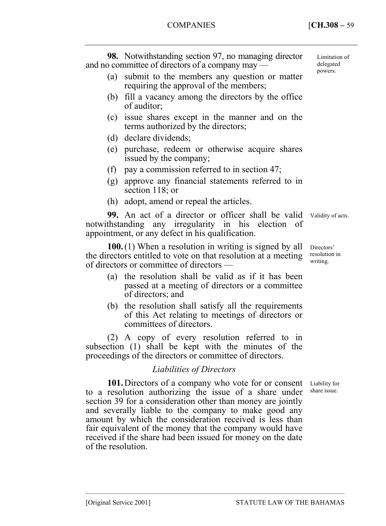**98.** Notwithstanding section 97, no managing director and no committee of directors of a company may —

- (a) submit to the members any question or matter requiring the approval of the members;
- (b) fill a vacancy among the directors by the office of auditor;
- (c) issue shares except in the manner and on the terms authorized by the directors;
- (d) declare dividends;
- (e) purchase, redeem or otherwise acquire shares issued by the company;
- (f) pay a commission referred to in section 47;
- (g) approve any financial statements referred to in section 118; or
- (h) adopt, amend or repeal the articles.

**99.** An act of a director or officer shall be valid notwithstanding any irregularity in his election of appointment, or any defect in his qualification.

**100.** (1) When a resolution in writing is signed by all the directors entitled to vote on that resolution at a meeting of directors or committee of directors —

- (a) the resolution shall be valid as if it has been passed at a meeting of directors or a committee of directors; and
- (b) the resolution shall satisfy all the requirements of this Act relating to meetings of directors or committees of directors.

(2) A copy of every resolution referred to in subsection (1) shall be kept with the minutes of the proceedings of the directors or committee of directors.

# *Liabilities of Directors*

**101.** Directors of a company who vote for or consent to a resolution authorizing the issue of a share under section 39 for a consideration other than money are jointly and severally liable to the company to make good any amount by which the consideration received is less than fair equivalent of the money that the company would have received if the share had been issued for money on the date of the resolution. Liability for share issue.

Limitation of delegated powers.

Validity of acts.

Directors' resolution in writing.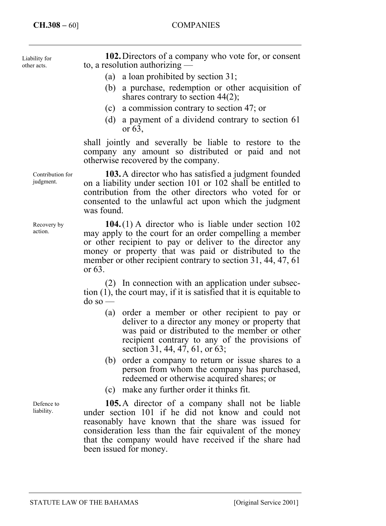#### **CH.308 –** 60] COMPANIES

Liability for other acts.

**102.** Directors of a company who vote for, or consent to, a resolution authorizing —

- (a) a loan prohibited by section 31;
- (b) a purchase, redemption or other acquisition of shares contrary to section 44(2);
- (c) a commission contrary to section 47; or
- (d) a payment of a dividend contrary to section 61 or 63,

shall jointly and severally be liable to restore to the company any amount so distributed or paid and not otherwise recovered by the company.

**103.** A director who has satisfied a judgment founded on a liability under section 101 or 102 shall be entitled to contribution from the other directors who voted for or consented to the unlawful act upon which the judgment was found.

**104.** (1) A director who is liable under section 102 may apply to the court for an order compelling a member or other recipient to pay or deliver to the director any money or property that was paid or distributed to the member or other recipient contrary to section 31, 44, 47, 61 or 63.

(2) In connection with an application under subsection (1), the court may, if it is satisfied that it is equitable to  $d$ o so  $-$ 

- (a) order a member or other recipient to pay or deliver to a director any money or property that was paid or distributed to the member or other recipient contrary to any of the provisions of section 31, 44, 47, 61, or 63;
- (b) order a company to return or issue shares to a person from whom the company has purchased, redeemed or otherwise acquired shares; or
- (c) make any further order it thinks fit.

**105.** A director of a company shall not be liable under section 101 if he did not know and could not reasonably have known that the share was issued for consideration less than the fair equivalent of the money that the company would have received if the share had been issued for money.

Contribution for judgment.

Recovery by action.

Defence to liability.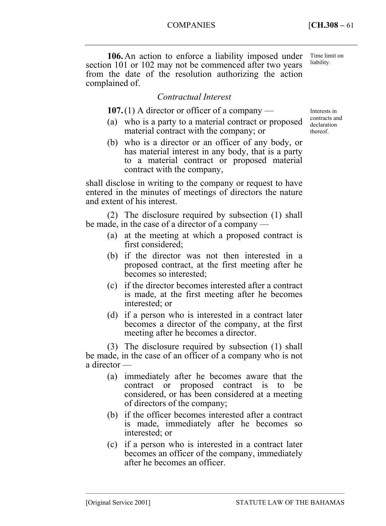COMPANIES [**CH.308 –** 61

**106.** An action to enforce a liability imposed under section 101 or 102 may not be commenced after two years from the date of the resolution authorizing the action complained of. Time limit on liability.

# *Contractual Interest*

**107.** (1) A director or officer of a company —

- (a) who is a party to a material contract or proposed material contract with the company; or
- (b) who is a director or an officer of any body, or has material interest in any body, that is a party to a material contract or proposed material contract with the company,

shall disclose in writing to the company or request to have entered in the minutes of meetings of directors the nature and extent of his interest.

(2) The disclosure required by subsection (1) shall be made, in the case of a director of a company —

- (a) at the meeting at which a proposed contract is first considered;
- (b) if the director was not then interested in a proposed contract, at the first meeting after he becomes so interested;
- (c) if the director becomes interested after a contract is made, at the first meeting after he becomes interested; or
- (d) if a person who is interested in a contract later becomes a director of the company, at the first meeting after he becomes a director.

(3) The disclosure required by subsection (1) shall be made, in the case of an officer of a company who is not a director —

- (a) immediately after he becomes aware that the contract or proposed contract is to be considered, or has been considered at a meeting of directors of the company;
- (b) if the officer becomes interested after a contract is made, immediately after he becomes so interested; or
- (c) if a person who is interested in a contract later becomes an officer of the company, immediately after he becomes an officer.

––––––––––––––––––––––––––––––––––––––––––––––––––––––––––––––––––––––––––––

Interests in contracts and declaration thereof.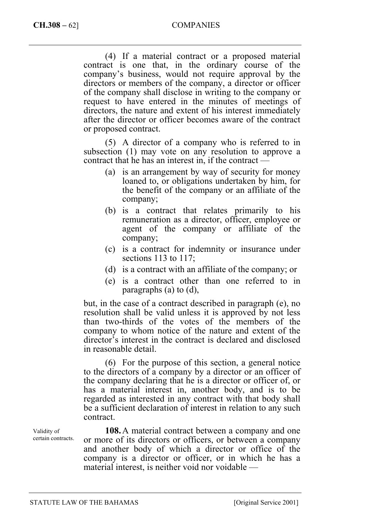(4) If a material contract or a proposed material contract is one that, in the ordinary course of the company's business, would not require approval by the directors or members of the company, a director or officer of the company shall disclose in writing to the company or request to have entered in the minutes of meetings of directors, the nature and extent of his interest immediately after the director or officer becomes aware of the contract or proposed contract.

(5) A director of a company who is referred to in subsection (1) may vote on any resolution to approve a contract that he has an interest in, if the contract —

- (a) is an arrangement by way of security for money loaned to, or obligations undertaken by him, for the benefit of the company or an affiliate of the company;
- (b) is a contract that relates primarily to his remuneration as a director, officer, employee or agent of the company or affiliate of the company;
- (c) is a contract for indemnity or insurance under sections 113 to 117;
- (d) is a contract with an affiliate of the company; or
- (e) is a contract other than one referred to in paragraphs (a) to (d),

but, in the case of a contract described in paragraph (e), no resolution shall be valid unless it is approved by not less than two-thirds of the votes of the members of the company to whom notice of the nature and extent of the director's interest in the contract is declared and disclosed in reasonable detail.

(6) For the purpose of this section, a general notice to the directors of a company by a director or an officer of the company declaring that he is a director or officer of, or has a material interest in, another body, and is to be regarded as interested in any contract with that body shall be a sufficient declaration of interest in relation to any such contract.

Validity of certain contracts.

**108.** A material contract between a company and one or more of its directors or officers, or between a company and another body of which a director or office of the company is a director or officer, or in which he has a material interest, is neither void nor voidable —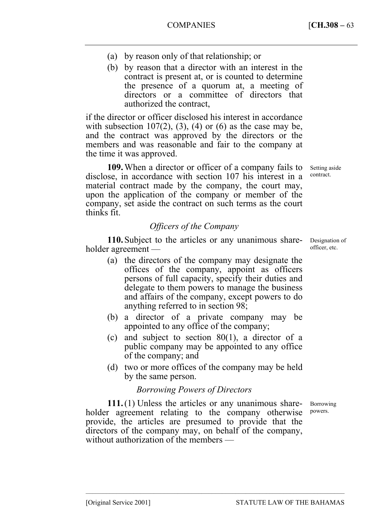- (a) by reason only of that relationship; or
- (b) by reason that a director with an interest in the contract is present at, or is counted to determine the presence of a quorum at, a meeting of directors or a committee of directors that authorized the contract,

if the director or officer disclosed his interest in accordance with subsection  $107(2)$ ,  $(3)$ ,  $(4)$  or  $(6)$  as the case may be, and the contract was approved by the directors or the members and was reasonable and fair to the company at the time it was approved.

**109.** When a director or officer of a company fails to disclose, in accordance with section 107 his interest in a material contract made by the company, the court may, upon the application of the company or member of the company, set aside the contract on such terms as the court thinks fit.

# *Officers of the Company*

**110.** Subject to the articles or any unanimous shareholder agreement —

- (a) the directors of the company may designate the offices of the company, appoint as officers persons of full capacity, specify their duties and delegate to them powers to manage the business and affairs of the company, except powers to do anything referred to in section 98;
- (b) a director of a private company may be appointed to any office of the company;
- (c) and subject to section 80(1), a director of a public company may be appointed to any office of the company; and
- (d) two or more offices of the company may be held by the same person.

## *Borrowing Powers of Directors*

**111.** (1) Unless the articles or any unanimous shareholder agreement relating to the company otherwise provide, the articles are presumed to provide that the directors of the company may, on behalf of the company, without authorization of the members —

––––––––––––––––––––––––––––––––––––––––––––––––––––––––––––––––––––––––––––

Borrowing powers.

Designation of officer, etc.

Setting aside contract.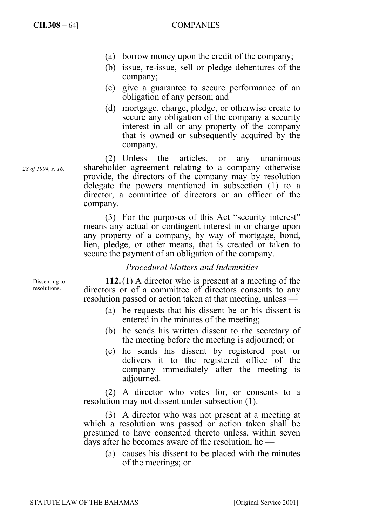- (a) borrow money upon the credit of the company;
- (b) issue, re-issue, sell or pledge debentures of the company;
- (c) give a guarantee to secure performance of an obligation of any person; and
- (d) mortgage, charge, pledge, or otherwise create to secure any obligation of the company a security interest in all or any property of the company that is owned or subsequently acquired by the company.

(2) Unless the articles, or any unanimous shareholder agreement relating to a company otherwise provide, the directors of the company may by resolution delegate the powers mentioned in subsection (1) to a director, a committee of directors or an officer of the company.

(3) For the purposes of this Act "security interest" means any actual or contingent interest in or charge upon any property of a company, by way of mortgage, bond, lien, pledge, or other means, that is created or taken to secure the payment of an obligation of the company.

## *Procedural Matters and Indemnities*

**112.** (1) A director who is present at a meeting of the directors or of a committee of directors consents to any resolution passed or action taken at that meeting, unless —

- (a) he requests that his dissent be or his dissent is entered in the minutes of the meeting;
- (b) he sends his written dissent to the secretary of the meeting before the meeting is adjourned; or
- (c) he sends his dissent by registered post or delivers it to the registered office of the company immediately after the meeting is adjourned.

(2) A director who votes for, or consents to a resolution may not dissent under subsection (1).

(3) A director who was not present at a meeting at which a resolution was passed or action taken shall be presumed to have consented thereto unless, within seven days after he becomes aware of the resolution, he —

(a) causes his dissent to be placed with the minutes of the meetings; or

*28 of 1994, s. 16.* 

Dissenting to resolutions.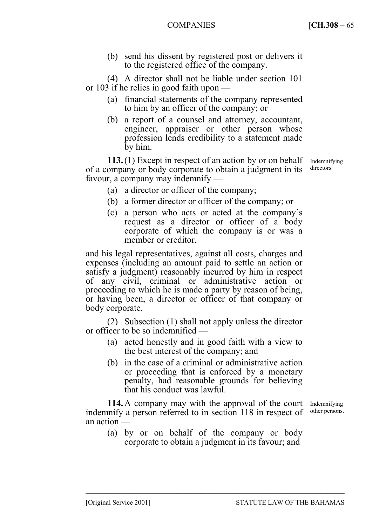(b) send his dissent by registered post or delivers it to the registered office of the company.

(4) A director shall not be liable under section 101 or 103 if he relies in good faith upon —

- (a) financial statements of the company represented to him by an officer of the company; or
- (b) a report of a counsel and attorney, accountant, engineer, appraiser or other person whose profession lends credibility to a statement made by him.

**113.** (1) Except in respect of an action by or on behalf of a company or body corporate to obtain a judgment in its favour, a company may indemnify —

Indemnifying directors.

- (a) a director or officer of the company;
- (b) a former director or officer of the company; or
- (c) a person who acts or acted at the company's request as a director or officer of a body corporate of which the company is or was a member or creditor,

and his legal representatives, against all costs, charges and expenses (including an amount paid to settle an action or satisfy a judgment) reasonably incurred by him in respect of any civil, criminal or administrative action or proceeding to which he is made a party by reason of being, or having been, a director or officer of that company or body corporate.

(2) Subsection (1) shall not apply unless the director or officer to be so indemnified —

- (a) acted honestly and in good faith with a view to the best interest of the company; and
- (b) in the case of a criminal or administrative action or proceeding that is enforced by a monetary penalty, had reasonable grounds for believing that his conduct was lawful.

**114.** A company may with the approval of the court indemnify a person referred to in section 118 in respect of an action —

- Indemnifying other persons.
- (a) by or on behalf of the company or body corporate to obtain a judgment in its favour; and

––––––––––––––––––––––––––––––––––––––––––––––––––––––––––––––––––––––––––––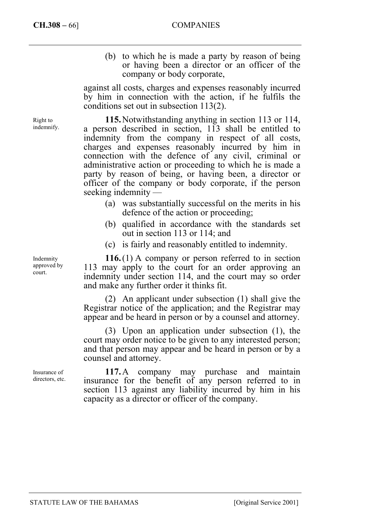Right to indemnify. (b) to which he is made a party by reason of being or having been a director or an officer of the company or body corporate,

against all costs, charges and expenses reasonably incurred by him in connection with the action, if he fulfils the conditions set out in subsection 113(2).

**115.** Notwithstanding anything in section 113 or 114, a person described in section, 113 shall be entitled to indemnity from the company in respect of all costs, charges and expenses reasonably incurred by him in connection with the defence of any civil, criminal or administrative action or proceeding to which he is made a party by reason of being, or having been, a director or officer of the company or body corporate, if the person seeking indemnity —

- (a) was substantially successful on the merits in his defence of the action or proceeding;
- (b) qualified in accordance with the standards set out in section 113 or 114; and
- (c) is fairly and reasonably entitled to indemnity.

**116.** (1) A company or person referred to in section 113 may apply to the court for an order approving an indemnity under section 114, and the court may so order and make any further order it thinks fit.

(2) An applicant under subsection (1) shall give the Registrar notice of the application; and the Registrar may appear and be heard in person or by a counsel and attorney.

(3) Upon an application under subsection (1), the court may order notice to be given to any interested person; and that person may appear and be heard in person or by a counsel and attorney.

**117.** A company may purchase and maintain insurance for the benefit of any person referred to in section 113 against any liability incurred by him in his capacity as a director or officer of the company.

Indemnity approved by court.

Insurance of directors, etc.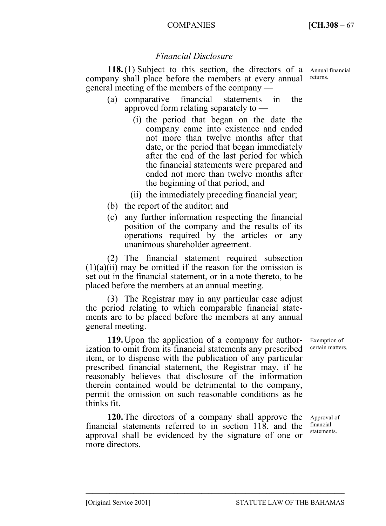# *Financial Disclosure*

118. (1) Subject to this section, the directors of a Annual financial company shall place before the members at every annual general meeting of the members of the company —

- (a) comparative financial statements in the approved form relating separately to —
	- (i) the period that began on the date the company came into existence and ended not more than twelve months after that date, or the period that began immediately after the end of the last period for which the financial statements were prepared and ended not more than twelve months after the beginning of that period, and
	- (ii) the immediately preceding financial year;
- (b) the report of the auditor; and
- (c) any further information respecting the financial position of the company and the results of its operations required by the articles or any unanimous shareholder agreement.

(2) The financial statement required subsection  $(1)(a)(ii)$  may be omitted if the reason for the omission is set out in the financial statement, or in a note thereto, to be placed before the members at an annual meeting.

(3) The Registrar may in any particular case adjust the period relating to which comparable financial statements are to be placed before the members at any annual general meeting.

**119.** Upon the application of a company for authorization to omit from its financial statements any prescribed item, or to dispense with the publication of any particular prescribed financial statement, the Registrar may, if he reasonably believes that disclosure of the information therein contained would be detrimental to the company, permit the omission on such reasonable conditions as he thinks fit.

**120.** The directors of a company shall approve the financial statements referred to in section 118, and the approval shall be evidenced by the signature of one or more directors.

––––––––––––––––––––––––––––––––––––––––––––––––––––––––––––––––––––––––––––

Exemption of certain matters.

Approval of financial statements.

returns.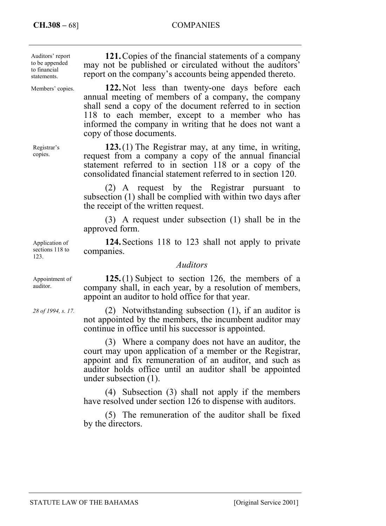**CH.308 –** 68] COMPANIES

**121.** Copies of the financial statements of a company may not be published or circulated without the auditors' report on the company's accounts being appended thereto. **122.** Not less than twenty-one days before each annual meeting of members of a company, the company shall send a copy of the document referred to in section 118 to each member, except to a member who has informed the company in writing that he does not want a copy of those documents. **123.** (1) The Registrar may, at any time, in writing, request from a company a copy of the annual financial statement referred to in section 118 or a copy of the consolidated financial statement referred to in section 120. (2) A request by the Registrar pursuant to subsection (1) shall be complied with within two days after the receipt of the written request. (3) A request under subsection (1) shall be in the approved form. **124.** Sections 118 to 123 shall not apply to private companies. *Auditors*  Auditors' report to be appended to financial statements. Members' copies. Registrar's copies.

**125.** (1) Subject to section 126, the members of a company shall, in each year, by a resolution of members, appoint an auditor to hold office for that year.

(2) Notwithstanding subsection (1), if an auditor is not appointed by the members, the incumbent auditor may continue in office until his successor is appointed.

(3) Where a company does not have an auditor, the court may upon application of a member or the Registrar, appoint and fix remuneration of an auditor, and such as auditor holds office until an auditor shall be appointed under subsection (1).

(4) Subsection (3) shall not apply if the members have resolved under section 126 to dispense with auditors.

(5) The remuneration of the auditor shall be fixed by the directors.

Application of sections 118 to 123.

Appointment of auditor.

*28 of 1994, s. 17.*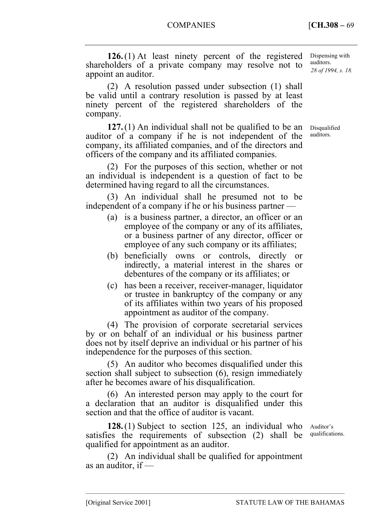**126.** (1) At least ninety percent of the registered shareholders of a private company may resolve not to appoint an auditor. *28 of 1994, s. 18.*  Dispensing with auditors.

(2) A resolution passed under subsection (1) shall be valid until a contrary resolution is passed by at least ninety percent of the registered shareholders of the company.

**127.** (1) An individual shall not be qualified to be an auditor of a company if he is not independent of the company, its affiliated companies, and of the directors and officers of the company and its affiliated companies.

(2) For the purposes of this section, whether or not an individual is independent is a question of fact to be determined having regard to all the circumstances.

(3) An individual shall he presumed not to be independent of a company if he or his business partner —

- (a) is a business partner, a director, an officer or an employee of the company or any of its affiliates, or a business partner of any director, officer or employee of any such company or its affiliates;
- (b) beneficially owns or controls, directly or indirectly, a material interest in the shares or debentures of the company or its affiliates; or
- (c) has been a receiver, receiver-manager, liquidator or trustee in bankruptcy of the company or any of its affiliates within two years of his proposed appointment as auditor of the company.

(4) The provision of corporate secretarial services by or on behalf of an individual or his business partner does not by itself deprive an individual or his partner of his independence for the purposes of this section.

(5) An auditor who becomes disqualified under this section shall subject to subsection (6), resign immediately after he becomes aware of his disqualification.

(6) An interested person may apply to the court for a declaration that an auditor is disqualified under this section and that the office of auditor is vacant.

**128.** (1) Subject to section 125, an individual who satisfies the requirements of subsection (2) shall be qualified for appointment as an auditor.

Auditor's qualifications.

(2) An individual shall be qualified for appointment as an auditor, if —

––––––––––––––––––––––––––––––––––––––––––––––––––––––––––––––––––––––––––––

Disqualified auditors.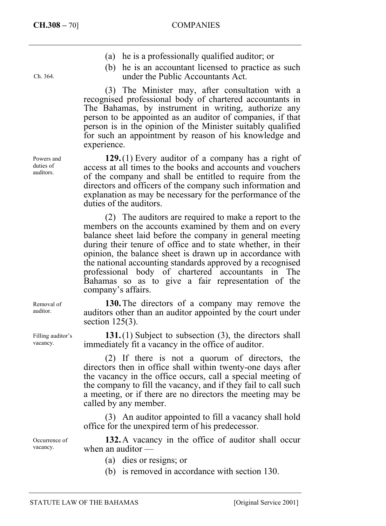- (a) he is a professionally qualified auditor; or
- (b) he is an accountant licensed to practice as such under the Public Accountants Act.

(3) The Minister may, after consultation with a recognised professional body of chartered accountants in The Bahamas, by instrument in writing, authorize any person to be appointed as an auditor of companies, if that person is in the opinion of the Minister suitably qualified for such an appointment by reason of his knowledge and experience.

**129.** (1) Every auditor of a company has a right of access at all times to the books and accounts and vouchers of the company and shall be entitled to require from the directors and officers of the company such information and explanation as may be necessary for the performance of the duties of the auditors.

(2) The auditors are required to make a report to the members on the accounts examined by them and on every balance sheet laid before the company in general meeting during their tenure of office and to state whether, in their opinion, the balance sheet is drawn up in accordance with the national accounting standards approved by a recognised professional body of chartered accountants in The Bahamas so as to give a fair representation of the company's affairs.

**130.** The directors of a company may remove the auditors other than an auditor appointed by the court under section  $125(3)$ .

**131.** (1) Subject to subsection (3), the directors shall immediately fit a vacancy in the office of auditor.

(2) If there is not a quorum of directors, the directors then in office shall within twenty-one days after the vacancy in the office occurs, call a special meeting of the company to fill the vacancy, and if they fail to call such a meeting, or if there are no directors the meeting may be called by any member.

(3) An auditor appointed to fill a vacancy shall hold office for the unexpired term of his predecessor.

**132.** A vacancy in the office of auditor shall occur when an auditor —

- (a) dies or resigns; or
- (b) is removed in accordance with section 130.

Powers and duties of auditors.

Ch. 364.

Removal of auditor.

Filling auditor's vacancy.

Occurrence of vacancy.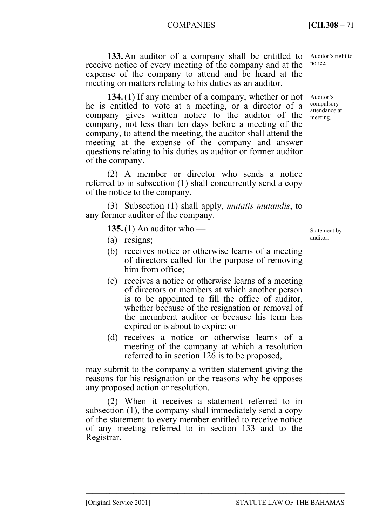**133.** An auditor of a company shall be entitled to receive notice of every meeting of the company and at the expense of the company to attend and be heard at the meeting on matters relating to his duties as an auditor.

**134.** (1) If any member of a company, whether or not he is entitled to vote at a meeting, or a director of a company gives written notice to the auditor of the company, not less than ten days before a meeting of the company, to attend the meeting, the auditor shall attend the meeting at the expense of the company and answer questions relating to his duties as auditor or former auditor of the company.

(2) A member or director who sends a notice referred to in subsection (1) shall concurrently send a copy of the notice to the company.

(3) Subsection (1) shall apply, *mutatis mutandis*, to any former auditor of the company.

**135.** (1) An auditor who —

Statement by auditor.

- (a) resigns;
- (b) receives notice or otherwise learns of a meeting of directors called for the purpose of removing him from office;
- (c) receives a notice or otherwise learns of a meeting of directors or members at which another person is to be appointed to fill the office of auditor, whether because of the resignation or removal of the incumbent auditor or because his term has expired or is about to expire; or
- (d) receives a notice or otherwise learns of a meeting of the company at which a resolution referred to in section 126 is to be proposed,

may submit to the company a written statement giving the reasons for his resignation or the reasons why he opposes any proposed action or resolution.

(2) When it receives a statement referred to in subsection (1), the company shall immediately send a copy of the statement to every member entitled to receive notice of any meeting referred to in section 133 and to the Registrar.

––––––––––––––––––––––––––––––––––––––––––––––––––––––––––––––––––––––––––––

Auditor's compulsory attendance at meeting.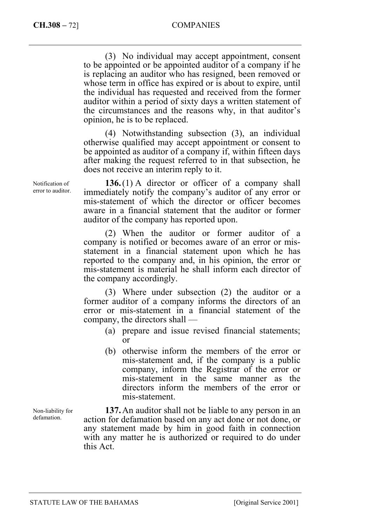#### **CH.308 –** 72] COMPANIES

(3) No individual may accept appointment, consent to be appointed or be appointed auditor of a company if he is replacing an auditor who has resigned, been removed or whose term in office has expired or is about to expire, until the individual has requested and received from the former auditor within a period of sixty days a written statement of the circumstances and the reasons why, in that auditor's opinion, he is to be replaced.

(4) Notwithstanding subsection (3), an individual otherwise qualified may accept appointment or consent to be appointed as auditor of a company if, within fifteen days after making the request referred to in that subsection, he does not receive an interim reply to it.

**136.** (1) A director or officer of a company shall immediately notify the company's auditor of any error or mis-statement of which the director or officer becomes aware in a financial statement that the auditor or former auditor of the company has reported upon.

(2) When the auditor or former auditor of a company is notified or becomes aware of an error or misstatement in a financial statement upon which he has reported to the company and, in his opinion, the error or mis-statement is material he shall inform each director of the company accordingly.

(3) Where under subsection (2) the auditor or a former auditor of a company informs the directors of an error or mis-statement in a financial statement of the company, the directors shall —

- (a) prepare and issue revised financial statements; or
- (b) otherwise inform the members of the error or mis-statement and, if the company is a public company, inform the Registrar of the error or mis-statement in the same manner as the directors inform the members of the error or mis-statement.

**137.** An auditor shall not be liable to any person in an action for defamation based on any act done or not done, or any statement made by him in good faith in connection with any matter he is authorized or required to do under this Act.

Notification of error to auditor.

Non-liability for defamation.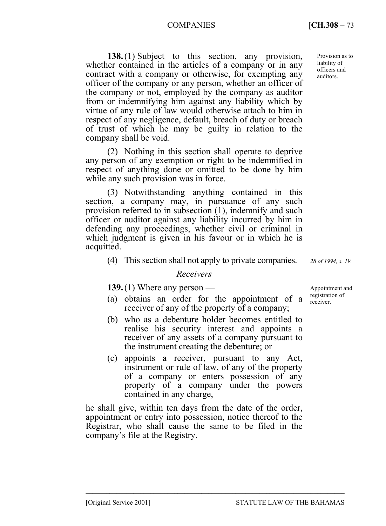Provision as to liability of officers and auditors.

**138.** (1) Subject to this section, any provision, whether contained in the articles of a company or in any contract with a company or otherwise, for exempting any officer of the company or any person, whether an officer of the company or not, employed by the company as auditor from or indemnifying him against any liability which by virtue of any rule of law would otherwise attach to him in respect of any negligence, default, breach of duty or breach of trust of which he may be guilty in relation to the company shall be void.

(2) Nothing in this section shall operate to deprive any person of any exemption or right to be indemnified in respect of anything done or omitted to be done by him while any such provision was in force.

(3) Notwithstanding anything contained in this section, a company may, in pursuance of any such provision referred to in subsection (1), indemnify and such officer or auditor against any liability incurred by him in defending any proceedings, whether civil or criminal in which judgment is given in his favour or in which he is acquitted.

(4) This section shall not apply to private companies.

#### *Receivers*

**139.** (1) Where any person —

- (a) obtains an order for the appointment of a receiver of any of the property of a company;
- (b) who as a debenture holder becomes entitled to realise his security interest and appoints a receiver of any assets of a company pursuant to the instrument creating the debenture; or
- (c) appoints a receiver, pursuant to any Act, instrument or rule of law, of any of the property of a company or enters possession of any property of a company under the powers contained in any charge,

––––––––––––––––––––––––––––––––––––––––––––––––––––––––––––––––––––––––––––

he shall give, within ten days from the date of the order, appointment or entry into possession, notice thereof to the Registrar, who shall cause the same to be filed in the company's file at the Registry.

Appointment and registration of receiver.

*28 of 1994, s. 19.*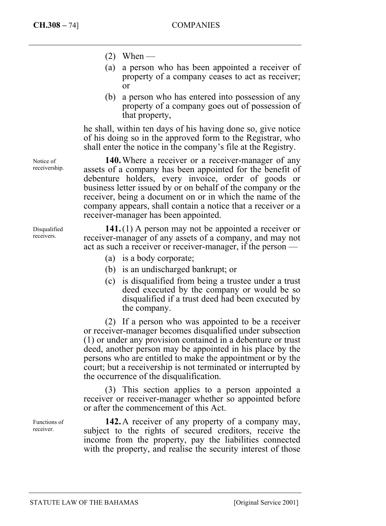- $(2)$  When —
- (a) a person who has been appointed a receiver of property of a company ceases to act as receiver; or
- (b) a person who has entered into possession of any property of a company goes out of possession of that property,

he shall, within ten days of his having done so, give notice of his doing so in the approved form to the Registrar, who shall enter the notice in the company's file at the Registry.

**140.** Where a receiver or a receiver-manager of any assets of a company has been appointed for the benefit of debenture holders, every invoice, order of goods or business letter issued by or on behalf of the company or the receiver, being a document on or in which the name of the company appears, shall contain a notice that a receiver or a receiver-manager has been appointed.

**141.** (1) A person may not be appointed a receiver or receiver-manager of any assets of a company, and may not act as such a receiver or receiver-manager, if the person —

- (a) is a body corporate;
- (b) is an undischarged bankrupt; or
- (c) is disqualified from being a trustee under a trust deed executed by the company or would be so disqualified if a trust deed had been executed by the company.

(2) If a person who was appointed to be a receiver or receiver-manager becomes disqualified under subsection (1) or under any provision contained in a debenture or trust deed, another person may be appointed in his place by the persons who are entitled to make the appointment or by the court; but a receivership is not terminated or interrupted by the occurrence of the disqualification.

(3) This section applies to a person appointed a receiver or receiver-manager whether so appointed before or after the commencement of this Act.

**142.** A receiver of any property of a company may, subject to the rights of secured creditors, receive the income from the property, pay the liabilities connected with the property, and realise the security interest of those

Notice of receivership.

Disqualified receivers.

Functions of receiver.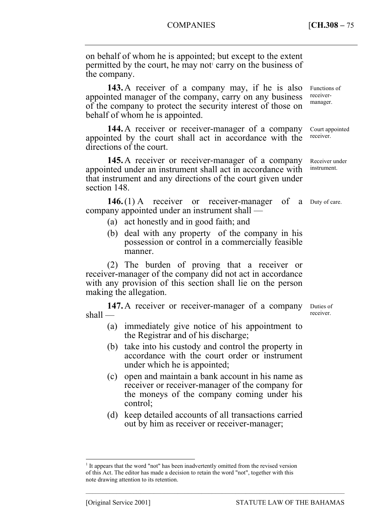on behalf of whom he is appointed; but except to the extent permitted by the court, he may not carry on the business of the company.

**143.** A receiver of a company may, if he is also appointed manager of the company, carry on any business of the company to protect the security interest of those on behalf of whom he is appointed. Functions of receivermanager.

**144.** A receiver or receiver-manager of a company appointed by the court shall act in accordance with the directions of the court. Court appointed

**145.** A receiver or receiver-manager of a company appointed under an instrument shall act in accordance with that instrument and any directions of the court given under section 148.

**146.** (1) A receiver or receiver-manager of a company appointed under an instrument shall —

- (a) act honestly and in good faith; and
- (b) deal with any property of the company in his possession or control in a commercially feasible manner.

(2) The burden of proving that a receiver or receiver-manager of the company did not act in accordance with any provision of this section shall lie on the person making the allegation.

147. A receiver or receiver-manager of a company shall —

- (a) immediately give notice of his appointment to the Registrar and of his discharge;
- (b) take into his custody and control the property in accordance with the court order or instrument under which he is appointed;
- (c) open and maintain a bank account in his name as receiver or receiver-manager of the company for the moneys of the company coming under his control;
- (d) keep detailed accounts of all transactions carried out by him as receiver or receiver-manager;

––––––––––––––––––––––––––––––––––––––––––––––––––––––––––––––––––––––––––––

 $\overline{a}$ 

# receiver.

Receiver under instrument.

Duty of care.

<sup>1</sup> It appears that the word "not" has been inadvertently omitted from the revised version of this Act. The editor has made a decision to retain the word "not", together with this note drawing attention to its retention.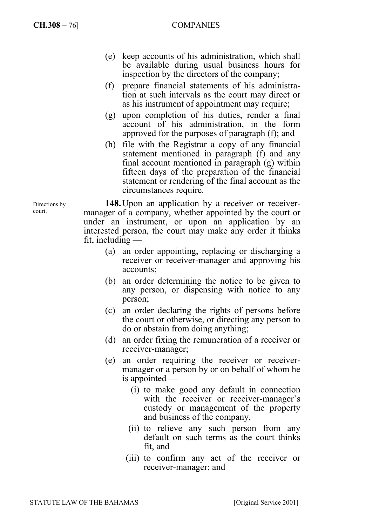- (e) keep accounts of his administration, which shall be available during usual business hours for inspection by the directors of the company;
- (f) prepare financial statements of his administration at such intervals as the court may direct or as his instrument of appointment may require;
- (g) upon completion of his duties, render a final account of his administration, in the form approved for the purposes of paragraph (f); and
- (h) file with the Registrar a copy of any financial statement mentioned in paragraph (f) and any final account mentioned in paragraph (g) within fifteen days of the preparation of the financial statement or rendering of the final account as the circumstances require.

**148.** Upon an application by a receiver or receivermanager of a company, whether appointed by the court or under an instrument, or upon an application by an interested person, the court may make any order it thinks fit, including —

- (a) an order appointing, replacing or discharging a receiver or receiver-manager and approving his accounts;
- (b) an order determining the notice to be given to any person, or dispensing with notice to any person;
- (c) an order declaring the rights of persons before the court or otherwise, or directing any person to do or abstain from doing anything;
- (d) an order fixing the remuneration of a receiver or receiver-manager;
- (e) an order requiring the receiver or receivermanager or a person by or on behalf of whom he is appointed —
	- (i) to make good any default in connection with the receiver or receiver-manager's custody or management of the property and business of the company,
	- (ii) to relieve any such person from any default on such terms as the court thinks fit, and
	- (iii) to confirm any act of the receiver or receiver-manager; and

Directions by court.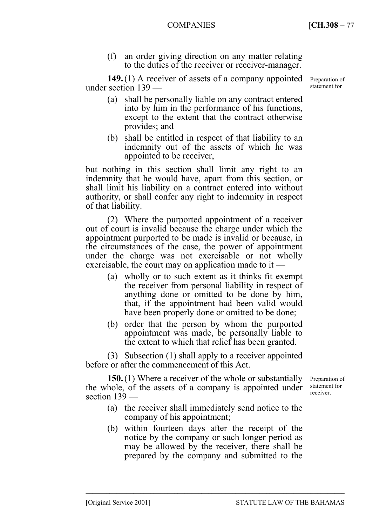(f) an order giving direction on any matter relating to the duties of the receiver or receiver-manager.

**149.** (1) A receiver of assets of a company appointed under section 139 —

- Preparation of statement for
- (a) shall be personally liable on any contract entered into by him in the performance of his functions, except to the extent that the contract otherwise provides; and
- (b) shall be entitled in respect of that liability to an indemnity out of the assets of which he was appointed to be receiver,

but nothing in this section shall limit any right to an indemnity that he would have, apart from this section, or shall limit his liability on a contract entered into without authority, or shall confer any right to indemnity in respect of that liability.

(2) Where the purported appointment of a receiver out of court is invalid because the charge under which the appointment purported to be made is invalid or because, in the circumstances of the case, the power of appointment under the charge was not exercisable or not wholly exercisable, the court may on application made to it  $-$ 

- (a) wholly or to such extent as it thinks fit exempt the receiver from personal liability in respect of anything done or omitted to be done by him, that, if the appointment had been valid would have been properly done or omitted to be done;
- (b) order that the person by whom the purported appointment was made, be personally liable to the extent to which that relief has been granted.

(3) Subsection (1) shall apply to a receiver appointed before or after the commencement of this Act.

**150.** (1) Where a receiver of the whole or substantially the whole, of the assets of a company is appointed under statement for section 139 —

Preparation of receiver.

- (a) the receiver shall immediately send notice to the company of his appointment;
- (b) within fourteen days after the receipt of the notice by the company or such longer period as may be allowed by the receiver, there shall be prepared by the company and submitted to the

––––––––––––––––––––––––––––––––––––––––––––––––––––––––––––––––––––––––––––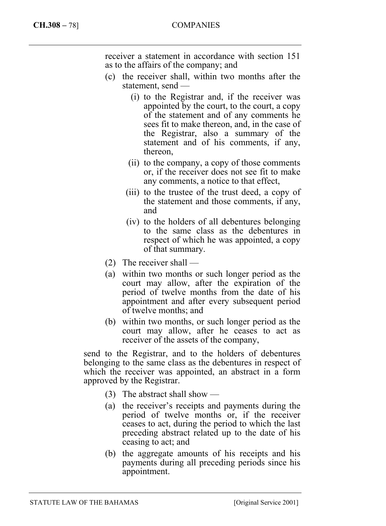receiver a statement in accordance with section 151 as to the affairs of the company; and

- (c) the receiver shall, within two months after the statement, send —
	- (i) to the Registrar and, if the receiver was appointed by the court, to the court, a copy of the statement and of any comments he sees fit to make thereon, and, in the case of the Registrar, also a summary of the statement and of his comments, if any, thereon,
	- (ii) to the company, a copy of those comments or, if the receiver does not see fit to make any comments, a notice to that effect,
	- (iii) to the trustee of the trust deed, a copy of the statement and those comments, if any, and
	- (iv) to the holders of all debentures belonging to the same class as the debentures in respect of which he was appointed, a copy of that summary.
- (2) The receiver shall —
- (a) within two months or such longer period as the court may allow, after the expiration of the period of twelve months from the date of his appointment and after every subsequent period of twelve months; and
- (b) within two months, or such longer period as the court may allow, after he ceases to act as receiver of the assets of the company,

send to the Registrar, and to the holders of debentures belonging to the same class as the debentures in respect of which the receiver was appointed, an abstract in a form approved by the Registrar.

- $(3)$  The abstract shall show —
- (a) the receiver's receipts and payments during the period of twelve months or, if the receiver ceases to act, during the period to which the last preceding abstract related up to the date of his ceasing to act; and
- (b) the aggregate amounts of his receipts and his payments during all preceding periods since his appointment.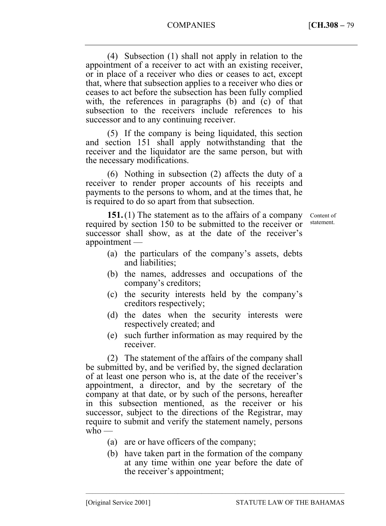#### COMPANIES [**CH.308 –** 79

(4) Subsection (1) shall not apply in relation to the appointment of a receiver to act with an existing receiver, or in place of a receiver who dies or ceases to act, except that, where that subsection applies to a receiver who dies or ceases to act before the subsection has been fully complied with, the references in paragraphs (b) and (c) of that subsection to the receivers include references to his successor and to any continuing receiver.

(5) If the company is being liquidated, this section and section 151 shall apply notwithstanding that the receiver and the liquidator are the same person, but with the necessary modifications.

(6) Nothing in subsection (2) affects the duty of a receiver to render proper accounts of his receipts and payments to the persons to whom, and at the times that, he is required to do so apart from that subsection.

**151.** (1) The statement as to the affairs of a company required by section 150 to be submitted to the receiver or successor shall show, as at the date of the receiver's appointment —

Content of statement.

- (a) the particulars of the company's assets, debts and liabilities;
- (b) the names, addresses and occupations of the company's creditors;
- (c) the security interests held by the company's creditors respectively;
- (d) the dates when the security interests were respectively created; and
- (e) such further information as may required by the receiver.

(2) The statement of the affairs of the company shall be submitted by, and be verified by, the signed declaration of at least one person who is, at the date of the receiver's appointment, a director, and by the secretary of the company at that date, or by such of the persons, hereafter in this subsection mentioned, as the receiver or his successor, subject to the directions of the Registrar, may require to submit and verify the statement namely, persons  $w$ ho —

- (a) are or have officers of the company;
- (b) have taken part in the formation of the company at any time within one year before the date of the receiver's appointment;

––––––––––––––––––––––––––––––––––––––––––––––––––––––––––––––––––––––––––––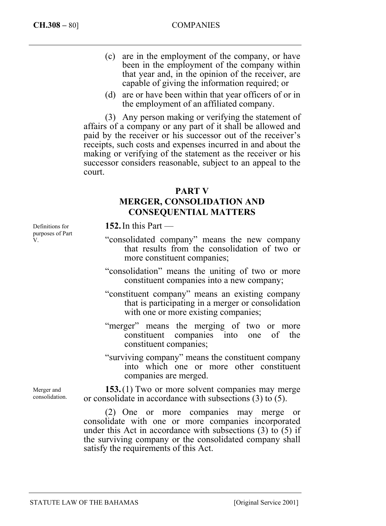- (c) are in the employment of the company, or have been in the employment of the company within that year and, in the opinion of the receiver, are capable of giving the information required; or
- (d) are or have been within that year officers of or in the employment of an affiliated company.

(3) Any person making or verifying the statement of affairs of a company or any part of it shall be allowed and paid by the receiver or his successor out of the receiver's receipts, such costs and expenses incurred in and about the making or verifying of the statement as the receiver or his successor considers reasonable, subject to an appeal to the court.

#### **PART V**

# **MERGER, CONSOLIDATION AND CONSEQUENTIAL MATTERS**

**152.** In this Part —

- "consolidated company" means the new company that results from the consolidation of two or more constituent companies;
- "consolidation" means the uniting of two or more constituent companies into a new company;
- "constituent company" means an existing company that is participating in a merger or consolidation with one or more existing companies;
- "merger" means the merging of two or more constituent companies into one of the constituent companies;
- "surviving company" means the constituent company into which one or more other constituent companies are merged.

**153.** (1) Two or more solvent companies may merge or consolidate in accordance with subsections (3) to (5).

(2) One or more companies may merge or consolidate with one or more companies incorporated under this Act in accordance with subsections (3) to (5) if the surviving company or the consolidated company shall satisfy the requirements of this Act.

Definitions for purposes of Part V.

Merger and consolidation.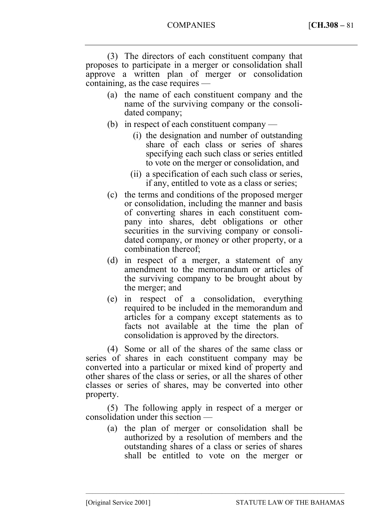COMPANIES [**CH.308 –** 81

(3) The directors of each constituent company that proposes to participate in a merger or consolidation shall approve a written plan of merger or consolidation containing, as the case requires —

- (a) the name of each constituent company and the name of the surviving company or the consolidated company;
- (b) in respect of each constituent company
	- (i) the designation and number of outstanding share of each class or series of shares specifying each such class or series entitled to vote on the merger or consolidation, and
	- (ii) a specification of each such class or series, if any, entitled to vote as a class or series;
- (c) the terms and conditions of the proposed merger or consolidation, including the manner and basis of converting shares in each constituent company into shares, debt obligations or other securities in the surviving company or consolidated company, or money or other property, or a combination thereof;
- (d) in respect of a merger, a statement of any amendment to the memorandum or articles of the surviving company to be brought about by the merger; and
- (e) in respect of a consolidation, everything required to be included in the memorandum and articles for a company except statements as to facts not available at the time the plan of consolidation is approved by the directors.

(4) Some or all of the shares of the same class or series of shares in each constituent company may be converted into a particular or mixed kind of property and other shares of the class or series, or all the shares of other classes or series of shares, may be converted into other property.

(5) The following apply in respect of a merger or consolidation under this section —

(a) the plan of merger or consolidation shall be authorized by a resolution of members and the outstanding shares of a class or series of shares shall be entitled to vote on the merger or

––––––––––––––––––––––––––––––––––––––––––––––––––––––––––––––––––––––––––––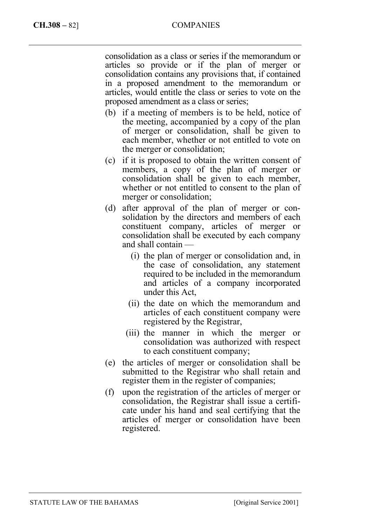#### **CH.308 –** 82] COMPANIES

consolidation as a class or series if the memorandum or articles so provide or if the plan of merger or consolidation contains any provisions that, if contained in a proposed amendment to the memorandum or articles, would entitle the class or series to vote on the proposed amendment as a class or series;

- (b) if a meeting of members is to be held, notice of the meeting, accompanied by a copy of the plan of merger or consolidation, shall be given to each member, whether or not entitled to vote on the merger or consolidation;
- (c) if it is proposed to obtain the written consent of members, a copy of the plan of merger or consolidation shall be given to each member, whether or not entitled to consent to the plan of merger or consolidation;
- (d) after approval of the plan of merger or consolidation by the directors and members of each constituent company, articles of merger or consolidation shall be executed by each company and shall contain —
	- (i) the plan of merger or consolidation and, in the case of consolidation, any statement required to be included in the memorandum and articles of a company incorporated under this Act,
	- (ii) the date on which the memorandum and articles of each constituent company were registered by the Registrar,
	- (iii) the manner in which the merger or consolidation was authorized with respect to each constituent company;
- (e) the articles of merger or consolidation shall be submitted to the Registrar who shall retain and register them in the register of companies;
- (f) upon the registration of the articles of merger or consolidation, the Registrar shall issue a certificate under his hand and seal certifying that the articles of merger or consolidation have been registered.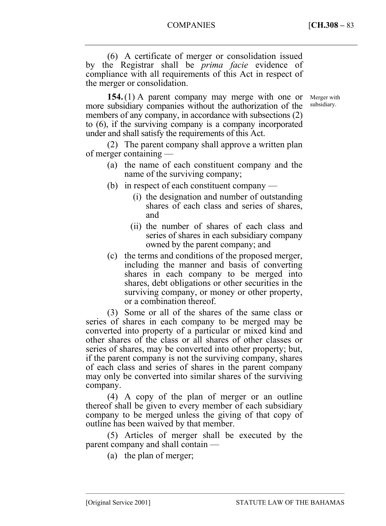(6) A certificate of merger or consolidation issued by the Registrar shall be *prima facie* evidence of compliance with all requirements of this Act in respect of the merger or consolidation.

**154.** (1) A parent company may merge with one or more subsidiary companies without the authorization of the members of any company, in accordance with subsections (2) to (6), if the surviving company is a company incorporated under and shall satisfy the requirements of this Act.

Merger with subsidiary.

(2) The parent company shall approve a written plan of merger containing —

- (a) the name of each constituent company and the name of the surviving company;
- (b) in respect of each constituent company
	- (i) the designation and number of outstanding shares of each class and series of shares, and
	- (ii) the number of shares of each class and series of shares in each subsidiary company owned by the parent company; and
- (c) the terms and conditions of the proposed merger, including the manner and basis of converting shares in each company to be merged into shares, debt obligations or other securities in the surviving company, or money or other property, or a combination thereof.

(3) Some or all of the shares of the same class or series of shares in each company to be merged may be converted into property of a particular or mixed kind and other shares of the class or all shares of other classes or series of shares, may be converted into other property; but, if the parent company is not the surviving company, shares of each class and series of shares in the parent company may only be converted into similar shares of the surviving company.

(4) A copy of the plan of merger or an outline thereof shall be given to every member of each subsidiary company to be merged unless the giving of that copy of outline has been waived by that member.

(5) Articles of merger shall be executed by the parent company and shall contain —

––––––––––––––––––––––––––––––––––––––––––––––––––––––––––––––––––––––––––––

(a) the plan of merger;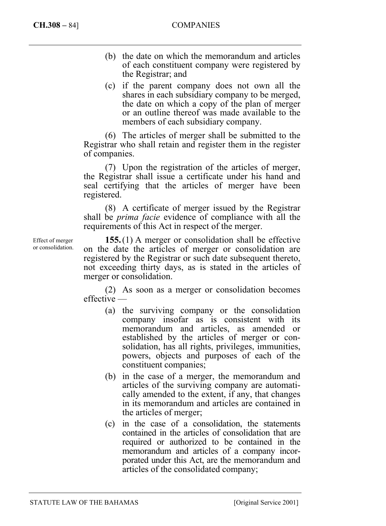- (b) the date on which the memorandum and articles of each constituent company were registered by the Registrar; and
- (c) if the parent company does not own all the shares in each subsidiary company to be merged, the date on which a copy of the plan of merger or an outline thereof was made available to the members of each subsidiary company.

(6) The articles of merger shall be submitted to the Registrar who shall retain and register them in the register of companies.

(7) Upon the registration of the articles of merger, the Registrar shall issue a certificate under his hand and seal certifying that the articles of merger have been registered.

(8) A certificate of merger issued by the Registrar shall be *prima facie* evidence of compliance with all the requirements of this Act in respect of the merger.

**155.** (1) A merger or consolidation shall be effective on the date the articles of merger or consolidation are registered by the Registrar or such date subsequent thereto, not exceeding thirty days, as is stated in the articles of merger or consolidation.

(2) As soon as a merger or consolidation becomes effective —

- (a) the surviving company or the consolidation company insofar as is consistent with its memorandum and articles, as amended or established by the articles of merger or consolidation, has all rights, privileges, immunities, powers, objects and purposes of each of the constituent companies;
- (b) in the case of a merger, the memorandum and articles of the surviving company are automatically amended to the extent, if any, that changes in its memorandum and articles are contained in the articles of merger;
- (c) in the case of a consolidation, the statements contained in the articles of consolidation that are required or authorized to be contained in the memorandum and articles of a company incorporated under this Act, are the memorandum and articles of the consolidated company;

Effect of merger or consolidation.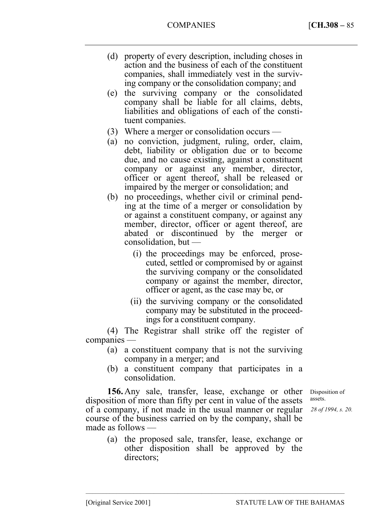- (d) property of every description, including choses in action and the business of each of the constituent companies, shall immediately vest in the surviving company or the consolidation company; and
- (e) the surviving company or the consolidated company shall be liable for all claims, debts, liabilities and obligations of each of the constituent companies.
- (3) Where a merger or consolidation occurs —
- (a) no conviction, judgment, ruling, order, claim, debt, liability or obligation due or to become due, and no cause existing, against a constituent company or against any member, director, officer or agent thereof, shall be released or impaired by the merger or consolidation; and
- (b) no proceedings, whether civil or criminal pending at the time of a merger or consolidation by or against a constituent company, or against any member, director, officer or agent thereof, are abated or discontinued by the merger or consolidation, but —
	- (i) the proceedings may be enforced, prosecuted, settled or compromised by or against the surviving company or the consolidated company or against the member, director, officer or agent, as the case may be, or
	- (ii) the surviving company or the consolidated company may be substituted in the proceedings for a constituent company.

(4) The Registrar shall strike off the register of companies —

- (a) a constituent company that is not the surviving company in a merger; and
- (b) a constituent company that participates in a consolidation.

**156.** Any sale, transfer, lease, exchange or other disposition of more than fifty per cent in value of the assets of a company, if not made in the usual manner or regular course of the business carried on by the company, shall be made as follows —

- Disposition of assets. *28 of 1994, s. 20.*
- (a) the proposed sale, transfer, lease, exchange or other disposition shall be approved by the directors;

––––––––––––––––––––––––––––––––––––––––––––––––––––––––––––––––––––––––––––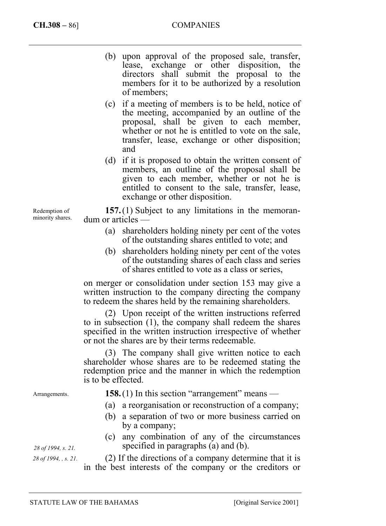- (b) upon approval of the proposed sale, transfer, lease, exchange or other disposition, the directors shall submit the proposal to the members for it to be authorized by a resolution of members;
- (c) if a meeting of members is to be held, notice of the meeting, accompanied by an outline of the proposal, shall be given to each member, whether or not he is entitled to vote on the sale, transfer, lease, exchange or other disposition; and
- (d) if it is proposed to obtain the written consent of members, an outline of the proposal shall be given to each member, whether or not he is entitled to consent to the sale, transfer, lease, exchange or other disposition.

**157.** (1) Subject to any limitations in the memorandum or articles —

- (a) shareholders holding ninety per cent of the votes of the outstanding shares entitled to vote; and
- (b) shareholders holding ninety per cent of the votes of the outstanding shares of each class and series of shares entitled to vote as a class or series,

on merger or consolidation under section 153 may give a written instruction to the company directing the company to redeem the shares held by the remaining shareholders.

(2) Upon receipt of the written instructions referred to in subsection (1), the company shall redeem the shares specified in the written instruction irrespective of whether or not the shares are by their terms redeemable.

(3) The company shall give written notice to each shareholder whose shares are to be redeemed stating the redemption price and the manner in which the redemption is to be effected.

Arrangements.

*28 of 1994, s. 21. 28 of 1994, , s. 21.* 

Redemption of minority shares.

**158.** (1) In this section "arrangement" means —

- (a) a reorganisation or reconstruction of a company;
- (b) a separation of two or more business carried on by a company;
- (c) any combination of any of the circumstances specified in paragraphs (a) and (b).

(2) If the directions of a company determine that it is in the best interests of the company or the creditors or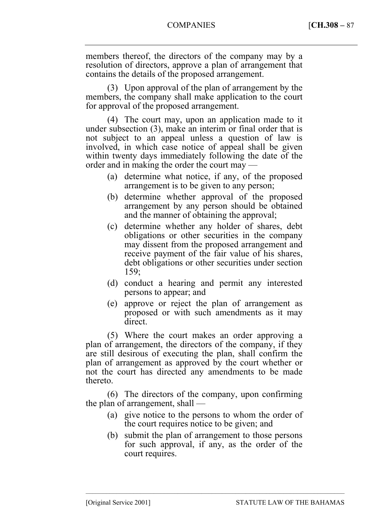members thereof, the directors of the company may by a resolution of directors, approve a plan of arrangement that contains the details of the proposed arrangement.

(3) Upon approval of the plan of arrangement by the members, the company shall make application to the court for approval of the proposed arrangement.

(4) The court may, upon an application made to it under subsection (3), make an interim or final order that is not subject to an appeal unless a question of law is involved, in which case notice of appeal shall be given within twenty days immediately following the date of the order and in making the order the court may —

- (a) determine what notice, if any, of the proposed arrangement is to be given to any person;
- (b) determine whether approval of the proposed arrangement by any person should be obtained and the manner of obtaining the approval;
- (c) determine whether any holder of shares, debt obligations or other securities in the company may dissent from the proposed arrangement and receive payment of the fair value of his shares, debt obligations or other securities under section 159;
- (d) conduct a hearing and permit any interested persons to appear; and
- (e) approve or reject the plan of arrangement as proposed or with such amendments as it may direct.

(5) Where the court makes an order approving a plan of arrangement, the directors of the company, if they are still desirous of executing the plan, shall confirm the plan of arrangement as approved by the court whether or not the court has directed any amendments to be made thereto.

(6) The directors of the company, upon confirming the plan of arrangement, shall —

- (a) give notice to the persons to whom the order of the court requires notice to be given; and
- (b) submit the plan of arrangement to those persons for such approval, if any, as the order of the court requires.

––––––––––––––––––––––––––––––––––––––––––––––––––––––––––––––––––––––––––––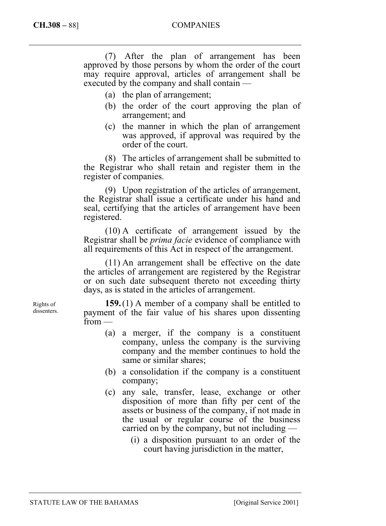#### **CH.308 –** 88] COMPANIES

(7) After the plan of arrangement has been approved by those persons by whom the order of the court may require approval, articles of arrangement shall be executed by the company and shall contain —

(a) the plan of arrangement;

- (b) the order of the court approving the plan of arrangement; and
- (c) the manner in which the plan of arrangement was approved, if approval was required by the order of the court.

(8) The articles of arrangement shall be submitted to the Registrar who shall retain and register them in the register of companies.

(9) Upon registration of the articles of arrangement, the Registrar shall issue a certificate under his hand and seal, certifying that the articles of arrangement have been registered.

(10) A certificate of arrangement issued by the Registrar shall be *prima facie* evidence of compliance with all requirements of this Act in respect of the arrangement.

(11) An arrangement shall be effective on the date the articles of arrangement are registered by the Registrar or on such date subsequent thereto not exceeding thirty days, as is stated in the articles of arrangement.

**159.** (1) A member of a company shall be entitled to payment of the fair value of his shares upon dissenting  $from -$ 

- (a) a merger, if the company is a constituent company, unless the company is the surviving company and the member continues to hold the same or similar shares;
- (b) a consolidation if the company is a constituent company;
- (c) any sale, transfer, lease, exchange or other disposition of more than fifty per cent of the assets or business of the company, if not made in the usual or regular course of the business carried on by the company, but not including —
	- (i) a disposition pursuant to an order of the court having jurisdiction in the matter,

Rights of dissenters.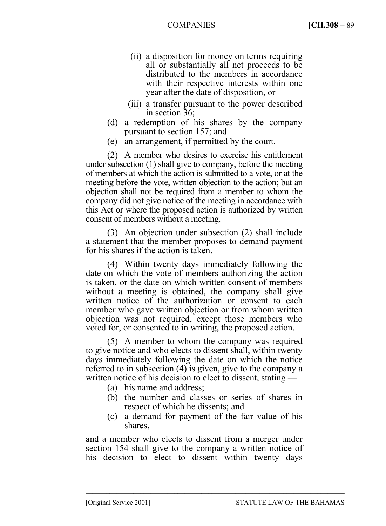- (ii) a disposition for money on terms requiring all or substantially all net proceeds to be distributed to the members in accordance with their respective interests within one year after the date of disposition, or
- (iii) a transfer pursuant to the power described in section 36;
- (d) a redemption of his shares by the company pursuant to section 157; and
- (e) an arrangement, if permitted by the court.

(2) A member who desires to exercise his entitlement under subsection (1) shall give to company, before the meeting of members at which the action is submitted to a vote, or at the meeting before the vote, written objection to the action; but an objection shall not be required from a member to whom the company did not give notice of the meeting in accordance with this Act or where the proposed action is authorized by written consent of members without a meeting.

(3) An objection under subsection (2) shall include a statement that the member proposes to demand payment for his shares if the action is taken.

(4) Within twenty days immediately following the date on which the vote of members authorizing the action is taken, or the date on which written consent of members without a meeting is obtained, the company shall give written notice of the authorization or consent to each member who gave written objection or from whom written objection was not required, except those members who voted for, or consented to in writing, the proposed action.

(5) A member to whom the company was required to give notice and who elects to dissent shall, within twenty days immediately following the date on which the notice referred to in subsection (4) is given, give to the company a written notice of his decision to elect to dissent, stating —

- (a) his name and address;
- (b) the number and classes or series of shares in respect of which he dissents; and
- (c) a demand for payment of the fair value of his shares,

––––––––––––––––––––––––––––––––––––––––––––––––––––––––––––––––––––––––––––

and a member who elects to dissent from a merger under section 154 shall give to the company a written notice of his decision to elect to dissent within twenty days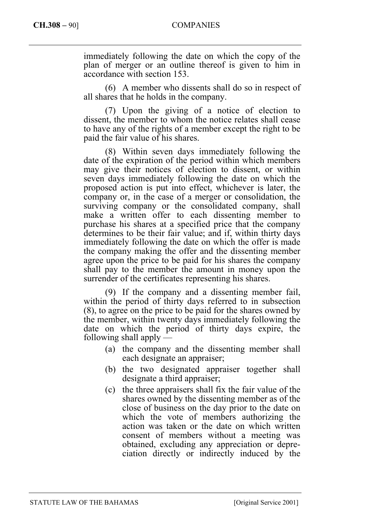immediately following the date on which the copy of the plan of merger or an outline thereof is given to him in accordance with section 153.

(6) A member who dissents shall do so in respect of all shares that he holds in the company.

(7) Upon the giving of a notice of election to dissent, the member to whom the notice relates shall cease to have any of the rights of a member except the right to be paid the fair value of his shares.

(8) Within seven days immediately following the date of the expiration of the period within which members may give their notices of election to dissent, or within seven days immediately following the date on which the proposed action is put into effect, whichever is later, the company or, in the case of a merger or consolidation, the surviving company or the consolidated company, shall make a written offer to each dissenting member to purchase his shares at a specified price that the company determines to be their fair value; and if, within thirty days immediately following the date on which the offer is made the company making the offer and the dissenting member agree upon the price to be paid for his shares the company shall pay to the member the amount in money upon the surrender of the certificates representing his shares.

(9) If the company and a dissenting member fail, within the period of thirty days referred to in subsection (8), to agree on the price to be paid for the shares owned by the member, within twenty days immediately following the date on which the period of thirty days expire, the following shall apply —

- (a) the company and the dissenting member shall each designate an appraiser;
- (b) the two designated appraiser together shall designate a third appraiser;
- (c) the three appraisers shall fix the fair value of the shares owned by the dissenting member as of the close of business on the day prior to the date on which the vote of members authorizing the action was taken or the date on which written consent of members without a meeting was obtained, excluding any appreciation or depreciation directly or indirectly induced by the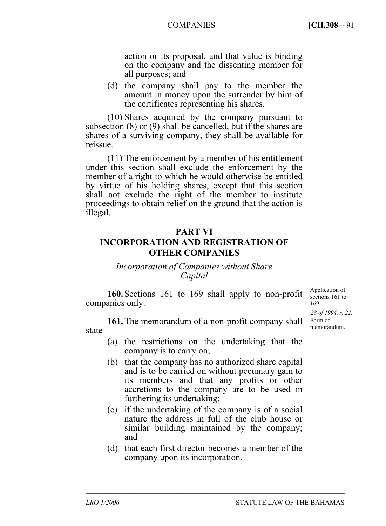action or its proposal, and that value is binding on the company and the dissenting member for all purposes; and

(d) the company shall pay to the member the amount in money upon the surrender by him of the certificates representing his shares.

(10) Shares acquired by the company pursuant to subsection (8) or (9) shall be cancelled, but if the shares are shares of a surviving company, they shall be available for reissue.

(11) The enforcement by a member of his entitlement under this section shall exclude the enforcement by the member of a right to which he would otherwise be entitled by virtue of his holding shares, except that this section shall not exclude the right of the member to institute proceedings to obtain relief on the ground that the action is illegal.

### **PART VI INCORPORATION AND REGISTRATION OF OTHER COMPANIES**

# *Incorporation of Companies without Share Capital*

**160.** Sections 161 to 169 shall apply to non-profit companies only.

Application of sections 161 to 169. *28 of 1994, s. 22.*  memorandum.

161. The memorandum of a non-profit company shall Form of state —

- (a) the restrictions on the undertaking that the company is to carry on;
- (b) that the company has no authorized share capital and is to be carried on without pecuniary gain to its members and that any profits or other accretions to the company are to be used in furthering its undertaking;
- (c) if the undertaking of the company is of a social nature the address in full of the club house or similar building maintained by the company; and
- (d) that each first director becomes a member of the company upon its incorporation.

––––––––––––––––––––––––––––––––––––––––––––––––––––––––––––––––––––––––––––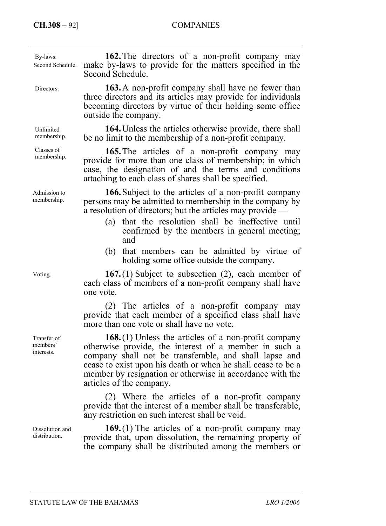# **CH.308** – 92] COMPANIES

| By-laws.<br>Second Schedule.          | 162. The directors of a non-profit company may<br>make by-laws to provide for the matters specified in the<br>Second Schedule.                                                                                                                                                                                                          |
|---------------------------------------|-----------------------------------------------------------------------------------------------------------------------------------------------------------------------------------------------------------------------------------------------------------------------------------------------------------------------------------------|
| Directors.                            | 163. A non-profit company shall have no fewer than<br>three directors and its articles may provide for individuals<br>becoming directors by virtue of their holding some office<br>outside the company.                                                                                                                                 |
| Unlimited<br>membership.              | <b>164.</b> Unless the articles otherwise provide, there shall<br>be no limit to the membership of a non-profit company.                                                                                                                                                                                                                |
| Classes of<br>membership.             | 165. The articles of a non-profit company may<br>provide for more than one class of membership; in which<br>case, the designation of and the terms and conditions<br>attaching to each class of shares shall be specified.                                                                                                              |
| Admission to<br>membership.           | 166. Subject to the articles of a non-profit company<br>persons may be admitted to membership in the company by<br>a resolution of directors; but the articles may provide -<br>that the resolution shall be ineffective until<br>(a)<br>confirmed by the members in general meeting;<br>and                                            |
|                                       | that members can be admitted by virtue of<br>(b)<br>holding some office outside the company.                                                                                                                                                                                                                                            |
| Voting.                               | 167.(1) Subject to subsection $(2)$ , each member of<br>each class of members of a non-profit company shall have<br>one vote.                                                                                                                                                                                                           |
|                                       | (2) The articles of a non-profit company may<br>provide that each member of a specified class shall have<br>more than one vote or shall have no vote.                                                                                                                                                                                   |
| Transfer of<br>members'<br>interests. | <b>168.</b> (1) Unless the articles of a non-profit company<br>otherwise provide, the interest of a member in such a<br>company shall not be transferable, and shall lapse and<br>cease to exist upon his death or when he shall cease to be a<br>member by resignation or otherwise in accordance with the<br>articles of the company. |
|                                       | (2) Where the articles of a non-profit company<br>provide that the interest of a member shall be transferable,<br>any restriction on such interest shall be void.                                                                                                                                                                       |
| Dissolution and<br>distribution.      | 169.(1) The articles of a non-profit company may<br>provide that, upon dissolution, the remaining property of<br>the company shall be distributed among the members or                                                                                                                                                                  |
|                                       |                                                                                                                                                                                                                                                                                                                                         |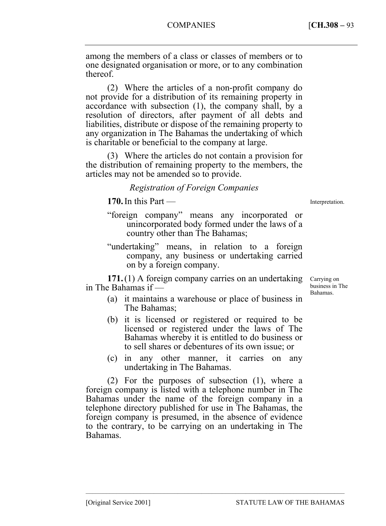among the members of a class or classes of members or to one designated organisation or more, or to any combination thereof.

(2) Where the articles of a non-profit company do not provide for a distribution of its remaining property in accordance with subsection (1), the company shall, by a resolution of directors, after payment of all debts and liabilities, distribute or dispose of the remaining property to any organization in The Bahamas the undertaking of which is charitable or beneficial to the company at large.

(3) Where the articles do not contain a provision for the distribution of remaining property to the members, the articles may not be amended so to provide.

# *Registration of Foreign Companies*

**170.** In this Part —

Interpretation.

- "foreign company" means any incorporated or unincorporated body formed under the laws of a country other than The Bahamas;
- "undertaking" means, in relation to a foreign company, any business or undertaking carried on by a foreign company.

**171.** (1) A foreign company carries on an undertaking in The Bahamas if —

- (a) it maintains a warehouse or place of business in The Bahamas;
- (b) it is licensed or registered or required to be licensed or registered under the laws of The Bahamas whereby it is entitled to do business or to sell shares or debentures of its own issue; or
- (c) in any other manner, it carries on any undertaking in The Bahamas.

––––––––––––––––––––––––––––––––––––––––––––––––––––––––––––––––––––––––––––

(2) For the purposes of subsection (1), where a foreign company is listed with a telephone number in The Bahamas under the name of the foreign company in a telephone directory published for use in The Bahamas, the foreign company is presumed, in the absence of evidence to the contrary, to be carrying on an undertaking in The Bahamas.

Carrying on business in The Bahamas.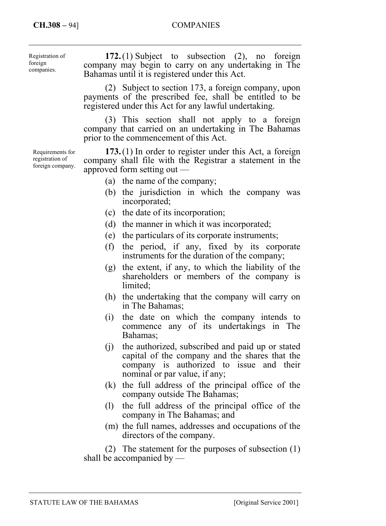### **CH.308 –** 94] COMPANIES

**172.** (1) Subject to subsection (2), no foreign company may begin to carry on any undertaking in The Bahamas until it is registered under this Act. (2) Subject to section 173, a foreign company, upon payments of the prescribed fee, shall be entitled to be registered under this Act for any lawful undertaking. Registration of foreign companies.

> (3) This section shall not apply to a foreign company that carried on an undertaking in The Bahamas prior to the commencement of this Act.

**173.** (1) In order to register under this Act, a foreign company shall file with the Registrar a statement in the approved form setting out —

- (a) the name of the company;
- (b) the jurisdiction in which the company was incorporated;
- (c) the date of its incorporation;
- (d) the manner in which it was incorporated;
- (e) the particulars of its corporate instruments;
- (f) the period, if any, fixed by its corporate instruments for the duration of the company;
- (g) the extent, if any, to which the liability of the shareholders or members of the company is limited;
- (h) the undertaking that the company will carry on in The Bahamas;
- (i) the date on which the company intends to commence any of its undertakings in The Bahamas;
- (j) the authorized, subscribed and paid up or stated capital of the company and the shares that the company is authorized to issue and their nominal or par value, if any;
- (k) the full address of the principal office of the company outside The Bahamas;
- (l) the full address of the principal office of the company in The Bahamas; and
- (m) the full names, addresses and occupations of the directors of the company.

(2) The statement for the purposes of subsection (1) shall be accompanied by —

Requirements for registration of foreign company.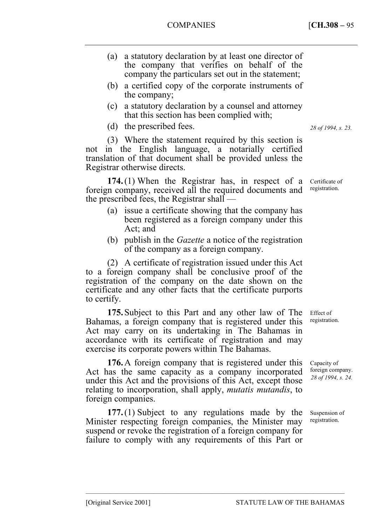- (a) a statutory declaration by at least one director of the company that verifies on behalf of the company the particulars set out in the statement;
- (b) a certified copy of the corporate instruments of the company;
- (c) a statutory declaration by a counsel and attorney that this section has been complied with;
- (d) the prescribed fees.

(3) Where the statement required by this section is not in the English language, a notarially certified translation of that document shall be provided unless the Registrar otherwise directs.

**174.** (1) When the Registrar has, in respect of a foreign company, received all the required documents and the prescribed fees, the Registrar shall —

- (a) issue a certificate showing that the company has been registered as a foreign company under this Act; and
- (b) publish in the *Gazette* a notice of the registration of the company as a foreign company.

(2) A certificate of registration issued under this Act to a foreign company shall be conclusive proof of the registration of the company on the date shown on the certificate and any other facts that the certificate purports to certify.

**175.** Subject to this Part and any other law of The Bahamas, a foreign company that is registered under this Act may carry on its undertaking in The Bahamas in accordance with its certificate of registration and may exercise its corporate powers within The Bahamas.

**176.** A foreign company that is registered under this Act has the same capacity as a company incorporated under this Act and the provisions of this Act, except those relating to incorporation, shall apply, *mutatis mutandis*, to foreign companies.

**177.** (1) Subject to any regulations made by the Minister respecting foreign companies, the Minister may suspend or revoke the registration of a foreign company for failure to comply with any requirements of this Part or

––––––––––––––––––––––––––––––––––––––––––––––––––––––––––––––––––––––––––––

*28 of 1994, s. 23.* 

Certificate of registration.

Effect of registration.

Capacity of foreign company. *28 of 1994, s. 24.* 

Suspension of registration.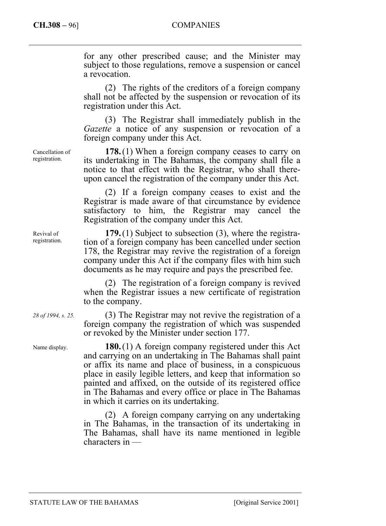#### **CH.308 –** 96] COMPANIES

for any other prescribed cause; and the Minister may subject to those regulations, remove a suspension or cancel a revocation.

(2) The rights of the creditors of a foreign company shall not be affected by the suspension or revocation of its registration under this Act.

(3) The Registrar shall immediately publish in the *Gazette* a notice of any suspension or revocation of a foreign company under this Act.

**178.** (1) When a foreign company ceases to carry on its undertaking in The Bahamas, the company shall file a notice to that effect with the Registrar, who shall thereupon cancel the registration of the company under this Act.

(2) If a foreign company ceases to exist and the Registrar is made aware of that circumstance by evidence satisfactory to him, the Registrar may cancel the Registration of the company under this Act.

**179.** (1) Subject to subsection (3), where the registration of a foreign company has been cancelled under section 178, the Registrar may revive the registration of a foreign company under this Act if the company files with him such documents as he may require and pays the prescribed fee.

(2) The registration of a foreign company is revived when the Registrar issues a new certificate of registration to the company.

(3) The Registrar may not revive the registration of a foreign company the registration of which was suspended or revoked by the Minister under section 177.

**180.** (1) A foreign company registered under this Act and carrying on an undertaking in The Bahamas shall paint or affix its name and place of business, in a conspicuous place in easily legible letters, and keep that information so painted and affixed, on the outside of its registered office in The Bahamas and every office or place in The Bahamas in which it carries on its undertaking.

(2) A foreign company carrying on any undertaking in The Bahamas, in the transaction of its undertaking in The Bahamas, shall have its name mentioned in legible characters in —

Cancellation of registration.

Revival of registration.

*28 of 1994, s. 25.* 

Name display.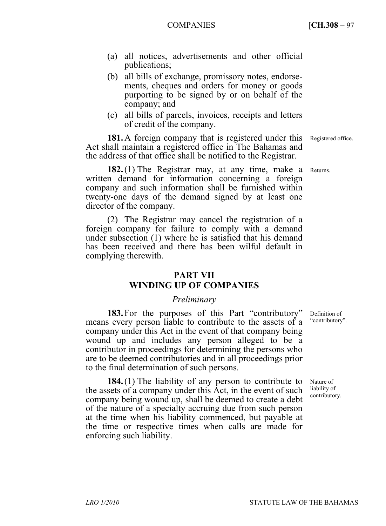- (a) all notices, advertisements and other official publications;
- (b) all bills of exchange, promissory notes, endorsements, cheques and orders for money or goods purporting to be signed by or on behalf of the company; and
- (c) all bills of parcels, invoices, receipts and letters of credit of the company.

**181.** A foreign company that is registered under this Act shall maintain a registered office in The Bahamas and the address of that office shall be notified to the Registrar.

182.(1) The Registrar may, at any time, make a Returns. written demand for information concerning a foreign company and such information shall be furnished within twenty-one days of the demand signed by at least one director of the company.

(2) The Registrar may cancel the registration of a foreign company for failure to comply with a demand under subsection (1) where he is satisfied that his demand has been received and there has been wilful default in complying therewith.

### **PART VII WINDING UP OF COMPANIES**

# *Preliminary*

**183.** For the purposes of this Part "contributory" means every person liable to contribute to the assets of a company under this Act in the event of that company being wound up and includes any person alleged to be a contributor in proceedings for determining the persons who are to be deemed contributories and in all proceedings prior to the final determination of such persons.

**184.** (1) The liability of any person to contribute to the assets of a company under this Act, in the event of such company being wound up, shall be deemed to create a debt of the nature of a specialty accruing due from such person at the time when his liability commenced, but payable at the time or respective times when calls are made for enforcing such liability.

Registered office.

Definition of "contributory".

Nature of liability of contributory.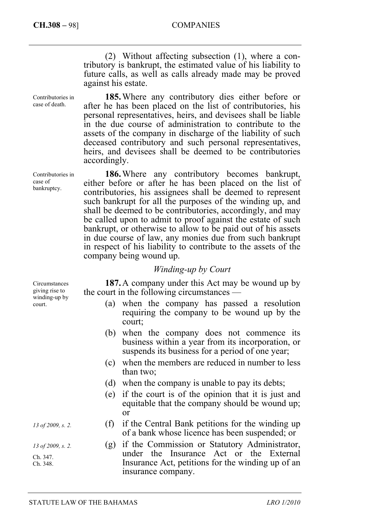Contributories in case of death.

Contributories in case of bankruptcy.

#### **CH.308 –** 98] COMPANIES

(2) Without affecting subsection (1), where a contributory is bankrupt, the estimated value of his liability to future calls, as well as calls already made may be proved against his estate.

**185.** Where any contributory dies either before or after he has been placed on the list of contributories, his personal representatives, heirs, and devisees shall be liable in the due course of administration to contribute to the assets of the company in discharge of the liability of such deceased contributory and such personal representatives, heirs, and devisees shall be deemed to be contributories accordingly.

**186.** Where any contributory becomes bankrupt, either before or after he has been placed on the list of contributories, his assignees shall be deemed to represent such bankrupt for all the purposes of the winding up, and shall be deemed to be contributories, accordingly, and may be called upon to admit to proof against the estate of such bankrupt, or otherwise to allow to be paid out of his assets in due course of law, any monies due from such bankrupt in respect of his liability to contribute to the assets of the company being wound up.

### *Winding-up by Court*

**187.** A company under this Act may be wound up by the court in the following circumstances —

- (a) when the company has passed a resolution requiring the company to be wound up by the court;
- (b) when the company does not commence its business within a year from its incorporation, or suspends its business for a period of one year;
- (c) when the members are reduced in number to less than two;
- (d) when the company is unable to pay its debts;
- (e) if the court is of the opinion that it is just and equitable that the company should be wound up; or
- (f) if the Central Bank petitions for the winding up of a bank whose licence has been suspended; or
- (g) if the Commission or Statutory Administrator, under the Insurance Act or the External Insurance Act, petitions for the winding up of an insurance company.

Circumstances giving rise to winding-up by court.

*13 of 2009, s. 2.*

*13 of 2009, s. 2.* 

Ch. 347. Ch. 348.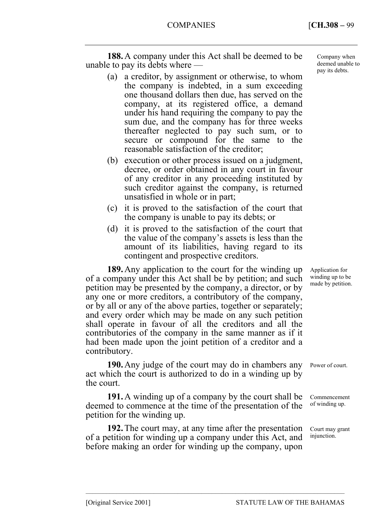**188.** A company under this Act shall be deemed to be unable to pay its debts where —

- (a) a creditor, by assignment or otherwise, to whom the company is indebted, in a sum exceeding one thousand dollars then due, has served on the company, at its registered office, a demand under his hand requiring the company to pay the sum due, and the company has for three weeks thereafter neglected to pay such sum, or to secure or compound for the same to the reasonable satisfaction of the creditor;
- (b) execution or other process issued on a judgment, decree, or order obtained in any court in favour of any creditor in any proceeding instituted by such creditor against the company, is returned unsatisfied in whole or in part;
- (c) it is proved to the satisfaction of the court that the company is unable to pay its debts; or
- (d) it is proved to the satisfaction of the court that the value of the company's assets is less than the amount of its liabilities, having regard to its contingent and prospective creditors.

**189.** Any application to the court for the winding up of a company under this Act shall be by petition; and such petition may be presented by the company, a director, or by any one or more creditors, a contributory of the company, or by all or any of the above parties, together or separately; and every order which may be made on any such petition shall operate in favour of all the creditors and all the contributories of the company in the same manner as if it had been made upon the joint petition of a creditor and a contributory.

**190.** Any judge of the court may do in chambers any act which the court is authorized to do in a winding up by the court.

**191.** A winding up of a company by the court shall be deemed to commence at the time of the presentation of the petition for the winding up.

**192.** The court may, at any time after the presentation of a petition for winding up a company under this Act, and before making an order for winding up the company, upon

––––––––––––––––––––––––––––––––––––––––––––––––––––––––––––––––––––––––––––

Company when deemed unable to pay its debts.

Application for winding up to be made by petition.

Power of court.

Commencement of winding up.

Court may grant injunction.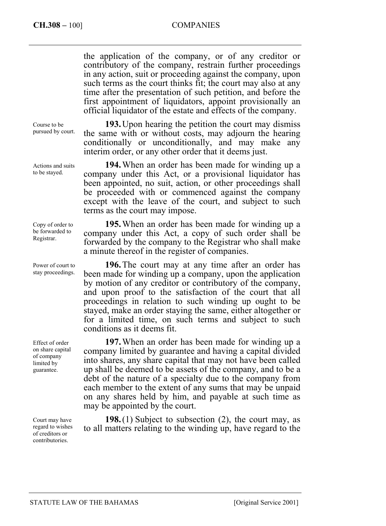the application of the company, or of any creditor or contributory of the company, restrain further proceedings in any action, suit or proceeding against the company, upon such terms as the court thinks fit; the court may also at any time after the presentation of such petition, and before the first appointment of liquidators, appoint provisionally an official liquidator of the estate and effects of the company.

Course to be pursued by court.

Actions and suits to be stayed.

Copy of order to be forwarded to Registrar.

Power of court to stay proceedings.

Effect of order on share capital of company limited by guarantee.

Court may have regard to wishes of creditors or contributories.

**193.** Upon hearing the petition the court may dismiss the same with or without costs, may adjourn the hearing conditionally or unconditionally, and may make any interim order, or any other order that it deems just.

**194.** When an order has been made for winding up a company under this Act, or a provisional liquidator has been appointed, no suit, action, or other proceedings shall be proceeded with or commenced against the company except with the leave of the court, and subject to such terms as the court may impose.

**195.** When an order has been made for winding up a company under this Act, a copy of such order shall be forwarded by the company to the Registrar who shall make a minute thereof in the register of companies.

**196.** The court may at any time after an order has been made for winding up a company, upon the application by motion of any creditor or contributory of the company, and upon proof to the satisfaction of the court that all proceedings in relation to such winding up ought to be stayed, make an order staying the same, either altogether or for a limited time, on such terms and subject to such conditions as it deems fit.

**197.** When an order has been made for winding up a company limited by guarantee and having a capital divided into shares, any share capital that may not have been called up shall be deemed to be assets of the company, and to be a debt of the nature of a specialty due to the company from each member to the extent of any sums that may be unpaid on any shares held by him, and payable at such time as may be appointed by the court.

**198.** (1) Subject to subsection (2), the court may, as to all matters relating to the winding up, have regard to the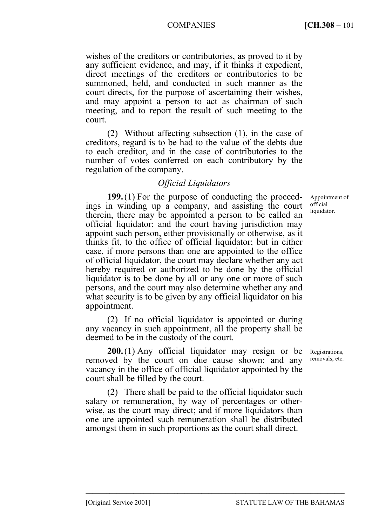wishes of the creditors or contributories, as proved to it by any sufficient evidence, and may, if it thinks it expedient, direct meetings of the creditors or contributories to be summoned, held, and conducted in such manner as the court directs, for the purpose of ascertaining their wishes, and may appoint a person to act as chairman of such meeting, and to report the result of such meeting to the court.

(2) Without affecting subsection (1), in the case of creditors, regard is to be had to the value of the debts due to each creditor, and in the case of contributories to the number of votes conferred on each contributory by the regulation of the company.

# *Official Liquidators*

**199.** (1) For the purpose of conducting the proceedings in winding up a company, and assisting the court therein, there may be appointed a person to be called an official liquidator; and the court having jurisdiction may appoint such person, either provisionally or otherwise, as it thinks fit, to the office of official liquidator; but in either case, if more persons than one are appointed to the office of official liquidator, the court may declare whether any act hereby required or authorized to be done by the official liquidator is to be done by all or any one or more of such persons, and the court may also determine whether any and what security is to be given by any official liquidator on his appointment.

(2) If no official liquidator is appointed or during any vacancy in such appointment, all the property shall be deemed to be in the custody of the court.

**200.** (1) Any official liquidator may resign or be removed by the court on due cause shown; and any vacancy in the office of official liquidator appointed by the court shall be filled by the court.

(2) There shall be paid to the official liquidator such salary or remuneration, by way of percentages or otherwise, as the court may direct; and if more liquidators than one are appointed such remuneration shall be distributed amongst them in such proportions as the court shall direct.

––––––––––––––––––––––––––––––––––––––––––––––––––––––––––––––––––––––––––––

Appointment of official liquidator.

Registrations, removals, etc.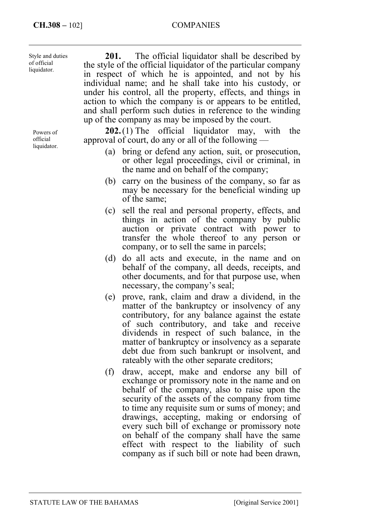**201.** The official liquidator shall be described by the style of the official liquidator of the particular company in respect of which he is appointed, and not by his individual name; and he shall take into his custody, or under his control, all the property, effects, and things in action to which the company is or appears to be entitled, and shall perform such duties in reference to the winding up of the company as may be imposed by the court. **202.** (1) The official liquidator may, with the approval of court, do any or all of the following — (a) bring or defend any action, suit, or prosecution, or other legal proceedings, civil or criminal, in Style and duties of official liquidator. Powers of official liquidator.

- the name and on behalf of the company; (b) carry on the business of the company, so far as may be necessary for the beneficial winding up of the same;
- (c) sell the real and personal property, effects, and things in action of the company by public auction or private contract with power to transfer the whole thereof to any person or company, or to sell the same in parcels;
- (d) do all acts and execute, in the name and on behalf of the company, all deeds, receipts, and other documents, and for that purpose use, when necessary, the company's seal;
- (e) prove, rank, claim and draw a dividend, in the matter of the bankruptcy or insolvency of any contributory, for any balance against the estate of such contributory, and take and receive dividends in respect of such balance, in the matter of bankruptcy or insolvency as a separate debt due from such bankrupt or insolvent, and rateably with the other separate creditors;
- (f) draw, accept, make and endorse any bill of exchange or promissory note in the name and on behalf of the company, also to raise upon the security of the assets of the company from time to time any requisite sum or sums of money; and drawings, accepting, making or endorsing of every such bill of exchange or promissory note on behalf of the company shall have the same effect with respect to the liability of such company as if such bill or note had been drawn,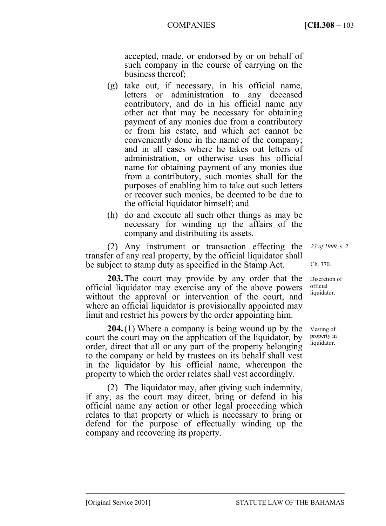accepted, made, or endorsed by or on behalf of such company in the course of carrying on the business thereof;

- (g) take out, if necessary, in his official name, letters or administration to any deceased contributory, and do in his official name any other act that may be necessary for obtaining payment of any monies due from a contributory or from his estate, and which act cannot be conveniently done in the name of the company; and in all cases where he takes out letters of administration, or otherwise uses his official name for obtaining payment of any monies due from a contributory, such monies shall for the purposes of enabling him to take out such letters or recover such monies, be deemed to be due to the official liquidator himself; and
- (h) do and execute all such other things as may be necessary for winding up the affairs of the company and distributing its assets.

(2) Any instrument or transaction effecting the transfer of any real property, by the official liquidator shall be subject to stamp duty as specified in the Stamp Act.

**203.** The court may provide by any order that the official liquidator may exercise any of the above powers without the approval or intervention of the court, and where an official liquidator is provisionally appointed may limit and restrict his powers by the order appointing him.

**204.** (1) Where a company is being wound up by the court the court may on the application of the liquidator, by order, direct that all or any part of the property belonging to the company or held by trustees on its behalf shall vest in the liquidator by his official name, whereupon the property to which the order relates shall vest accordingly.

(2) The liquidator may, after giving such indemnity, if any, as the court may direct, bring or defend in his official name any action or other legal proceeding which relates to that property or which is necessary to bring or defend for the purpose of effectually winding up the company and recovering its property.

––––––––––––––––––––––––––––––––––––––––––––––––––––––––––––––––––––––––––––

*23 of 1999, s. 2.* 

Ch. 370.

Discretion of official liquidator.

Vesting of property in liquidator.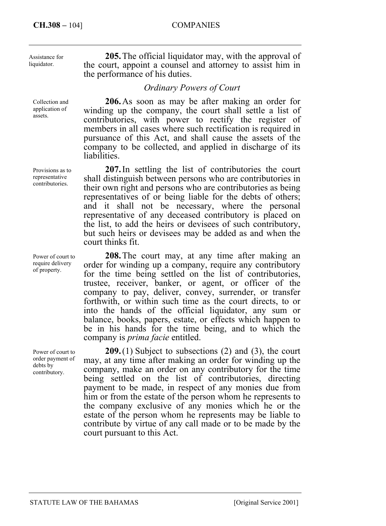| sistance for<br>uidator.                          | <b>205.</b> The official liquidator may, with the approval of<br>the court, appoint a counsel and attorney to assist him in<br>the performance of his duties.                                                                                                                                                                                                                                                                                                                                                       |
|---------------------------------------------------|---------------------------------------------------------------------------------------------------------------------------------------------------------------------------------------------------------------------------------------------------------------------------------------------------------------------------------------------------------------------------------------------------------------------------------------------------------------------------------------------------------------------|
|                                                   | <b>Ordinary Powers of Court</b>                                                                                                                                                                                                                                                                                                                                                                                                                                                                                     |
| ollection and<br>pplication of<br>sets.           | 206. As soon as may be after making an order for<br>winding up the company, the court shall settle a list of<br>contributories, with power to rectify the register of<br>members in all cases where such rectification is required in<br>pursuance of this Act, and shall cause the assets of the<br>company to be collected, and applied in discharge of its<br>liabilities.                                                                                                                                       |
| rovisions as to<br>presentative<br>ontributories. | 207. In settling the list of contributories the court<br>shall distinguish between persons who are contributories in<br>their own right and persons who are contributories as being<br>representatives of or being liable for the debts of others;<br>and it shall not be necessary, where the personal<br>representative of any deceased contributory is placed on<br>the list, to add the heirs or devisees of such contributory,<br>but such heirs or devisees may be added as and when the<br>court thinks fit. |
| ower of court to<br>quire delivery<br>f property. | <b>208.</b> The court may, at any time after making an<br>order for winding up a company, require any contributory<br>for the time being settled on the list of contributories,<br>trustee, receiver, banker, or agent, or officer of the                                                                                                                                                                                                                                                                           |

for the time being settled on the list of contributories, trustee, receiver, banker, or agent, or officer of the company to pay, deliver, convey, surrender, or transfer forthwith, or within such time as the court directs, to or into the hands of the official liquidator, any sum or balance, books, papers, estate, or effects which happen to be in his hands for the time being, and to which the company is *prima facie* entitled.

**209.** (1) Subject to subsections (2) and (3), the court may, at any time after making an order for winding up the company, make an order on any contributory for the time being settled on the list of contributories, directing payment to be made, in respect of any monies due from him or from the estate of the person whom he represents to the company exclusive of any monies which he or the estate of the person whom he represents may be liable to contribute by virtue of any call made or to be made by the court pursuant to this Act.

Assistance for liqu

Collection and application of assets.

Provisions as to representative contributories.

Power of court to require delivery of property.

Power of court to order payment of debts by contributory.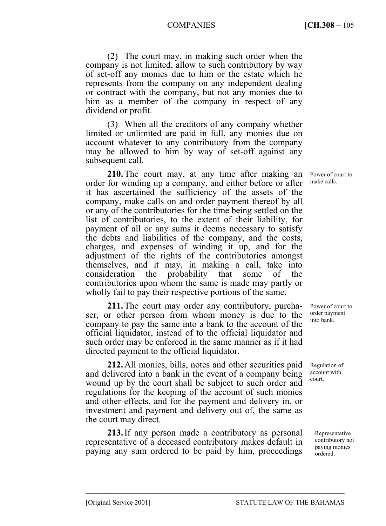COMPANIES [**CH.308 –** 105

(2) The court may, in making such order when the company is not limited, allow to such contributory by way of set-off any monies due to him or the estate which he represents from the company on any independent dealing or contract with the company, but not any monies due to him as a member of the company in respect of any dividend or profit.

(3) When all the creditors of any company whether limited or unlimited are paid in full, any monies due on account whatever to any contributory from the company may be allowed to him by way of set-off against any subsequent call.

**210.** The court may, at any time after making an order for winding up a company, and either before or after it has ascertained the sufficiency of the assets of the company, make calls on and order payment thereof by all or any of the contributories for the time being settled on the list of contributories, to the extent of their liability, for payment of all or any sums it deems necessary to satisfy the debts and liabilities of the company, and the costs, charges, and expenses of winding it up, and for the adjustment of the rights of the contributories amongst themselves, and it may, in making a call, take into consideration the probability that some of the contributories upon whom the same is made may partly or wholly fail to pay their respective portions of the same.

**211.** The court may order any contributory, purchaser, or other person from whom money is due to the company to pay the same into a bank to the account of the official liquidator, instead of to the official liquidator and such order may be enforced in the same manner as if it had directed payment to the official liquidator.

**212.** All monies, bills, notes and other securities paid and delivered into a bank in the event of a company being wound up by the court shall be subject to such order and regulations for the keeping of the account of such monies and other effects, and for the payment and delivery in, or investment and payment and delivery out of, the same as the court may direct.

**213.** If any person made a contributory as personal representative of a deceased contributory makes default in paying any sum ordered to be paid by him, proceedings

––––––––––––––––––––––––––––––––––––––––––––––––––––––––––––––––––––––––––––

Power of court to make calls.

Power of court to order payment into bank.

Regulation of account with court.

> Representative contributory not paying monies ordered.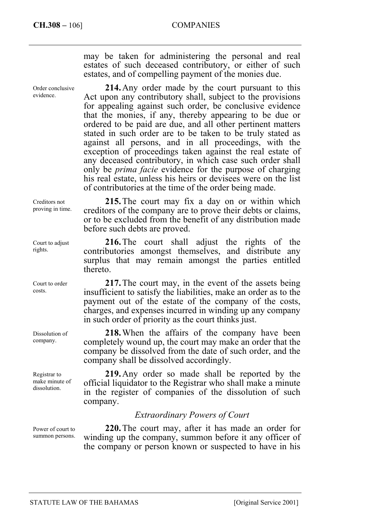evidence.

may be taken for administering the personal and real

estates of such deceased contributory, or either of such estates, and of compelling payment of the monies due. **214.** Any order made by the court pursuant to this Act upon any contributory shall, subject to the provisions for appealing against such order, be conclusive evidence that the monies, if any, thereby appearing to be due or ordered to be paid are due, and all other pertinent matters stated in such order are to be taken to be truly stated as against all persons, and in all proceedings, with the exception of proceedings taken against the real estate of any deceased contributory, in which case such order shall only be *prima facie* evidence for the purpose of charging his real estate, unless his heirs or devisees were on the list of contributories at the time of the order being made. Order conclusive

> **215.** The court may fix a day on or within which creditors of the company are to prove their debts or claims, or to be excluded from the benefit of any distribution made before such debts are proved.

**216.** The court shall adjust the rights of the contributories amongst themselves, and distribute any surplus that may remain amongst the parties entitled thereto.

**217.** The court may, in the event of the assets being insufficient to satisfy the liabilities, make an order as to the payment out of the estate of the company of the costs, charges, and expenses incurred in winding up any company in such order of priority as the court thinks just.

**218.** When the affairs of the company have been completely wound up, the court may make an order that the company be dissolved from the date of such order, and the company shall be dissolved accordingly.

**219.** Any order so made shall be reported by the official liquidator to the Registrar who shall make a minute in the register of companies of the dissolution of such company.

### *Extraordinary Powers of Court*

**220.** The court may, after it has made an order for winding up the company, summon before it any officer of the company or person known or suspected to have in his

Creditors not proving in time.

Court to adjust rights.

Court to order costs.

Dissolution of company.

Registrar to make minute of dissolution.

Power of court to summon persons.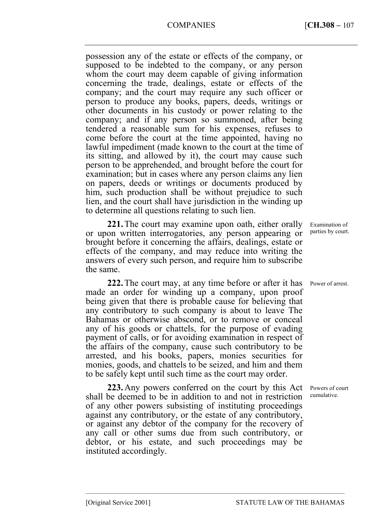possession any of the estate or effects of the company, or supposed to be indebted to the company, or any person whom the court may deem capable of giving information concerning the trade, dealings, estate or effects of the company; and the court may require any such officer or person to produce any books, papers, deeds, writings or other documents in his custody or power relating to the company; and if any person so summoned, after being tendered a reasonable sum for his expenses, refuses to come before the court at the time appointed, having no lawful impediment (made known to the court at the time of its sitting, and allowed by it), the court may cause such person to be apprehended, and brought before the court for examination; but in cases where any person claims any lien on papers, deeds or writings or documents produced by him, such production shall be without prejudice to such lien, and the court shall have jurisdiction in the winding up to determine all questions relating to such lien.

**221.** The court may examine upon oath, either orally or upon written interrogatories, any person appearing or brought before it concerning the affairs, dealings, estate or effects of the company, and may reduce into writing the answers of every such person, and require him to subscribe the same.

**222.** The court may, at any time before or after it has made an order for winding up a company, upon proof being given that there is probable cause for believing that any contributory to such company is about to leave The Bahamas or otherwise abscond, or to remove or conceal any of his goods or chattels, for the purpose of evading payment of calls, or for avoiding examination in respect of the affairs of the company, cause such contributory to be arrested, and his books, papers, monies securities for monies, goods, and chattels to be seized, and him and them to be safely kept until such time as the court may order.

**223.** Any powers conferred on the court by this Act shall be deemed to be in addition to and not in restriction of any other powers subsisting of instituting proceedings against any contributory, or the estate of any contributory, or against any debtor of the company for the recovery of any call or other sums due from such contributory, or debtor, or his estate, and such proceedings may be instituted accordingly.

––––––––––––––––––––––––––––––––––––––––––––––––––––––––––––––––––––––––––––

Examination of parties by court.

Power of arrest.

Powers of court cumulative.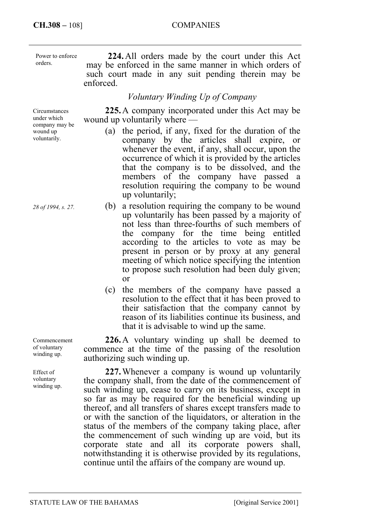| Power to enforce<br>orders.                | 224. All orders made by the court under this Act<br>may be enforced in the same manner in which orders of                                                                                                                                                                                                                                                               |
|--------------------------------------------|-------------------------------------------------------------------------------------------------------------------------------------------------------------------------------------------------------------------------------------------------------------------------------------------------------------------------------------------------------------------------|
|                                            | such court made in any suit pending therein may be<br>enforced.                                                                                                                                                                                                                                                                                                         |
|                                            | Voluntary Winding Up of Company                                                                                                                                                                                                                                                                                                                                         |
| Circumstances<br>under which               | 225. A company incorporated under this Act may be<br>wound up voluntarily where —                                                                                                                                                                                                                                                                                       |
| company may be<br>wound up<br>voluntarily. | (a) the period, if any, fixed for the duration of the<br>company by the articles shall expire, or<br>whenever the event, if any, shall occur, upon the<br>occurrence of which it is provided by the articles<br>that the company is to be dissolved, and the<br>members of the company have passed a<br>resolution requiring the company to be wound<br>up voluntarily; |
| 28 of 1994, s. 27.                         | (b) a resolution requiring the company to be wound<br>up voluntarily has been passed by a majority of<br>not less than three-fourths of such members of<br>the company for the time being entitled<br>according to the articles to vote as may be<br>present in person or by proxy at any general<br>meeting of which notice specifying the intention                   |

to propose such resolution had been duly given; or (c) the members of the company have passed a resolution to the effect that it has been proved to their satisfaction that the company cannot by reason of its liabilities continue its business, and

**226.** A voluntary winding up shall be deemed to commence at the time of the passing of the resolution authorizing such winding up.

that it is advisable to wind up the same.

**227.** Whenever a company is wound up voluntarily the company shall, from the date of the commencement of such winding up, cease to carry on its business, except in so far as may be required for the beneficial winding up thereof, and all transfers of shares except transfers made to or with the sanction of the liquidators, or alteration in the status of the members of the company taking place, after the commencement of such winding up are void, but its corporate state and all its corporate powers shall, notwithstanding it is otherwise provided by its regulations, continue until the affairs of the company are wound up.

Commencement of voluntary winding up.

Effect of voluntary winding up.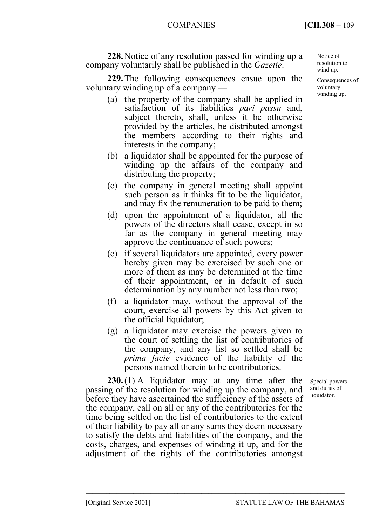**228.** Notice of any resolution passed for winding up a company voluntarily shall be published in the *Gazette*.

**229.** The following consequences ensue upon the voluntary winding up of a company —

- (a) the property of the company shall be applied in satisfaction of its liabilities *pari passu* and, subject thereto, shall, unless it be otherwise provided by the articles, be distributed amongst the members according to their rights and interests in the company;
- (b) a liquidator shall be appointed for the purpose of winding up the affairs of the company and distributing the property;
- (c) the company in general meeting shall appoint such person as it thinks fit to be the liquidator, and may fix the remuneration to be paid to them;
- (d) upon the appointment of a liquidator, all the powers of the directors shall cease, except in so far as the company in general meeting may approve the continuance of such powers;
- (e) if several liquidators are appointed, every power hereby given may be exercised by such one or more of them as may be determined at the time of their appointment, or in default of such determination by any number not less than two;
- (f) a liquidator may, without the approval of the court, exercise all powers by this Act given to the official liquidator;
- (g) a liquidator may exercise the powers given to the court of settling the list of contributories of the company, and any list so settled shall be *prima facie* evidence of the liability of the persons named therein to be contributories.

**230.** (1) A liquidator may at any time after the passing of the resolution for winding up the company, and before they have ascertained the sufficiency of the assets of the company, call on all or any of the contributories for the time being settled on the list of contributories to the extent of their liability to pay all or any sums they deem necessary to satisfy the debts and liabilities of the company, and the costs, charges, and expenses of winding it up, and for the adjustment of the rights of the contributories amongst

––––––––––––––––––––––––––––––––––––––––––––––––––––––––––––––––––––––––––––

Notice of resolution to wind up.

Consequences of voluntary winding up.

Special powers and duties of liquidator.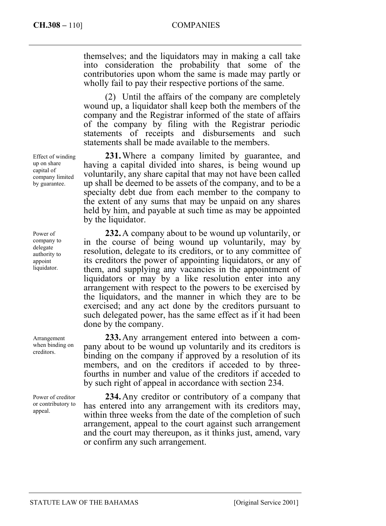themselves; and the liquidators may in making a call take into consideration the probability that some of the contributories upon whom the same is made may partly or wholly fail to pay their respective portions of the same.

(2) Until the affairs of the company are completely wound up, a liquidator shall keep both the members of the company and the Registrar informed of the state of affairs of the company by filing with the Registrar periodic statements of receipts and disbursements and such statements shall be made available to the members.

**231.** Where a company limited by guarantee, and having a capital divided into shares, is being wound up voluntarily, any share capital that may not have been called up shall be deemed to be assets of the company, and to be a specialty debt due from each member to the company to the extent of any sums that may be unpaid on any shares held by him, and payable at such time as may be appointed by the liquidator.

**232.** A company about to be wound up voluntarily, or in the course of being wound up voluntarily, may by resolution, delegate to its creditors, or to any committee of its creditors the power of appointing liquidators, or any of them, and supplying any vacancies in the appointment of liquidators or may by a like resolution enter into any arrangement with respect to the powers to be exercised by the liquidators, and the manner in which they are to be exercised; and any act done by the creditors pursuant to such delegated power, has the same effect as if it had been done by the company.

**233.** Any arrangement entered into between a company about to be wound up voluntarily and its creditors is binding on the company if approved by a resolution of its members, and on the creditors if acceded to by threefourths in number and value of the creditors if acceded to by such right of appeal in accordance with section 234.

**234.** Any creditor or contributory of a company that has entered into any arrangement with its creditors may, within three weeks from the date of the completion of such arrangement, appeal to the court against such arrangement and the court may thereupon, as it thinks just, amend, vary or confirm any such arrangement.

Effect of winding up on share capital of company limited by guarantee.

Power of company to delegate authority to appoint liquidator.

Arrangement when binding on creditors.

Power of creditor or contributory to appeal.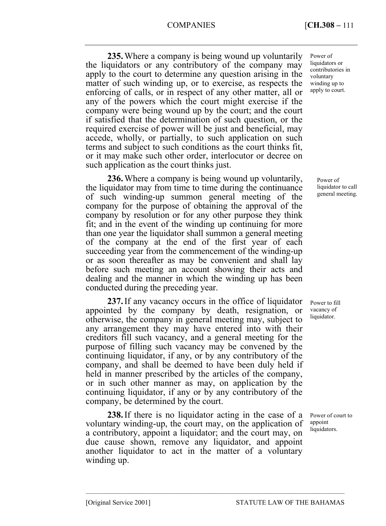**235.** Where a company is being wound up voluntarily the liquidators or any contributory of the company may apply to the court to determine any question arising in the matter of such winding up, or to exercise, as respects the enforcing of calls, or in respect of any other matter, all or any of the powers which the court might exercise if the company were being wound up by the court; and the court if satisfied that the determination of such question, or the required exercise of power will be just and beneficial, may accede, wholly, or partially, to such application on such terms and subject to such conditions as the court thinks fit, or it may make such other order, interlocutor or decree on such application as the court thinks just.

**236.** Where a company is being wound up voluntarily, the liquidator may from time to time during the continuance of such winding-up summon general meeting of the company for the purpose of obtaining the approval of the company by resolution or for any other purpose they think fit; and in the event of the winding up continuing for more than one year the liquidator shall summon a general meeting of the company at the end of the first year of each succeeding year from the commencement of the winding-up or as soon thereafter as may be convenient and shall lay before such meeting an account showing their acts and dealing and the manner in which the winding up has been conducted during the preceding year.

**237.** If any vacancy occurs in the office of liquidator appointed by the company by death, resignation, or otherwise, the company in general meeting may, subject to any arrangement they may have entered into with their creditors fill such vacancy, and a general meeting for the purpose of filling such vacancy may be convened by the continuing liquidator, if any, or by any contributory of the company, and shall be deemed to have been duly held if held in manner prescribed by the articles of the company, or in such other manner as may, on application by the continuing liquidator, if any or by any contributory of the company, be determined by the court.

**238.** If there is no liquidator acting in the case of a voluntary winding-up, the court may, on the application of a contributory, appoint a liquidator; and the court may, on due cause shown, remove any liquidator, and appoint another liquidator to act in the matter of a voluntary winding up.

––––––––––––––––––––––––––––––––––––––––––––––––––––––––––––––––––––––––––––

Power of liquidators or contributories in voluntary winding up to apply to court.

> Power of liquidator to call general meeting.

Power to fill vacancy of liquidator.

Power of court to appoint liquidators.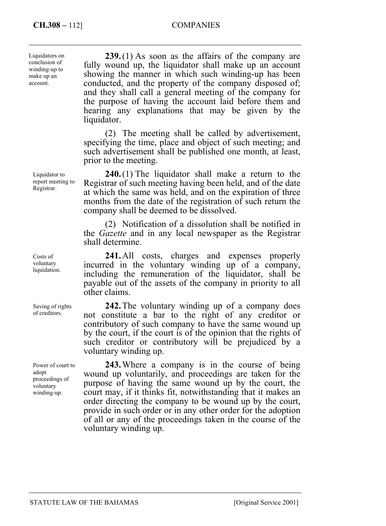Liquidators on conclusion of winding-up to make up an account.

> Liquidator to report meeting to Registrar.

Costs of voluntary liquidation.

Saving of rights of creditors.

Power of court to adopt proceedings of voluntary winding-up.

**239.** (1) As soon as the affairs of the company are fully wound up, the liquidator shall make up an account showing the manner in which such winding-up has been conducted, and the property of the company disposed of; and they shall call a general meeting of the company for the purpose of having the account laid before them and hearing any explanations that may be given by the liquidator.

(2) The meeting shall be called by advertisement, specifying the time, place and object of such meeting; and such advertisement shall be published one month, at least, prior to the meeting.

**240.** (1) The liquidator shall make a return to the Registrar of such meeting having been held, and of the date at which the same was held, and on the expiration of three months from the date of the registration of such return the company shall be deemed to be dissolved.

(2) Notification of a dissolution shall be notified in the *Gazette* and in any local newspaper as the Registrar shall determine.

**241.** All costs, charges and expenses properly incurred in the voluntary winding up of a company, including the remuneration of the liquidator, shall be payable out of the assets of the company in priority to all other claims.

**242.** The voluntary winding up of a company does not constitute a bar to the right of any creditor or contributory of such company to have the same wound up by the court, if the court is of the opinion that the rights of such creditor or contributory will be prejudiced by a voluntary winding up.

**243.** Where a company is in the course of being wound up voluntarily, and proceedings are taken for the purpose of having the same wound up by the court, the court may, if it thinks fit, notwithstanding that it makes an order directing the company to be wound up by the court, provide in such order or in any other order for the adoption of all or any of the proceedings taken in the course of the voluntary winding up.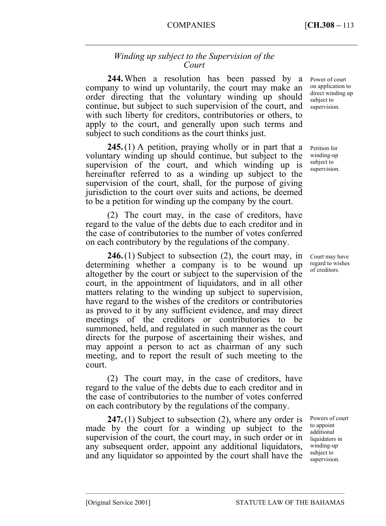# *Winding up subject to the Supervision of the Court*

**244.** When a resolution has been passed by a company to wind up voluntarily, the court may make an order directing that the voluntary winding up should continue, but subject to such supervision of the court, and with such liberty for creditors, contributories or others, to apply to the court, and generally upon such terms and subject to such conditions as the court thinks just.

**245.** (1) A petition, praying wholly or in part that a voluntary winding up should continue, but subject to the supervision of the court, and which winding up is hereinafter referred to as a winding up subject to the supervision of the court, shall, for the purpose of giving jurisdiction to the court over suits and actions, be deemed to be a petition for winding up the company by the court.

(2) The court may, in the case of creditors, have regard to the value of the debts due to each creditor and in the case of contributories to the number of votes conferred on each contributory by the regulations of the company.

**246.** (1) Subject to subsection (2), the court may, in determining whether a company is to be wound up altogether by the court or subject to the supervision of the court, in the appointment of liquidators, and in all other matters relating to the winding up subject to supervision, have regard to the wishes of the creditors or contributories as proved to it by any sufficient evidence, and may direct meetings of the creditors or contributories to be summoned, held, and regulated in such manner as the court directs for the purpose of ascertaining their wishes, and may appoint a person to act as chairman of any such meeting, and to report the result of such meeting to the court.

(2) The court may, in the case of creditors, have regard to the value of the debts due to each creditor and in the case of contributories to the number of votes conferred on each contributory by the regulations of the company.

**247.** (1) Subject to subsection (2), where any order is made by the court for a winding up subject to the supervision of the court, the court may, in such order or in any subsequent order, appoint any additional liquidators, and any liquidator so appointed by the court shall have the

––––––––––––––––––––––––––––––––––––––––––––––––––––––––––––––––––––––––––––

Power of court on application to direct winding up subject to supervision.

Petition for winding-up subject to supervision.

Court may have regard to wishes of creditors.

Powers of court to appoint additional liquidators in winding-up subject to supervision.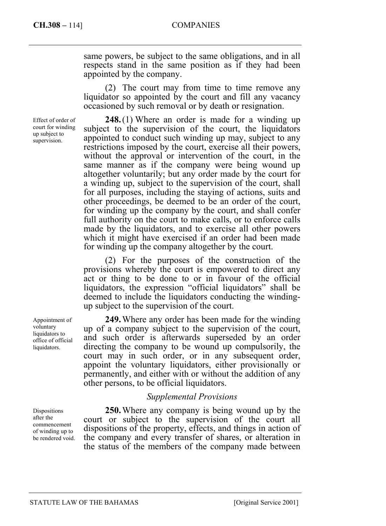same powers, be subject to the same obligations, and in all respects stand in the same position as if they had been appointed by the company.

(2) The court may from time to time remove any liquidator so appointed by the court and fill any vacancy occasioned by such removal or by death or resignation.

Effect of order of court for winding up subject to supervision.

**248.** (1) Where an order is made for a winding up subject to the supervision of the court, the liquidators appointed to conduct such winding up may, subject to any restrictions imposed by the court, exercise all their powers, without the approval or intervention of the court, in the same manner as if the company were being wound up altogether voluntarily; but any order made by the court for a winding up, subject to the supervision of the court, shall for all purposes, including the staying of actions, suits and other proceedings, be deemed to be an order of the court, for winding up the company by the court, and shall confer full authority on the court to make calls, or to enforce calls made by the liquidators, and to exercise all other powers which it might have exercised if an order had been made for winding up the company altogether by the court.

(2) For the purposes of the construction of the provisions whereby the court is empowered to direct any act or thing to be done to or in favour of the official liquidators, the expression "official liquidators" shall be deemed to include the liquidators conducting the windingup subject to the supervision of the court.

**249.** Where any order has been made for the winding up of a company subject to the supervision of the court, and such order is afterwards superseded by an order directing the company to be wound up compulsorily, the court may in such order, or in any subsequent order, appoint the voluntary liquidators, either provisionally or permanently, and either with or without the addition of any other persons, to be official liquidators.

# *Supplemental Provisions*

**250.** Where any company is being wound up by the court or subject to the supervision of the court all dispositions of the property, effects, and things in action of the company and every transfer of shares, or alteration in the status of the members of the company made between

Appointment of voluntary liquidators to office of official liquidators.

Dispositions after the commencement of winding up to be rendered void.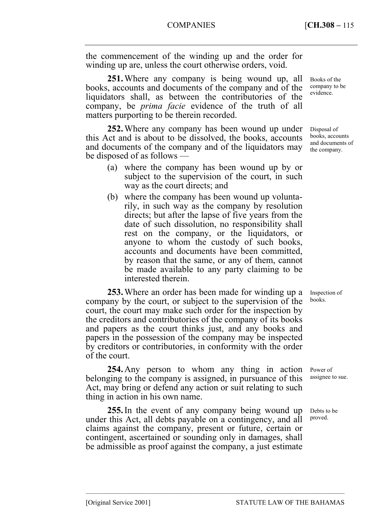the commencement of the winding up and the order for winding up are, unless the court otherwise orders, void.

**251.** Where any company is being wound up, all books, accounts and documents of the company and of the liquidators shall, as between the contributories of the company, be *prima facie* evidence of the truth of all matters purporting to be therein recorded.

**252.** Where any company has been wound up under this Act and is about to be dissolved, the books, accounts and documents of the company and of the liquidators may be disposed of as follows —

- (a) where the company has been wound up by or subject to the supervision of the court, in such way as the court directs; and
- (b) where the company has been wound up voluntarily, in such way as the company by resolution directs; but after the lapse of five years from the date of such dissolution, no responsibility shall rest on the company, or the liquidators, or anyone to whom the custody of such books, accounts and documents have been committed, by reason that the same, or any of them, cannot be made available to any party claiming to be interested therein.

**253.** Where an order has been made for winding up a company by the court, or subject to the supervision of the court, the court may make such order for the inspection by the creditors and contributories of the company of its books and papers as the court thinks just, and any books and papers in the possession of the company may be inspected by creditors or contributories, in conformity with the order of the court.

**254.** Any person to whom any thing in action belonging to the company is assigned, in pursuance of this Act, may bring or defend any action or suit relating to such thing in action in his own name.

**255.** In the event of any company being wound up under this Act, all debts payable on a contingency, and all claims against the company, present or future, certain or contingent, ascertained or sounding only in damages, shall be admissible as proof against the company, a just estimate

––––––––––––––––––––––––––––––––––––––––––––––––––––––––––––––––––––––––––––

Books of the company to be evidence.

Disposal of books, accounts and documents of the company.

Inspection of books.

Power of assignee to sue.

Debts to be proved.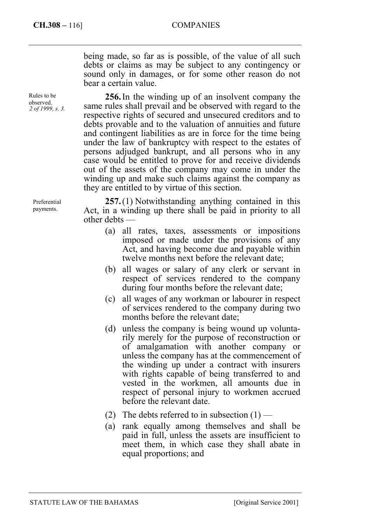being made, so far as is possible, of the value of all such debts or claims as may be subject to any contingency or sound only in damages, or for some other reason do not bear a certain value.

**256.** In the winding up of an insolvent company the same rules shall prevail and be observed with regard to the respective rights of secured and unsecured creditors and to debts provable and to the valuation of annuities and future and contingent liabilities as are in force for the time being under the law of bankruptcy with respect to the estates of persons adjudged bankrupt, and all persons who in any case would be entitled to prove for and receive dividends out of the assets of the company may come in under the winding up and make such claims against the company as they are entitled to by virtue of this section.

**257.** (1) Notwithstanding anything contained in this Act, in a winding up there shall be paid in priority to all other debts —

- (a) all rates, taxes, assessments or impositions imposed or made under the provisions of any Act, and having become due and payable within twelve months next before the relevant date;
- (b) all wages or salary of any clerk or servant in respect of services rendered to the company during four months before the relevant date;
- (c) all wages of any workman or labourer in respect of services rendered to the company during two months before the relevant date;
- (d) unless the company is being wound up voluntarily merely for the purpose of reconstruction or of amalgamation with another company or unless the company has at the commencement of the winding up under a contract with insurers with rights capable of being transferred to and vested in the workmen, all amounts due in respect of personal injury to workmen accrued before the relevant date.
- (2) The debts referred to in subsection  $(1)$  —
- (a) rank equally among themselves and shall be paid in full, unless the assets are insufficient to meet them, in which case they shall abate in equal proportions; and

Rules to be observed. *2 of 1999, s. 3.* 

> Preferential payments.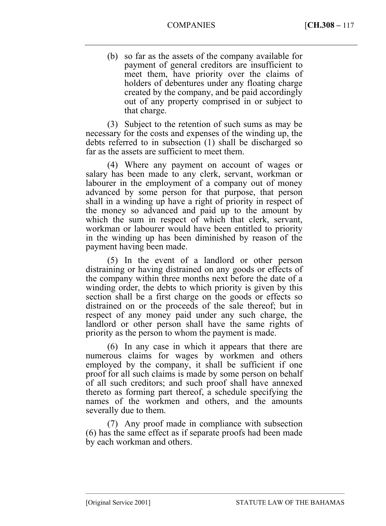(b) so far as the assets of the company available for payment of general creditors are insufficient to meet them, have priority over the claims of holders of debentures under any floating charge created by the company, and be paid accordingly out of any property comprised in or subject to that charge.

(3) Subject to the retention of such sums as may be necessary for the costs and expenses of the winding up, the debts referred to in subsection (1) shall be discharged so far as the assets are sufficient to meet them.

(4) Where any payment on account of wages or salary has been made to any clerk, servant, workman or labourer in the employment of a company out of money advanced by some person for that purpose, that person shall in a winding up have a right of priority in respect of the money so advanced and paid up to the amount by which the sum in respect of which that clerk, servant, workman or labourer would have been entitled to priority in the winding up has been diminished by reason of the payment having been made.

(5) In the event of a landlord or other person distraining or having distrained on any goods or effects of the company within three months next before the date of a winding order, the debts to which priority is given by this section shall be a first charge on the goods or effects so distrained on or the proceeds of the sale thereof; but in respect of any money paid under any such charge, the landlord or other person shall have the same rights of priority as the person to whom the payment is made.

(6) In any case in which it appears that there are numerous claims for wages by workmen and others employed by the company, it shall be sufficient if one proof for all such claims is made by some person on behalf of all such creditors; and such proof shall have annexed thereto as forming part thereof, a schedule specifying the names of the workmen and others, and the amounts severally due to them.

(7) Any proof made in compliance with subsection (6) has the same effect as if separate proofs had been made by each workman and others.

––––––––––––––––––––––––––––––––––––––––––––––––––––––––––––––––––––––––––––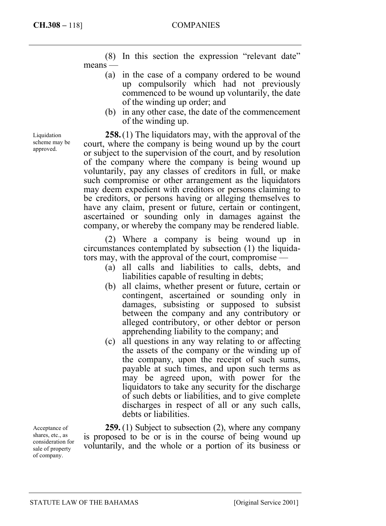(8) In this section the expression "relevant date" means —

- (a) in the case of a company ordered to be wound up compulsorily which had not previously commenced to be wound up voluntarily, the date of the winding up order; and
- (b) in any other case, the date of the commencement of the winding up.

**258.** (1) The liquidators may, with the approval of the court, where the company is being wound up by the court or subject to the supervision of the court, and by resolution of the company where the company is being wound up voluntarily, pay any classes of creditors in full, or make such compromise or other arrangement as the liquidators may deem expedient with creditors or persons claiming to be creditors, or persons having or alleging themselves to have any claim, present or future, certain or contingent, ascertained or sounding only in damages against the company, or whereby the company may be rendered liable.

(2) Where a company is being wound up in circumstances contemplated by subsection (1) the liquidators may, with the approval of the court, compromise —

- (a) all calls and liabilities to calls, debts, and liabilities capable of resulting in debts;
- (b) all claims, whether present or future, certain or contingent, ascertained or sounding only in damages, subsisting or supposed to subsist between the company and any contributory or alleged contributory, or other debtor or person apprehending liability to the company; and
- (c) all questions in any way relating to or affecting the assets of the company or the winding up of the company, upon the receipt of such sums, payable at such times, and upon such terms as may be agreed upon, with power for the liquidators to take any security for the discharge of such debts or liabilities, and to give complete discharges in respect of all or any such calls, debts or liabilities.

**259.** (1) Subject to subsection (2), where any company is proposed to be or is in the course of being wound up voluntarily, and the whole or a portion of its business or

Liquidation scheme may be approved.

Acceptance of shares, etc., as consideration for sale of property of company.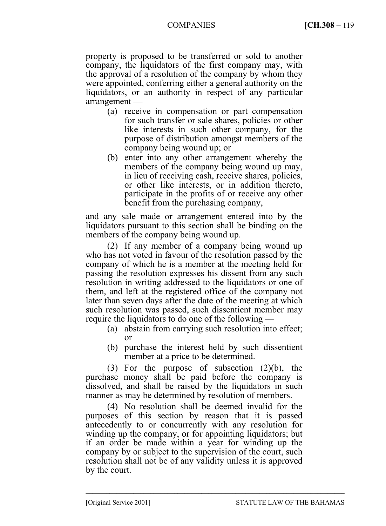property is proposed to be transferred or sold to another company, the liquidators of the first company may, with the approval of a resolution of the company by whom they were appointed, conferring either a general authority on the liquidators, or an authority in respect of any particular arrangement —

- (a) receive in compensation or part compensation for such transfer or sale shares, policies or other like interests in such other company, for the purpose of distribution amongst members of the company being wound up; or
- (b) enter into any other arrangement whereby the members of the company being wound up may, in lieu of receiving cash, receive shares, policies, or other like interests, or in addition thereto, participate in the profits of or receive any other benefit from the purchasing company,

and any sale made or arrangement entered into by the liquidators pursuant to this section shall be binding on the members of the company being wound up.

(2) If any member of a company being wound up who has not voted in favour of the resolution passed by the company of which he is a member at the meeting held for passing the resolution expresses his dissent from any such resolution in writing addressed to the liquidators or one of them, and left at the registered office of the company not later than seven days after the date of the meeting at which such resolution was passed, such dissentient member may require the liquidators to do one of the following —

- (a) abstain from carrying such resolution into effect; or
- (b) purchase the interest held by such dissentient member at a price to be determined.

(3) For the purpose of subsection (2)(b), the purchase money shall be paid before the company is dissolved, and shall be raised by the liquidators in such manner as may be determined by resolution of members.

(4) No resolution shall be deemed invalid for the purposes of this section by reason that it is passed antecedently to or concurrently with any resolution for winding up the company, or for appointing liquidators; but if an order be made within a year for winding up the company by or subject to the supervision of the court, such resolution shall not be of any validity unless it is approved by the court.

––––––––––––––––––––––––––––––––––––––––––––––––––––––––––––––––––––––––––––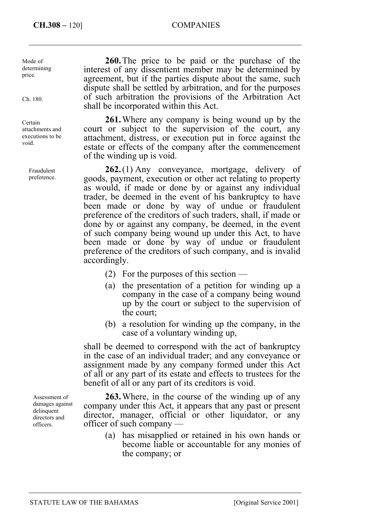**260.** The price to be paid or the purchase of the interest of any dissentient member may be determined by agreement, but if the parties dispute about the same, such dispute shall be settled by arbitration, and for the purposes of such arbitration the provisions of the Arbitration Act shall be incorporated within this Act. **261.** Where any company is being wound up by the

court or subject to the supervision of the court, any attachment, distress, or execution put in force against the estate or effects of the company after the commencement of the winding up is void.

**262.** (1) Any conveyance, mortgage, delivery of goods, payment, execution or other act relating to property as would, if made or done by or against any individual trader, be deemed in the event of his bankruptcy to have been made or done by way of undue or fraudulent preference of the creditors of such traders, shall, if made or done by or against any company, be deemed, in the event of such company being wound up under this Act, to have been made or done by way of undue or fraudulent preference of the creditors of such company, and is invalid accordingly.

- (2) For the purposes of this section —
- (a) the presentation of a petition for winding up a company in the case of a company being wound up by the court or subject to the supervision of the court;
- (b) a resolution for winding up the company, in the case of a voluntary winding up,

shall be deemed to correspond with the act of bankruptcy in the case of an individual trader; and any conveyance or assignment made by any company formed under this Act of all or any part of its estate and effects to trustees for the benefit of all or any part of its creditors is void.

**263.** Where, in the course of the winding up of any company under this Act, it appears that any past or present director, manager, official or other liquidator, or any officer of such company —

(a) has misapplied or retained in his own hands or become liable or accountable for any monies of the company; or

Mode of determining price.

Ch. 180.

Certain attachments and executions to be void.

> Fraudulent preference.

> > Assessment of damages against delinquent directors and officers.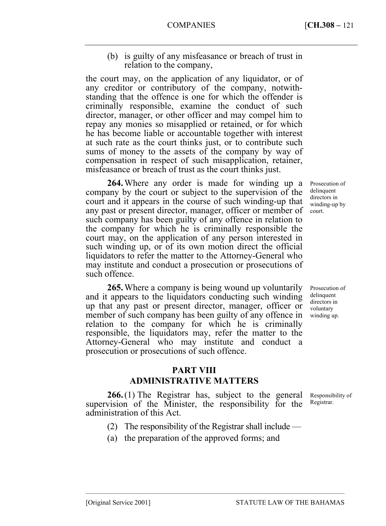(b) is guilty of any misfeasance or breach of trust in relation to the company,

the court may, on the application of any liquidator, or of any creditor or contributory of the company, notwithstanding that the offence is one for which the offender is criminally responsible, examine the conduct of such director, manager, or other officer and may compel him to repay any monies so misapplied or retained, or for which he has become liable or accountable together with interest at such rate as the court thinks just, or to contribute such sums of money to the assets of the company by way of compensation in respect of such misapplication, retainer, misfeasance or breach of trust as the court thinks just.

**264.** Where any order is made for winding up a company by the court or subject to the supervision of the court and it appears in the course of such winding-up that any past or present director, manager, officer or member of such company has been guilty of any offence in relation to the company for which he is criminally responsible the court may, on the application of any person interested in such winding up, or of its own motion direct the official liquidators to refer the matter to the Attorney-General who may institute and conduct a prosecution or prosecutions of such offence.

**265.** Where a company is being wound up voluntarily and it appears to the liquidators conducting such winding up that any past or present director, manager, officer or member of such company has been guilty of any offence in relation to the company for which he is criminally responsible, the liquidators may, refer the matter to the Attorney-General who may institute and conduct a prosecution or prosecutions of such offence.

## **PART VIII ADMINISTRATIVE MATTERS**

**266.** (1) The Registrar has, subject to the general supervision of the Minister, the responsibility for the administration of this Act. Responsibility of Registrar.

(2) The responsibility of the Registrar shall include —

––––––––––––––––––––––––––––––––––––––––––––––––––––––––––––––––––––––––––––

(a) the preparation of the approved forms; and

Prosecution of delinquent directors in winding-up by court.

Prosecution of delinquent directors in voluntary winding up.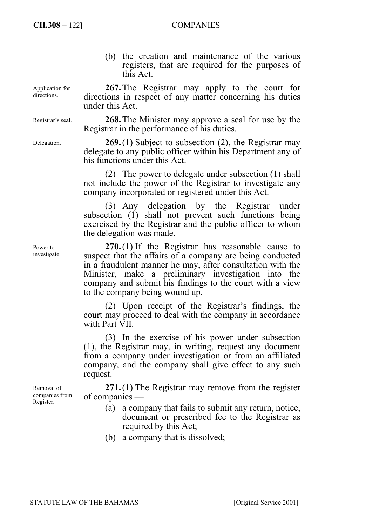(b) the creation and maintenance of the various registers, that are required for the purposes of this Act.

**267.** The Registrar may apply to the court for directions in respect of any matter concerning his duties under this Act.

**268.** The Minister may approve a seal for use by the Registrar in the performance of his duties.

**269.** (1) Subject to subsection (2), the Registrar may delegate to any public officer within his Department any of his functions under this Act.

(2) The power to delegate under subsection (1) shall not include the power of the Registrar to investigate any company incorporated or registered under this Act.

(3) Any delegation by the Registrar under subsection (1) shall not prevent such functions being exercised by the Registrar and the public officer to whom the delegation was made.

**270.** (1) If the Registrar has reasonable cause to suspect that the affairs of a company are being conducted in a fraudulent manner he may, after consultation with the Minister, make a preliminary investigation into the company and submit his findings to the court with a view to the company being wound up.

(2) Upon receipt of the Registrar's findings, the court may proceed to deal with the company in accordance with Part VII.

(3) In the exercise of his power under subsection (1), the Registrar may, in writing, request any document from a company under investigation or from an affiliated company, and the company shall give effect to any such request.

**271.** (1) The Registrar may remove from the register of companies —

- (a) a company that fails to submit any return, notice, document or prescribed fee to the Registrar as required by this Act;
- (b) a company that is dissolved;

Registrar's seal.

Application for directions.

Delegation.

Power to investigate.

Removal of companies from Register.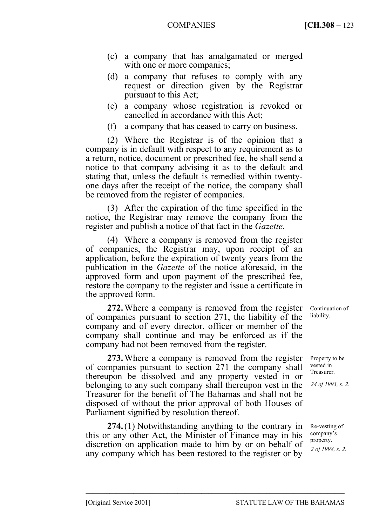- (c) a company that has amalgamated or merged with one or more companies;
- (d) a company that refuses to comply with any request or direction given by the Registrar pursuant to this Act;
- (e) a company whose registration is revoked or cancelled in accordance with this Act;
- (f) a company that has ceased to carry on business.

(2) Where the Registrar is of the opinion that a company is in default with respect to any requirement as to a return, notice, document or prescribed fee, he shall send a notice to that company advising it as to the default and stating that, unless the default is remedied within twentyone days after the receipt of the notice, the company shall be removed from the register of companies.

(3) After the expiration of the time specified in the notice, the Registrar may remove the company from the register and publish a notice of that fact in the *Gazette*.

(4) Where a company is removed from the register of companies, the Registrar may, upon receipt of an application, before the expiration of twenty years from the publication in the *Gazette* of the notice aforesaid, in the approved form and upon payment of the prescribed fee, restore the company to the register and issue a certificate in the approved form.

**272.** Where a company is removed from the register of companies pursuant to section 271, the liability of the company and of every director, officer or member of the company shall continue and may be enforced as if the company had not been removed from the register.

**273.** Where a company is removed from the register of companies pursuant to section 271 the company shall thereupon be dissolved and any property vested in or belonging to any such company shall thereupon vest in the Treasurer for the benefit of The Bahamas and shall not be disposed of without the prior approval of both Houses of Parliament signified by resolution thereof.

**274.** (1) Notwithstanding anything to the contrary in this or any other Act, the Minister of Finance may in his discretion on application made to him by or on behalf of any company which has been restored to the register or by

––––––––––––––––––––––––––––––––––––––––––––––––––––––––––––––––––––––––––––

Continuation of liability.

Property to be vested in Treasurer.

*24 of 1993, s. 2.* 

Re-vesting of company's property. *2 of 1998, s. 2.*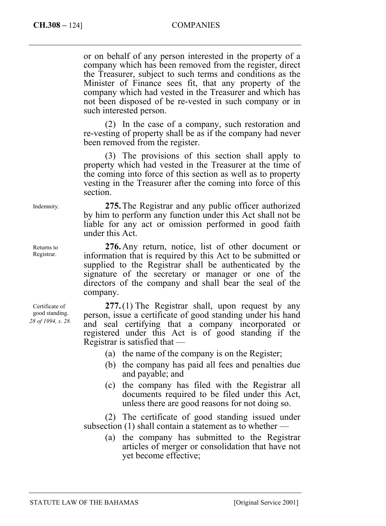or on behalf of any person interested in the property of a company which has been removed from the register, direct the Treasurer, subject to such terms and conditions as the Minister of Finance sees fit, that any property of the company which had vested in the Treasurer and which has not been disposed of be re-vested in such company or in such interested person.

(2) In the case of a company, such restoration and re-vesting of property shall be as if the company had never been removed from the register.

(3) The provisions of this section shall apply to property which had vested in the Treasurer at the time of the coming into force of this section as well as to property vesting in the Treasurer after the coming into force of this section.

**275.** The Registrar and any public officer authorized by him to perform any function under this Act shall not be liable for any act or omission performed in good faith under this Act.

**276.** Any return, notice, list of other document or information that is required by this Act to be submitted or supplied to the Registrar shall be authenticated by the signature of the secretary or manager or one of the directors of the company and shall bear the seal of the company.

**277.** (1) The Registrar shall, upon request by any person, issue a certificate of good standing under his hand and seal certifying that a company incorporated or registered under this Act is of good standing if the Registrar is satisfied that —

- (a) the name of the company is on the Register;
- (b) the company has paid all fees and penalties due and payable; and
- (c) the company has filed with the Registrar all documents required to be filed under this Act, unless there are good reasons for not doing so.

(2) The certificate of good standing issued under subsection (1) shall contain a statement as to whether —

(a) the company has submitted to the Registrar articles of merger or consolidation that have not yet become effective;

Indemnity.

Returns to Registrar.

Certificate of good standing. *28 of 1994, s. 28.*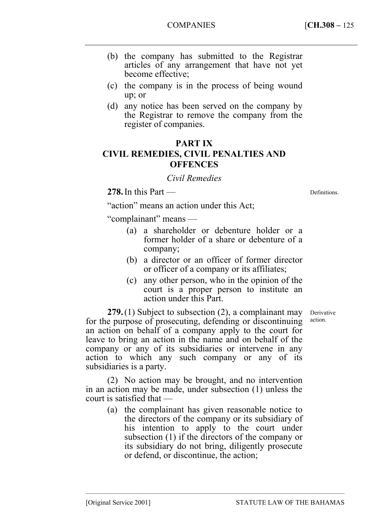- (b) the company has submitted to the Registrar articles of any arrangement that have not yet become effective;
- (c) the company is in the process of being wound up; or
- (d) any notice has been served on the company by the Registrar to remove the company from the register of companies.

# **PART IX CIVIL REMEDIES, CIVIL PENALTIES AND OFFENCES**

# *Civil Remedies*

**278.** In this Part —

Definitions.

"action" means an action under this Act;

"complainant" means —

- (a) a shareholder or debenture holder or a former holder of a share or debenture of a company;
- (b) a director or an officer of former director or officer of a company or its affiliates;
- (c) any other person, who in the opinion of the court is a proper person to institute an action under this Part.

**279.** (1) Subject to subsection (2), a complainant may for the purpose of prosecuting, defending or discontinuing an action on behalf of a company apply to the court for leave to bring an action in the name and on behalf of the company or any of its subsidiaries or intervene in any action to which any such company or any of its subsidiaries is a party. Derivative action.

(2) No action may be brought, and no intervention in an action may be made, under subsection (1) unless the court is satisfied that —

> (a) the complainant has given reasonable notice to the directors of the company or its subsidiary of his intention to apply to the court under subsection (1) if the directors of the company or its subsidiary do not bring, diligently prosecute or defend, or discontinue, the action;

––––––––––––––––––––––––––––––––––––––––––––––––––––––––––––––––––––––––––––

[Original Service 2001] STATUTE LAW OF THE BAHAMAS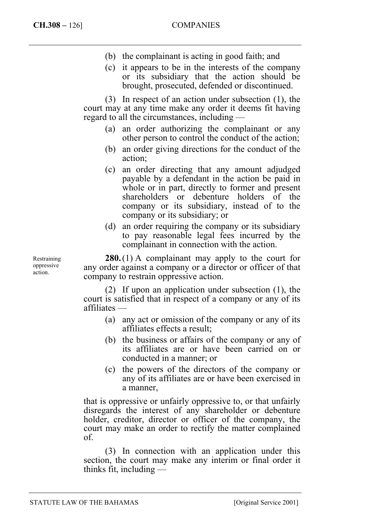- (b) the complainant is acting in good faith; and
- (c) it appears to be in the interests of the company or its subsidiary that the action should be brought, prosecuted, defended or discontinued.

(3) In respect of an action under subsection (1), the court may at any time make any order it deems fit having regard to all the circumstances, including —

- (a) an order authorizing the complainant or any other person to control the conduct of the action;
- (b) an order giving directions for the conduct of the action;
- (c) an order directing that any amount adjudged payable by a defendant in the action be paid in whole or in part, directly to former and present shareholders or debenture holders of the company or its subsidiary, instead of to the company or its subsidiary; or
- (d) an order requiring the company or its subsidiary to pay reasonable legal fees incurred by the complainant in connection with the action.

**280.** (1) A complainant may apply to the court for any order against a company or a director or officer of that company to restrain oppressive action.

(2) If upon an application under subsection (1), the court is satisfied that in respect of a company or any of its affiliates —

- (a) any act or omission of the company or any of its affiliates effects a result;
- (b) the business or affairs of the company or any of its affiliates are or have been carried on or conducted in a manner; or
- (c) the powers of the directors of the company or any of its affiliates are or have been exercised in a manner,

that is oppressive or unfairly oppressive to, or that unfairly disregards the interest of any shareholder or debenture holder, creditor, director or officer of the company, the court may make an order to rectify the matter complained of.

(3) In connection with an application under this section, the court may make any interim or final order it thinks fit, including —

Restraining oppressive action.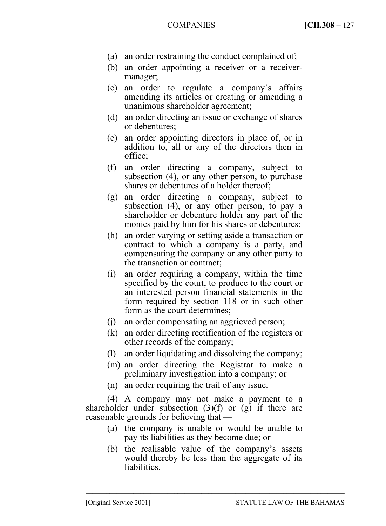- (a) an order restraining the conduct complained of;
- (b) an order appointing a receiver or a receivermanager;
- (c) an order to regulate a company's affairs amending its articles or creating or amending a unanimous shareholder agreement;
- (d) an order directing an issue or exchange of shares or debentures;
- (e) an order appointing directors in place of, or in addition to, all or any of the directors then in office;
- (f) an order directing a company, subject to subsection (4), or any other person, to purchase shares or debentures of a holder thereof;
- (g) an order directing a company, subject to subsection (4), or any other person, to pay a shareholder or debenture holder any part of the monies paid by him for his shares or debentures;
- (h) an order varying or setting aside a transaction or contract to which a company is a party, and compensating the company or any other party to the transaction or contract;
- (i) an order requiring a company, within the time specified by the court, to produce to the court or an interested person financial statements in the form required by section 118 or in such other form as the court determines;
- (j) an order compensating an aggrieved person;
- (k) an order directing rectification of the registers or other records of the company;
- (l) an order liquidating and dissolving the company;
- (m) an order directing the Registrar to make a preliminary investigation into a company; or
- (n) an order requiring the trail of any issue.

(4) A company may not make a payment to a shareholder under subsection  $(3)(f)$  or  $(g)$  if there are reasonable grounds for believing that —

- (a) the company is unable or would be unable to pay its liabilities as they become due; or
- (b) the realisable value of the company's assets would thereby be less than the aggregate of its liabilities.

––––––––––––––––––––––––––––––––––––––––––––––––––––––––––––––––––––––––––––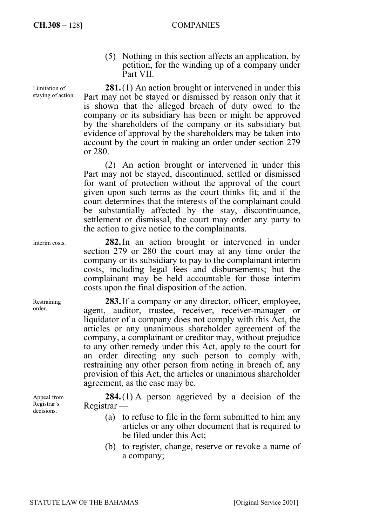Limitation of staying of action. (5) Nothing in this section affects an application, by petition, for the winding up of a company under Part VII.

**281.** (1) An action brought or intervened in under this Part may not be stayed or dismissed by reason only that it is shown that the alleged breach of duty owed to the company or its subsidiary has been or might be approved by the shareholders of the company or its subsidiary but evidence of approval by the shareholders may be taken into account by the court in making an order under section 279 or 280.

(2) An action brought or intervened in under this Part may not be stayed, discontinued, settled or dismissed for want of protection without the approval of the court given upon such terms as the court thinks fit; and if the court determines that the interests of the complainant could be substantially affected by the stay, discontinuance, settlement or dismissal, the court may order any party to the action to give notice to the complainants.

**282.** In an action brought or intervened in under section 279 or 280 the court may at any time order the company or its subsidiary to pay to the complainant interim costs, including legal fees and disbursements; but the complainant may be held accountable for those interim costs upon the final disposition of the action.

**283.** If a company or any director, officer, employee, agent, auditor, trustee, receiver, receiver-manager or liquidator of a company does not comply with this Act, the articles or any unanimous shareholder agreement of the company, a complainant or creditor may, without prejudice to any other remedy under this Act, apply to the court for an order directing any such person to comply with, restraining any other person from acting in breach of, any provision of this Act, the articles or unanimous shareholder agreement, as the case may be.

**284.** (1) A person aggrieved by a decision of the Registrar —

- (a) to refuse to file in the form submitted to him any articles or any other document that is required to be filed under this Act;
- (b) to register, change, reserve or revoke a name of a company;

Interim costs.

Restraining order.

Appeal from Registrar's decisions.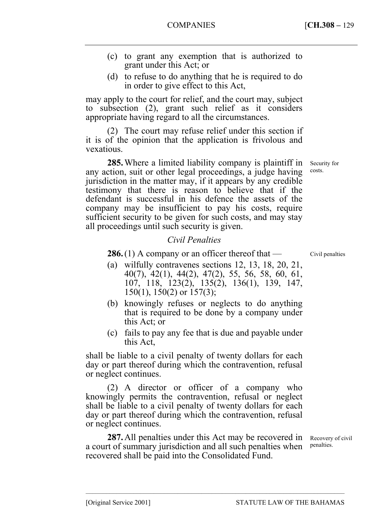- (c) to grant any exemption that is authorized to grant under this Act; or
- (d) to refuse to do anything that he is required to do in order to give effect to this Act,

may apply to the court for relief, and the court may, subject to subsection (2), grant such relief as it considers appropriate having regard to all the circumstances.

(2) The court may refuse relief under this section if it is of the opinion that the application is frivolous and vexatious.

**285.** Where a limited liability company is plaintiff in any action, suit or other legal proceedings, a judge having jurisdiction in the matter may, if it appears by any credible testimony that there is reason to believe that if the defendant is successful in his defence the assets of the company may be insufficient to pay his costs, require sufficient security to be given for such costs, and may stay all proceedings until such security is given.

# *Civil Penalties*

**286.** (1) A company or an officer thereof that —

- (a) wilfully contravenes sections 12, 13, 18, 20, 21, 40(7), 42(1), 44(2), 47(2), 55, 56, 58, 60, 61, 107, 118, 123(2), 135(2), 136(1), 139, 147, 150(1), 150(2) or 157(3);
- (b) knowingly refuses or neglects to do anything that is required to be done by a company under this Act; or
- (c) fails to pay any fee that is due and payable under this Act,

shall be liable to a civil penalty of twenty dollars for each day or part thereof during which the contravention, refusal or neglect continues.

(2) A director or officer of a company who knowingly permits the contravention, refusal or neglect shall be liable to a civil penalty of twenty dollars for each day or part thereof during which the contravention, refusal or neglect continues.

**287.** All penalties under this Act may be recovered in a court of summary jurisdiction and all such penalties when penalties. recovered shall be paid into the Consolidated Fund.

––––––––––––––––––––––––––––––––––––––––––––––––––––––––––––––––––––––––––––

Recovery of civil

Security for costs.

Civil penalties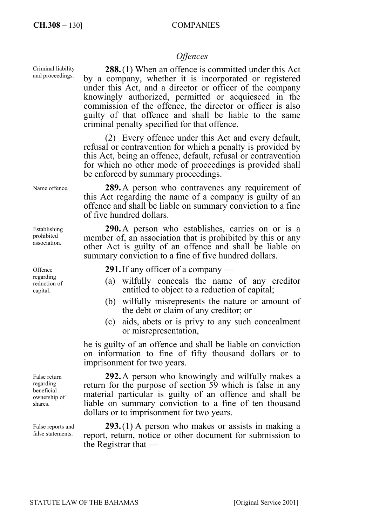# *Offences*

**288.** (1) When an offence is committed under this Act by a company, whether it is incorporated or registered under this Act, and a director or officer of the company knowingly authorized, permitted or acquiesced in the commission of the offence, the director or officer is also guilty of that offence and shall be liable to the same criminal penalty specified for that offence.

(2) Every offence under this Act and every default, refusal or contravention for which a penalty is provided by this Act, being an offence, default, refusal or contravention for which no other mode of proceedings is provided shall be enforced by summary proceedings.

**289.** A person who contravenes any requirement of this Act regarding the name of a company is guilty of an offence and shall be liable on summary conviction to a fine of five hundred dollars.

**290.** A person who establishes, carries on or is a member of, an association that is prohibited by this or any other Act is guilty of an offence and shall be liable on summary conviction to a fine of five hundred dollars.

**291.** If any officer of a company —

- (a) wilfully conceals the name of any creditor entitled to object to a reduction of capital;
- (b) wilfully misrepresents the nature or amount of the debt or claim of any creditor; or
- (c) aids, abets or is privy to any such concealment or misrepresentation,

he is guilty of an offence and shall be liable on conviction on information to fine of fifty thousand dollars or to imprisonment for two years.

**292.** A person who knowingly and wilfully makes a return for the purpose of section 59 which is false in any material particular is guilty of an offence and shall be liable on summary conviction to a fine of ten thousand dollars or to imprisonment for two years.

**293.** (1) A person who makes or assists in making a report, return, notice or other document for submission to the Registrar that —

Criminal liability and proceedings.

Name offence.

Establishing prohibited association.

**Offence** regarding reduction of capital.

False return regarding beneficial ownership of shares.

False reports and false statements.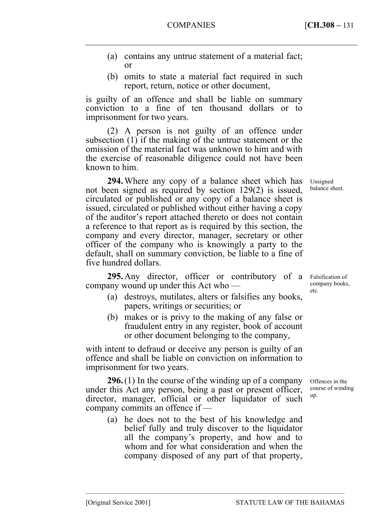- (a) contains any untrue statement of a material fact; or
- (b) omits to state a material fact required in such report, return, notice or other document,

is guilty of an offence and shall be liable on summary conviction to a fine of ten thousand dollars or to imprisonment for two years.

(2) A person is not guilty of an offence under subsection (1) if the making of the untrue statement or the omission of the material fact was unknown to him and with the exercise of reasonable diligence could not have been known to him.

**294.** Where any copy of a balance sheet which has not been signed as required by section 129(2) is issued, circulated or published or any copy of a balance sheet is issued, circulated or published without either having a copy of the auditor's report attached thereto or does not contain a reference to that report as is required by this section, the company and every director, manager, secretary or other officer of the company who is knowingly a party to the default, shall on summary conviction, be liable to a fine of five hundred dollars.

**295.** Any director, officer or contributory of a company wound up under this Act who —

- (a) destroys, mutilates, alters or falsifies any books, papers, writings or securities; or
- (b) makes or is privy to the making of any false or fraudulent entry in any register, book of account or other document belonging to the company,

with intent to defraud or deceive any person is guilty of an offence and shall be liable on conviction on information to imprisonment for two years.

**296.** (1) In the course of the winding up of a company under this Act any person, being a past or present officer, director, manager, official or other liquidator of such company commits an offence if —

(a) he does not to the best of his knowledge and belief fully and truly discover to the liquidator all the company's property, and how and to whom and for what consideration and when the company disposed of any part of that property,

––––––––––––––––––––––––––––––––––––––––––––––––––––––––––––––––––––––––––––

Falsification of company books, etc.

Unsigned balance sheet.

Offences in the course of winding up.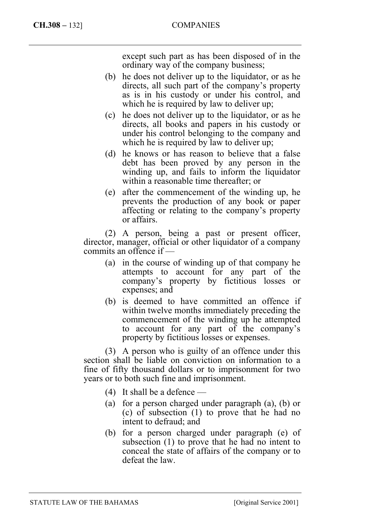except such part as has been disposed of in the ordinary way of the company business;

- (b) he does not deliver up to the liquidator, or as he directs, all such part of the company's property as is in his custody or under his control, and which he is required by law to deliver up;
- (c) he does not deliver up to the liquidator, or as he directs, all books and papers in his custody or under his control belonging to the company and which he is required by law to deliver up;
- (d) he knows or has reason to believe that a false debt has been proved by any person in the winding up, and fails to inform the liquidator within a reasonable time thereafter; or
- (e) after the commencement of the winding up, he prevents the production of any book or paper affecting or relating to the company's property or affairs.

(2) A person, being a past or present officer, director, manager, official or other liquidator of a company commits an offence if —

- (a) in the course of winding up of that company he attempts to account for any part of the company's property by fictitious losses or expenses; and
- (b) is deemed to have committed an offence if within twelve months immediately preceding the commencement of the winding up he attempted to account for any part of the company's property by fictitious losses or expenses.

(3) A person who is guilty of an offence under this section shall be liable on conviction on information to a fine of fifty thousand dollars or to imprisonment for two years or to both such fine and imprisonment.

- $(4)$  It shall be a defence —
- (a) for a person charged under paragraph (a), (b) or (c) of subsection (1) to prove that he had no intent to defraud; and
- (b) for a person charged under paragraph (e) of subsection (1) to prove that he had no intent to conceal the state of affairs of the company or to defeat the law.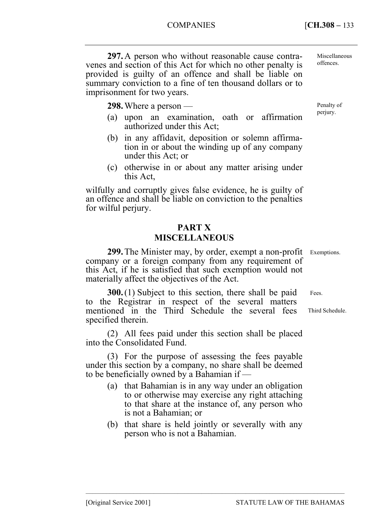––––––––––––––––––––––––––––––––––––––––––––––––––––––––––––––––––––––––––––

**297.** A person who without reasonable cause contravenes and section of this Act for which no other penalty is provided is guilty of an offence and shall be liable on summary conviction to a fine of ten thousand dollars or to imprisonment for two years.

**298.** Where a person —

- (a) upon an examination, oath or affirmation authorized under this Act;
- (b) in any affidavit, deposition or solemn affirmation in or about the winding up of any company under this Act; or
- (c) otherwise in or about any matter arising under this Act,

wilfully and corruptly gives false evidence, he is guilty of an offence and shall be liable on conviction to the penalties for wilful perjury.

# **PART X MISCELLANEOUS**

299. The Minister may, by order, exempt a non-profit Exemptions. company or a foreign company from any requirement of this Act, if he is satisfied that such exemption would not materially affect the objectives of the Act.

**300.** (1) Subject to this section, there shall be paid to the Registrar in respect of the several matters mentioned in the Third Schedule the several fees specified therein.

(2) All fees paid under this section shall be placed into the Consolidated Fund.

(3) For the purpose of assessing the fees payable under this section by a company, no share shall be deemed to be beneficially owned by a Bahamian if —

- (a) that Bahamian is in any way under an obligation to or otherwise may exercise any right attaching to that share at the instance of, any person who is not a Bahamian; or
- (b) that share is held jointly or severally with any person who is not a Bahamian.

Penalty of perjury.

Fees.

Third Schedule.

Miscellaneous offences.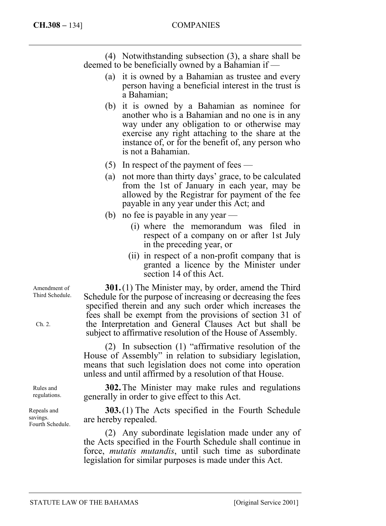(4) Notwithstanding subsection (3), a share shall be deemed to be beneficially owned by a Bahamian if —

- (a) it is owned by a Bahamian as trustee and every person having a beneficial interest in the trust is a Bahamian;
- (b) it is owned by a Bahamian as nominee for another who is a Bahamian and no one is in any way under any obligation to or otherwise may exercise any right attaching to the share at the instance of, or for the benefit of, any person who is not a Bahamian.
- (5) In respect of the payment of fees —
- (a) not more than thirty days' grace, to be calculated from the 1st of January in each year, may be allowed by the Registrar for payment of the fee payable in any year under this Act; and
- (b) no fee is payable in any year
	- (i) where the memorandum was filed in respect of a company on or after 1st July in the preceding year, or
	- (ii) in respect of a non-profit company that is granted a licence by the Minister under section 14 of this Act.

**301.** (1) The Minister may, by order, amend the Third Schedule for the purpose of increasing or decreasing the fees specified therein and any such order which increases the fees shall be exempt from the provisions of section 31 of the Interpretation and General Clauses Act but shall be subject to affirmative resolution of the House of Assembly.

(2) In subsection (1) "affirmative resolution of the House of Assembly" in relation to subsidiary legislation, means that such legislation does not come into operation unless and until affirmed by a resolution of that House.

**302.** The Minister may make rules and regulations generally in order to give effect to this Act.

**303.** (1) The Acts specified in the Fourth Schedule are hereby repealed.

(2) Any subordinate legislation made under any of the Acts specified in the Fourth Schedule shall continue in force, *mutatis mutandis*, until such time as subordinate legislation for similar purposes is made under this Act.

Amendment of Third Schedule.

Ch. 2.

Rules and regulations.

Repeals and savings. Fourth Schedule.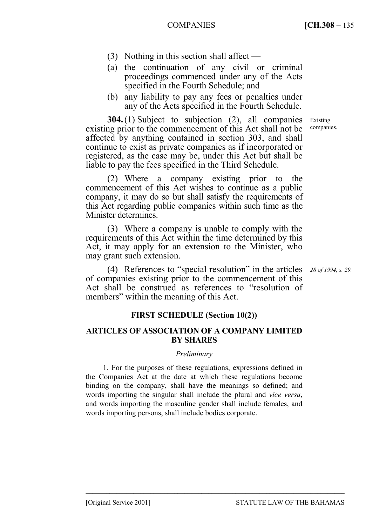- (3) Nothing in this section shall affect —
- (a) the continuation of any civil or criminal proceedings commenced under any of the Acts specified in the Fourth Schedule; and
- (b) any liability to pay any fees or penalties under any of the Acts specified in the Fourth Schedule.

**304.** (1) Subject to subjection (2), all companies existing prior to the commencement of this Act shall not be affected by anything contained in section 303, and shall continue to exist as private companies as if incorporated or registered, as the case may be, under this Act but shall be liable to pay the fees specified in the Third Schedule.

(2) Where a company existing prior to the commencement of this Act wishes to continue as a public company, it may do so but shall satisfy the requirements of this Act regarding public companies within such time as the Minister determines.

(3) Where a company is unable to comply with the requirements of this Act within the time determined by this Act, it may apply for an extension to the Minister, who may grant such extension.

(4) References to "special resolution" in the articles *28 of 1994, s. 29.* of companies existing prior to the commencement of this Act shall be construed as references to "resolution of members" within the meaning of this Act.

## **FIRST SCHEDULE (Section 10(2))**

## **ARTICLES OF ASSOCIATION OF A COMPANY LIMITED BY SHARES**

## *Preliminary*

1. For the purposes of these regulations, expressions defined in the Companies Act at the date at which these regulations become binding on the company, shall have the meanings so defined; and words importing the singular shall include the plural and *vice versa*, and words importing the masculine gender shall include females, and words importing persons, shall include bodies corporate.

––––––––––––––––––––––––––––––––––––––––––––––––––––––––––––––––––––––––––––

Existing companies.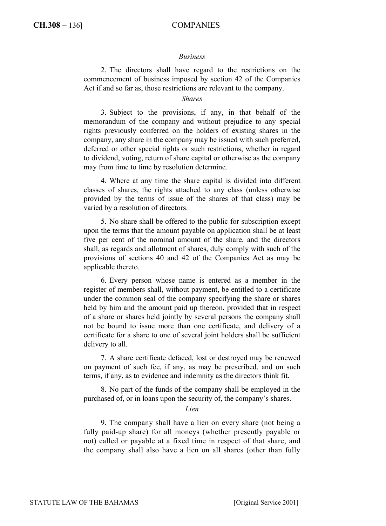### *Business*

2. The directors shall have regard to the restrictions on the commencement of business imposed by section 42 of the Companies Act if and so far as, those restrictions are relevant to the company.

## *Shares*

3. Subject to the provisions, if any, in that behalf of the memorandum of the company and without prejudice to any special rights previously conferred on the holders of existing shares in the company, any share in the company may be issued with such preferred, deferred or other special rights or such restrictions, whether in regard to dividend, voting, return of share capital or otherwise as the company may from time to time by resolution determine.

4. Where at any time the share capital is divided into different classes of shares, the rights attached to any class (unless otherwise provided by the terms of issue of the shares of that class) may be varied by a resolution of directors.

5. No share shall be offered to the public for subscription except upon the terms that the amount payable on application shall be at least five per cent of the nominal amount of the share, and the directors shall, as regards and allotment of shares, duly comply with such of the provisions of sections 40 and 42 of the Companies Act as may be applicable thereto.

6. Every person whose name is entered as a member in the register of members shall, without payment, be entitled to a certificate under the common seal of the company specifying the share or shares held by him and the amount paid up thereon, provided that in respect of a share or shares held jointly by several persons the company shall not be bound to issue more than one certificate, and delivery of a certificate for a share to one of several joint holders shall be sufficient delivery to all.

7. A share certificate defaced, lost or destroyed may be renewed on payment of such fee, if any, as may be prescribed, and on such terms, if any, as to evidence and indemnity as the directors think fit.

8. No part of the funds of the company shall be employed in the purchased of, or in loans upon the security of, the company's shares.

### *Lien*

9. The company shall have a lien on every share (not being a fully paid-up share) for all moneys (whether presently payable or not) called or payable at a fixed time in respect of that share, and the company shall also have a lien on all shares (other than fully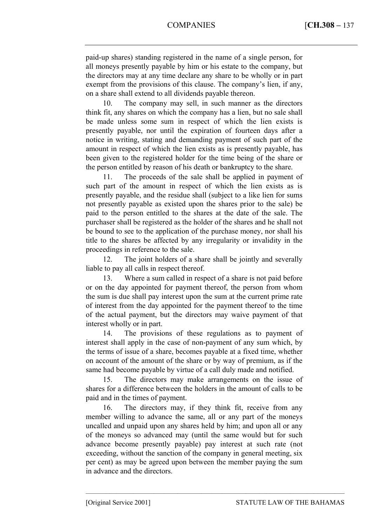paid-up shares) standing registered in the name of a single person, for all moneys presently payable by him or his estate to the company, but the directors may at any time declare any share to be wholly or in part exempt from the provisions of this clause. The company's lien, if any, on a share shall extend to all dividends payable thereon.

10. The company may sell, in such manner as the directors think fit, any shares on which the company has a lien, but no sale shall be made unless some sum in respect of which the lien exists is presently payable, nor until the expiration of fourteen days after a notice in writing, stating and demanding payment of such part of the amount in respect of which the lien exists as is presently payable, has been given to the registered holder for the time being of the share or the person entitled by reason of his death or bankruptcy to the share.

11. The proceeds of the sale shall be applied in payment of such part of the amount in respect of which the lien exists as is presently payable, and the residue shall (subject to a like lien for sums not presently payable as existed upon the shares prior to the sale) be paid to the person entitled to the shares at the date of the sale. The purchaser shall be registered as the holder of the shares and he shall not be bound to see to the application of the purchase money, nor shall his title to the shares be affected by any irregularity or invalidity in the proceedings in reference to the sale.

12. The joint holders of a share shall be jointly and severally liable to pay all calls in respect thereof.

13. Where a sum called in respect of a share is not paid before or on the day appointed for payment thereof, the person from whom the sum is due shall pay interest upon the sum at the current prime rate of interest from the day appointed for the payment thereof to the time of the actual payment, but the directors may waive payment of that interest wholly or in part.

14. The provisions of these regulations as to payment of interest shall apply in the case of non-payment of any sum which, by the terms of issue of a share, becomes payable at a fixed time, whether on account of the amount of the share or by way of premium, as if the same had become payable by virtue of a call duly made and notified.

15. The directors may make arrangements on the issue of shares for a difference between the holders in the amount of calls to be paid and in the times of payment.

16. The directors may, if they think fit, receive from any member willing to advance the same, all or any part of the moneys uncalled and unpaid upon any shares held by him; and upon all or any of the moneys so advanced may (until the same would but for such advance become presently payable) pay interest at such rate (not exceeding, without the sanction of the company in general meeting, six per cent) as may be agreed upon between the member paying the sum in advance and the directors.

––––––––––––––––––––––––––––––––––––––––––––––––––––––––––––––––––––––––––––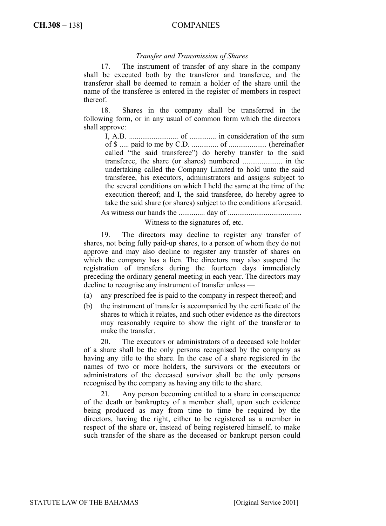### *Transfer and Transmission of Shares*

17. The instrument of transfer of any share in the company shall be executed both by the transferor and transferee, and the transferor shall be deemed to remain a holder of the share until the name of the transferee is entered in the register of members in respect thereof.

18. Shares in the company shall be transferred in the following form, or in any usual of common form which the directors shall approve:

I, A.B. .......................... of .............. in consideration of the sum of \$ ..... paid to me by C.D. .............. of .................... (hereinafter called "the said transferee") do hereby transfer to the said transferee, the share (or shares) numbered ..................... in the undertaking called the Company Limited to hold unto the said transferee, his executors, administrators and assigns subject to the several conditions on which I held the same at the time of the execution thereof; and I, the said transferee, do hereby agree to take the said share (or shares) subject to the conditions aforesaid.

As witness our hands the .............. day of .......................................

### Witness to the signatures of, etc.

19. The directors may decline to register any transfer of shares, not being fully paid-up shares, to a person of whom they do not approve and may also decline to register any transfer of shares on which the company has a lien. The directors may also suspend the registration of transfers during the fourteen days immediately preceding the ordinary general meeting in each year. The directors may decline to recognise any instrument of transfer unless —

- (a) any prescribed fee is paid to the company in respect thereof; and
- (b) the instrument of transfer is accompanied by the certificate of the shares to which it relates, and such other evidence as the directors may reasonably require to show the right of the transferor to make the transfer.

20. The executors or administrators of a deceased sole holder of a share shall be the only persons recognised by the company as having any title to the share. In the case of a share registered in the names of two or more holders, the survivors or the executors or administrators of the deceased survivor shall be the only persons recognised by the company as having any title to the share.

21. Any person becoming entitled to a share in consequence of the death or bankruptcy of a member shall, upon such evidence being produced as may from time to time be required by the directors, having the right, either to be registered as a member in respect of the share or, instead of being registered himself, to make such transfer of the share as the deceased or bankrupt person could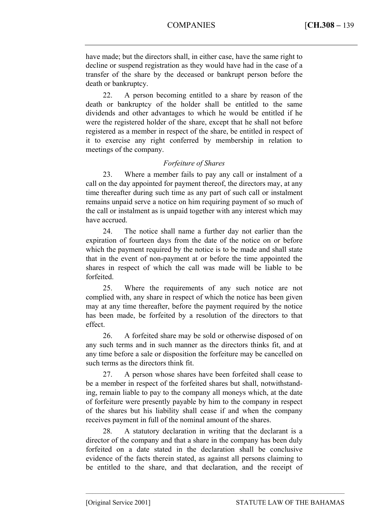have made; but the directors shall, in either case, have the same right to decline or suspend registration as they would have had in the case of a transfer of the share by the deceased or bankrupt person before the death or bankruptcy.

22. A person becoming entitled to a share by reason of the death or bankruptcy of the holder shall be entitled to the same dividends and other advantages to which he would be entitled if he were the registered holder of the share, except that he shall not before registered as a member in respect of the share, be entitled in respect of it to exercise any right conferred by membership in relation to meetings of the company.

## *Forfeiture of Shares*

23. Where a member fails to pay any call or instalment of a call on the day appointed for payment thereof, the directors may, at any time thereafter during such time as any part of such call or instalment remains unpaid serve a notice on him requiring payment of so much of the call or instalment as is unpaid together with any interest which may have accrued.

24. The notice shall name a further day not earlier than the expiration of fourteen days from the date of the notice on or before which the payment required by the notice is to be made and shall state that in the event of non-payment at or before the time appointed the shares in respect of which the call was made will be liable to be forfeited.

25. Where the requirements of any such notice are not complied with, any share in respect of which the notice has been given may at any time thereafter, before the payment required by the notice has been made, be forfeited by a resolution of the directors to that effect.

26. A forfeited share may be sold or otherwise disposed of on any such terms and in such manner as the directors thinks fit, and at any time before a sale or disposition the forfeiture may be cancelled on such terms as the directors think fit.

27. A person whose shares have been forfeited shall cease to be a member in respect of the forfeited shares but shall, notwithstanding, remain liable to pay to the company all moneys which, at the date of forfeiture were presently payable by him to the company in respect of the shares but his liability shall cease if and when the company receives payment in full of the nominal amount of the shares.

28. A statutory declaration in writing that the declarant is a director of the company and that a share in the company has been duly forfeited on a date stated in the declaration shall be conclusive evidence of the facts therein stated, as against all persons claiming to be entitled to the share, and that declaration, and the receipt of

––––––––––––––––––––––––––––––––––––––––––––––––––––––––––––––––––––––––––––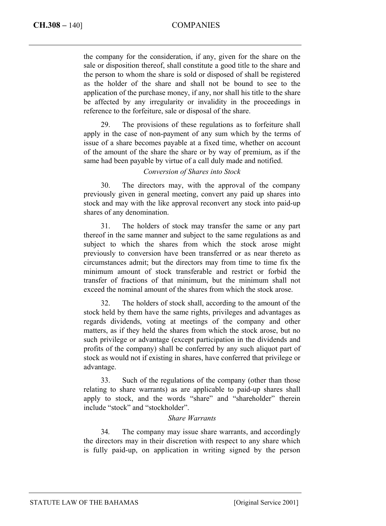the company for the consideration, if any, given for the share on the sale or disposition thereof, shall constitute a good title to the share and the person to whom the share is sold or disposed of shall be registered as the holder of the share and shall not be bound to see to the application of the purchase money, if any, nor shall his title to the share be affected by any irregularity or invalidity in the proceedings in reference to the forfeiture, sale or disposal of the share.

29. The provisions of these regulations as to forfeiture shall apply in the case of non-payment of any sum which by the terms of issue of a share becomes payable at a fixed time, whether on account of the amount of the share the share or by way of premium, as if the same had been payable by virtue of a call duly made and notified.

## *Conversion of Shares into Stock*

30. The directors may, with the approval of the company previously given in general meeting, convert any paid up shares into stock and may with the like approval reconvert any stock into paid-up shares of any denomination.

31. The holders of stock may transfer the same or any part thereof in the same manner and subject to the same regulations as and subject to which the shares from which the stock arose might previously to conversion have been transferred or as near thereto as circumstances admit; but the directors may from time to time fix the minimum amount of stock transferable and restrict or forbid the transfer of fractions of that minimum, but the minimum shall not exceed the nominal amount of the shares from which the stock arose.

32. The holders of stock shall, according to the amount of the stock held by them have the same rights, privileges and advantages as regards dividends, voting at meetings of the company and other matters, as if they held the shares from which the stock arose, but no such privilege or advantage (except participation in the dividends and profits of the company) shall be conferred by any such aliquot part of stock as would not if existing in shares, have conferred that privilege or advantage.

33. Such of the regulations of the company (other than those relating to share warrants) as are applicable to paid-up shares shall apply to stock, and the words "share" and "shareholder" therein include "stock" and "stockholder".

## *Share Warrants*

34. The company may issue share warrants, and accordingly the directors may in their discretion with respect to any share which is fully paid-up, on application in writing signed by the person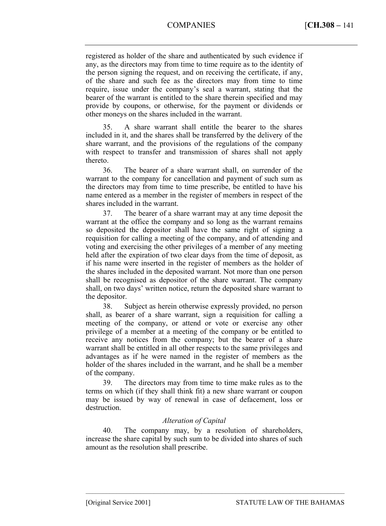registered as holder of the share and authenticated by such evidence if any, as the directors may from time to time require as to the identity of the person signing the request, and on receiving the certificate, if any, of the share and such fee as the directors may from time to time require, issue under the company's seal a warrant, stating that the bearer of the warrant is entitled to the share therein specified and may provide by coupons, or otherwise, for the payment or dividends or other moneys on the shares included in the warrant.

35. A share warrant shall entitle the bearer to the shares included in it, and the shares shall be transferred by the delivery of the share warrant, and the provisions of the regulations of the company with respect to transfer and transmission of shares shall not apply thereto.

36. The bearer of a share warrant shall, on surrender of the warrant to the company for cancellation and payment of such sum as the directors may from time to time prescribe, be entitled to have his name entered as a member in the register of members in respect of the shares included in the warrant.

37. The bearer of a share warrant may at any time deposit the warrant at the office the company and so long as the warrant remains so deposited the depositor shall have the same right of signing a requisition for calling a meeting of the company, and of attending and voting and exercising the other privileges of a member of any meeting held after the expiration of two clear days from the time of deposit, as if his name were inserted in the register of members as the holder of the shares included in the deposited warrant. Not more than one person shall be recognised as depositor of the share warrant. The company shall, on two days' written notice, return the deposited share warrant to the depositor.

38. Subject as herein otherwise expressly provided, no person shall, as bearer of a share warrant, sign a requisition for calling a meeting of the company, or attend or vote or exercise any other privilege of a member at a meeting of the company or be entitled to receive any notices from the company; but the bearer of a share warrant shall be entitled in all other respects to the same privileges and advantages as if he were named in the register of members as the holder of the shares included in the warrant, and he shall be a member of the company.

39. The directors may from time to time make rules as to the terms on which (if they shall think fit) a new share warrant or coupon may be issued by way of renewal in case of defacement, loss or destruction.

### *Alteration of Capital*

40. The company may, by a resolution of shareholders, increase the share capital by such sum to be divided into shares of such amount as the resolution shall prescribe.

––––––––––––––––––––––––––––––––––––––––––––––––––––––––––––––––––––––––––––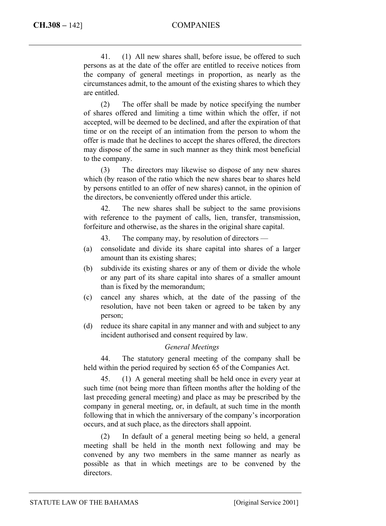41. (1) All new shares shall, before issue, be offered to such persons as at the date of the offer are entitled to receive notices from the company of general meetings in proportion, as nearly as the circumstances admit, to the amount of the existing shares to which they are entitled.

(2) The offer shall be made by notice specifying the number of shares offered and limiting a time within which the offer, if not accepted, will be deemed to be declined, and after the expiration of that time or on the receipt of an intimation from the person to whom the offer is made that he declines to accept the shares offered, the directors may dispose of the same in such manner as they think most beneficial to the company.

(3) The directors may likewise so dispose of any new shares which (by reason of the ratio which the new shares bear to shares held by persons entitled to an offer of new shares) cannot, in the opinion of the directors, be conveniently offered under this article.

42. The new shares shall be subject to the same provisions with reference to the payment of calls, lien, transfer, transmission, forfeiture and otherwise, as the shares in the original share capital.

43. The company may, by resolution of directors —

- (a) consolidate and divide its share capital into shares of a larger amount than its existing shares;
- (b) subdivide its existing shares or any of them or divide the whole or any part of its share capital into shares of a smaller amount than is fixed by the memorandum;
- (c) cancel any shares which, at the date of the passing of the resolution, have not been taken or agreed to be taken by any person;
- (d) reduce its share capital in any manner and with and subject to any incident authorised and consent required by law.

### *General Meetings*

44. The statutory general meeting of the company shall be held within the period required by section 65 of the Companies Act.

45. (1) A general meeting shall be held once in every year at such time (not being more than fifteen months after the holding of the last preceding general meeting) and place as may be prescribed by the company in general meeting, or, in default, at such time in the month following that in which the anniversary of the company's incorporation occurs, and at such place, as the directors shall appoint.

(2) In default of a general meeting being so held, a general meeting shall be held in the month next following and may be convened by any two members in the same manner as nearly as possible as that in which meetings are to be convened by the directors.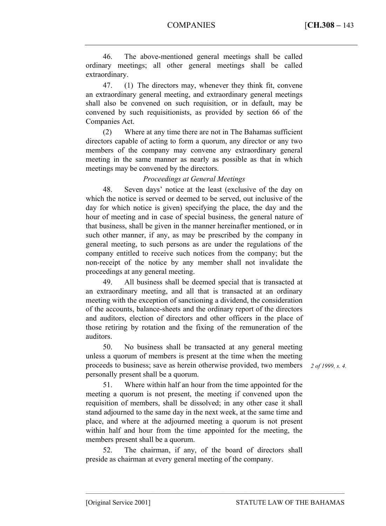46. The above-mentioned general meetings shall be called ordinary meetings; all other general meetings shall be called extraordinary.

47. (1) The directors may, whenever they think fit, convene an extraordinary general meeting, and extraordinary general meetings shall also be convened on such requisition, or in default, may be convened by such requisitionists, as provided by section 66 of the Companies Act.

(2) Where at any time there are not in The Bahamas sufficient directors capable of acting to form a quorum, any director or any two members of the company may convene any extraordinary general meeting in the same manner as nearly as possible as that in which meetings may be convened by the directors.

## *Proceedings at General Meetings*

48. Seven days' notice at the least (exclusive of the day on which the notice is served or deemed to be served, out inclusive of the day for which notice is given) specifying the place, the day and the hour of meeting and in case of special business, the general nature of that business, shall be given in the manner hereinafter mentioned, or in such other manner, if any, as may be prescribed by the company in general meeting, to such persons as are under the regulations of the company entitled to receive such notices from the company; but the non-receipt of the notice by any member shall not invalidate the proceedings at any general meeting.

49. All business shall be deemed special that is transacted at an extraordinary meeting, and all that is transacted at an ordinary meeting with the exception of sanctioning a dividend, the consideration of the accounts, balance-sheets and the ordinary report of the directors and auditors, election of directors and other officers in the place of those retiring by rotation and the fixing of the remuneration of the auditors.

50. No business shall be transacted at any general meeting unless a quorum of members is present at the time when the meeting proceeds to business; save as herein otherwise provided, two members personally present shall be a quorum.

51. Where within half an hour from the time appointed for the meeting a quorum is not present, the meeting if convened upon the requisition of members, shall be dissolved; in any other case it shall stand adjourned to the same day in the next week, at the same time and place, and where at the adjourned meeting a quorum is not present within half and hour from the time appointed for the meeting, the members present shall be a quorum.

52. The chairman, if any, of the board of directors shall preside as chairman at every general meeting of the company.

––––––––––––––––––––––––––––––––––––––––––––––––––––––––––––––––––––––––––––

*2 of 1999, s. 4.*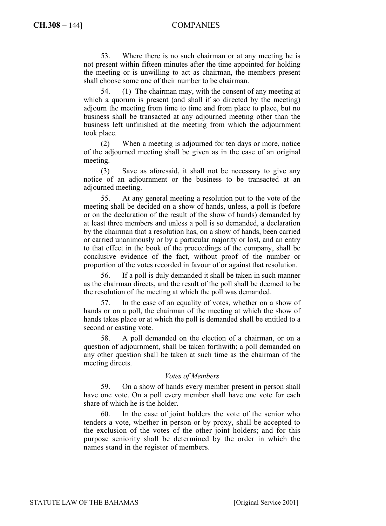53. Where there is no such chairman or at any meeting he is not present within fifteen minutes after the time appointed for holding the meeting or is unwilling to act as chairman, the members present shall choose some one of their number to be chairman.

54. (1) The chairman may, with the consent of any meeting at which a quorum is present (and shall if so directed by the meeting) adjourn the meeting from time to time and from place to place, but no business shall be transacted at any adjourned meeting other than the business left unfinished at the meeting from which the adjournment took place.

(2) When a meeting is adjourned for ten days or more, notice of the adjourned meeting shall be given as in the case of an original meeting.

(3) Save as aforesaid, it shall not be necessary to give any notice of an adjournment or the business to be transacted at an adjourned meeting.

55. At any general meeting a resolution put to the vote of the meeting shall be decided on a show of hands, unless, a poll is (before or on the declaration of the result of the show of hands) demanded by at least three members and unless a poll is so demanded, a declaration by the chairman that a resolution has, on a show of hands, been carried or carried unanimously or by a particular majority or lost, and an entry to that effect in the book of the proceedings of the company, shall be conclusive evidence of the fact, without proof of the number or proportion of the votes recorded in favour of or against that resolution.

56. If a poll is duly demanded it shall be taken in such manner as the chairman directs, and the result of the poll shall be deemed to be the resolution of the meeting at which the poll was demanded.

57. In the case of an equality of votes, whether on a show of hands or on a poll, the chairman of the meeting at which the show of hands takes place or at which the poll is demanded shall be entitled to a second or casting vote.

58. A poll demanded on the election of a chairman, or on a question of adjournment, shall be taken forthwith; a poll demanded on any other question shall be taken at such time as the chairman of the meeting directs.

### *Votes of Members*

59. On a show of hands every member present in person shall have one vote. On a poll every member shall have one vote for each share of which he is the holder.

60. In the case of joint holders the vote of the senior who tenders a vote, whether in person or by proxy, shall be accepted to the exclusion of the votes of the other joint holders; and for this purpose seniority shall be determined by the order in which the names stand in the register of members.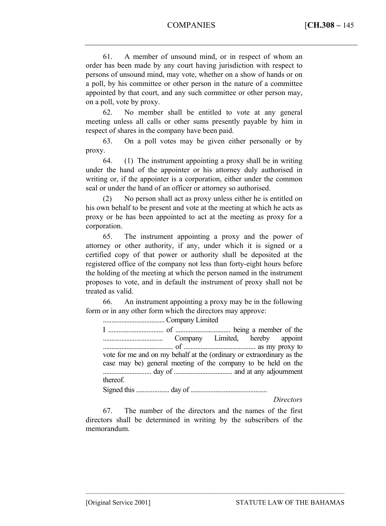61. A member of unsound mind, or in respect of whom an order has been made by any court having jurisdiction with respect to persons of unsound mind, may vote, whether on a show of hands or on a poll, by his committee or other person in the nature of a committee appointed by that court, and any such committee or other person may, on a poll, vote by proxy.

62. No member shall be entitled to vote at any general meeting unless all calls or other sums presently payable by him in respect of shares in the company have been paid.

63. On a poll votes may be given either personally or by proxy.

64. (1) The instrument appointing a proxy shall be in writing under the hand of the appointer or his attorney duly authorised in writing or, if the appointer is a corporation, either under the common seal or under the hand of an officer or attorney so authorised.

(2) No person shall act as proxy unless either he is entitled on his own behalf to be present and vote at the meeting at which he acts as proxy or he has been appointed to act at the meeting as proxy for a corporation.

65. The instrument appointing a proxy and the power of attorney or other authority, if any, under which it is signed or a certified copy of that power or authority shall be deposited at the registered office of the company not less than forty-eight hours before the holding of the meeting at which the person named in the instrument proposes to vote, and in default the instrument of proxy shall not be treated as valid.

66. An instrument appointing a proxy may be in the following form or in any other form which the directors may approve:

|--|--|

I ................................. of ................................. being a member of the .................................... Company Limited, hereby appoint .......................................... of ........................................... as my proxy to vote for me and on my behalf at the (ordinary or extraordinary as the case may be) general meeting of the company to be held on the ............................. day of ................................... and at any adjournment thereof.

Signed this .................... day of ..............................................

*Directors* 

67. The number of the directors and the names of the first directors shall be determined in writing by the subscribers of the memorandum.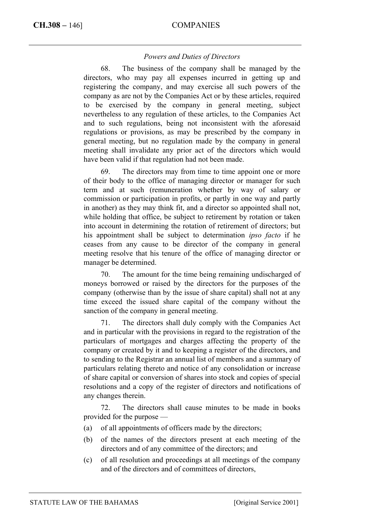### *Powers and Duties of Directors*

68. The business of the company shall be managed by the directors, who may pay all expenses incurred in getting up and registering the company, and may exercise all such powers of the company as are not by the Companies Act or by these articles, required to be exercised by the company in general meeting, subject nevertheless to any regulation of these articles, to the Companies Act and to such regulations, being not inconsistent with the aforesaid regulations or provisions, as may be prescribed by the company in general meeting, but no regulation made by the company in general meeting shall invalidate any prior act of the directors which would have been valid if that regulation had not been made.

69. The directors may from time to time appoint one or more of their body to the office of managing director or manager for such term and at such (remuneration whether by way of salary or commission or participation in profits, or partly in one way and partly in another) as they may think fit, and a director so appointed shall not, while holding that office, be subject to retirement by rotation or taken into account in determining the rotation of retirement of directors; but his appointment shall be subject to determination *ipso facto* if he ceases from any cause to be director of the company in general meeting resolve that his tenure of the office of managing director or manager be determined.

70. The amount for the time being remaining undischarged of moneys borrowed or raised by the directors for the purposes of the company (otherwise than by the issue of share capital) shall not at any time exceed the issued share capital of the company without the sanction of the company in general meeting.

71. The directors shall duly comply with the Companies Act and in particular with the provisions in regard to the registration of the particulars of mortgages and charges affecting the property of the company or created by it and to keeping a register of the directors, and to sending to the Registrar an annual list of members and a summary of particulars relating thereto and notice of any consolidation or increase of share capital or conversion of shares into stock and copies of special resolutions and a copy of the register of directors and notifications of any changes therein.

72. The directors shall cause minutes to be made in books provided for the purpose —

- (a) of all appointments of officers made by the directors;
- (b) of the names of the directors present at each meeting of the directors and of any committee of the directors; and
- (c) of all resolution and proceedings at all meetings of the company and of the directors and of committees of directors,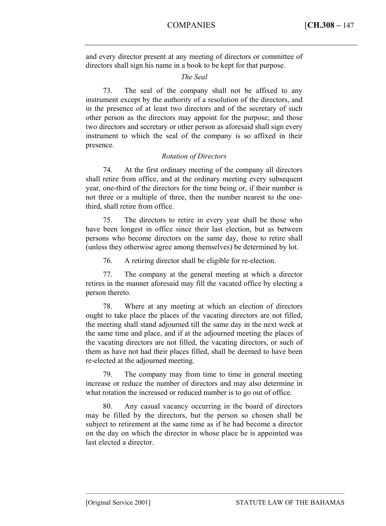and every director present at any meeting of directors or committee of directors shall sign his name in a book to be kept for that purpose.

## *The Seal*

73. The seal of the company shall not be affixed to any instrument except by the authority of a resolution of the directors, and in the presence of at least two directors and of the secretary of such other person as the directors may appoint for the purpose; and those two directors and secretary or other person as aforesaid shall sign every instrument to which the seal of the company is so affixed in their presence.

## *Rotation of Directors*

74. At the first ordinary meeting of the company all directors shall retire from office, and at the ordinary meeting every subsequent year, one-third of the directors for the time being or, if their number is not three or a multiple of three, then the number nearest to the onethird, shall retire from office.

75. The directors to retire in every year shall be those who have been longest in office since their last election, but as between persons who become directors on the same day, those to retire shall (unless they otherwise agree among themselves) be determined by lot.

76. A retiring director shall be eligible for re-election.

77. The company at the general meeting at which a director retires in the manner aforesaid may fill the vacated office by electing a person thereto.

78. Where at any meeting at which an election of directors ought to take place the places of the vacating directors are not filled, the meeting shall stand adjourned till the same day in the next week at the same time and place, and if at the adjourned meeting the places of the vacating directors are not filled, the vacating directors, or such of them as have not had their places filled, shall be deemed to have been re-elected at the adjourned meeting.

79. The company may from time to time in general meeting increase or reduce the number of directors and may also determine in what rotation the increased or reduced number is to go out of office.

80. Any casual vacancy occurring in the board of directors may be filled by the directors, but the person so chosen shall be subject to retirement at the same time as if he had become a director on the day on which the director in whose place he is appointed was last elected a director.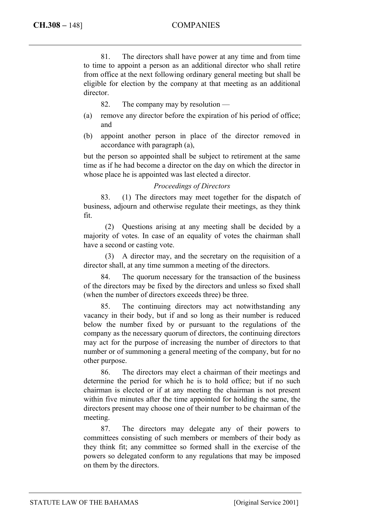81. The directors shall have power at any time and from time to time to appoint a person as an additional director who shall retire from office at the next following ordinary general meeting but shall be eligible for election by the company at that meeting as an additional director.

82. The company may by resolution —

- (a) remove any director before the expiration of his period of office; and
- (b) appoint another person in place of the director removed in accordance with paragraph (a),

but the person so appointed shall be subject to retirement at the same time as if he had become a director on the day on which the director in whose place he is appointed was last elected a director.

#### *Proceedings of Directors*

83. (1) The directors may meet together for the dispatch of business, adjourn and otherwise regulate their meetings, as they think fit.

(2) Questions arising at any meeting shall be decided by a majority of votes. In case of an equality of votes the chairman shall have a second or casting vote.

(3) A director may, and the secretary on the requisition of a director shall, at any time summon a meeting of the directors.

84. The quorum necessary for the transaction of the business of the directors may be fixed by the directors and unless so fixed shall (when the number of directors exceeds three) be three.

85. The continuing directors may act notwithstanding any vacancy in their body, but if and so long as their number is reduced below the number fixed by or pursuant to the regulations of the company as the necessary quorum of directors, the continuing directors may act for the purpose of increasing the number of directors to that number or of summoning a general meeting of the company, but for no other purpose.

86. The directors may elect a chairman of their meetings and determine the period for which he is to hold office; but if no such chairman is elected or if at any meeting the chairman is not present within five minutes after the time appointed for holding the same, the directors present may choose one of their number to be chairman of the meeting.

87. The directors may delegate any of their powers to committees consisting of such members or members of their body as they think fit; any committee so formed shall in the exercise of the powers so delegated conform to any regulations that may be imposed on them by the directors.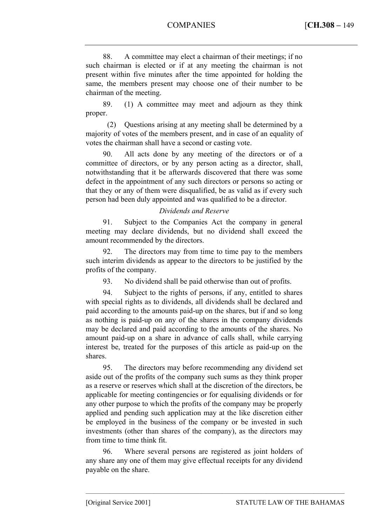88. A committee may elect a chairman of their meetings; if no such chairman is elected or if at any meeting the chairman is not present within five minutes after the time appointed for holding the same, the members present may choose one of their number to be chairman of the meeting.

89. (1) A committee may meet and adjourn as they think proper.

(2) Questions arising at any meeting shall be determined by a majority of votes of the members present, and in case of an equality of votes the chairman shall have a second or casting vote.

90. All acts done by any meeting of the directors or of a committee of directors, or by any person acting as a director, shall, notwithstanding that it be afterwards discovered that there was some defect in the appointment of any such directors or persons so acting or that they or any of them were disqualified, be as valid as if every such person had been duly appointed and was qualified to be a director.

### *Dividends and Reserve*

91. Subject to the Companies Act the company in general meeting may declare dividends, but no dividend shall exceed the amount recommended by the directors.

92. The directors may from time to time pay to the members such interim dividends as appear to the directors to be justified by the profits of the company.

93. No dividend shall be paid otherwise than out of profits.

94. Subject to the rights of persons, if any, entitled to shares with special rights as to dividends, all dividends shall be declared and paid according to the amounts paid-up on the shares, but if and so long as nothing is paid-up on any of the shares in the company dividends may be declared and paid according to the amounts of the shares. No amount paid-up on a share in advance of calls shall, while carrying interest be, treated for the purposes of this article as paid-up on the shares.

95. The directors may before recommending any dividend set aside out of the profits of the company such sums as they think proper as a reserve or reserves which shall at the discretion of the directors, be applicable for meeting contingencies or for equalising dividends or for any other purpose to which the profits of the company may be properly applied and pending such application may at the like discretion either be employed in the business of the company or be invested in such investments (other than shares of the company), as the directors may from time to time think fit.

96. Where several persons are registered as joint holders of any share any one of them may give effectual receipts for any dividend payable on the share.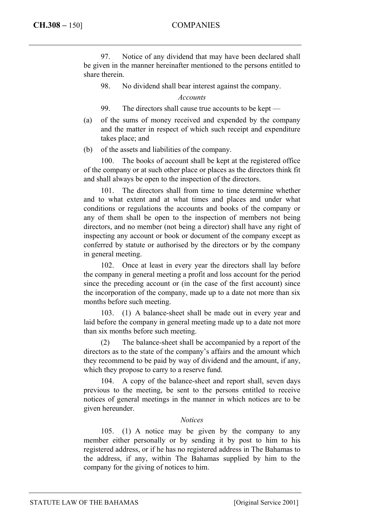97. Notice of any dividend that may have been declared shall be given in the manner hereinafter mentioned to the persons entitled to share therein.

98. No dividend shall bear interest against the company.

*Accounts* 

- 99. The directors shall cause true accounts to be kept —
- (a) of the sums of money received and expended by the company and the matter in respect of which such receipt and expenditure takes place; and
- (b) of the assets and liabilities of the company.

100. The books of account shall be kept at the registered office of the company or at such other place or places as the directors think fit and shall always be open to the inspection of the directors.

101. The directors shall from time to time determine whether and to what extent and at what times and places and under what conditions or regulations the accounts and books of the company or any of them shall be open to the inspection of members not being directors, and no member (not being a director) shall have any right of inspecting any account or book or document of the company except as conferred by statute or authorised by the directors or by the company in general meeting.

102. Once at least in every year the directors shall lay before the company in general meeting a profit and loss account for the period since the preceding account or (in the case of the first account) since the incorporation of the company, made up to a date not more than six months before such meeting.

103. (1) A balance-sheet shall be made out in every year and laid before the company in general meeting made up to a date not more than six months before such meeting.

(2) The balance-sheet shall be accompanied by a report of the directors as to the state of the company's affairs and the amount which they recommend to be paid by way of dividend and the amount, if any, which they propose to carry to a reserve fund.

104. A copy of the balance-sheet and report shall, seven days previous to the meeting, be sent to the persons entitled to receive notices of general meetings in the manner in which notices are to be given hereunder.

#### *Notices*

105. (1) A notice may be given by the company to any member either personally or by sending it by post to him to his registered address, or if he has no registered address in The Bahamas to the address, if any, within The Bahamas supplied by him to the company for the giving of notices to him.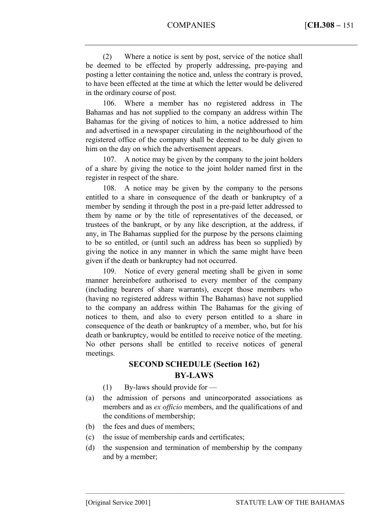(2) Where a notice is sent by post, service of the notice shall be deemed to be effected by properly addressing, pre-paying and posting a letter containing the notice and, unless the contrary is proved, to have been effected at the time at which the letter would be delivered in the ordinary course of post.

106. Where a member has no registered address in The Bahamas and has not supplied to the company an address within The Bahamas for the giving of notices to him, a notice addressed to him and advertised in a newspaper circulating in the neighbourhood of the registered office of the company shall be deemed to be duly given to him on the day on which the advertisement appears.

107. A notice may be given by the company to the joint holders of a share by giving the notice to the joint holder named first in the register in respect of the share.

108. A notice may be given by the company to the persons entitled to a share in consequence of the death or bankruptcy of a member by sending it through the post in a pre-paid letter addressed to them by name or by the title of representatives of the deceased, or trustees of the bankrupt, or by any like description, at the address, if any, in The Bahamas supplied for the purpose by the persons claiming to be so entitled, or (until such an address has been so supplied) by giving the notice in any manner in which the same might have been given if the death or bankruptcy had not occurred.

109. Notice of every general meeting shall be given in some manner hereinbefore authorised to every member of the company (including bearers of share warrants), except those members who (having no registered address within The Bahamas) have not supplied to the company an address within The Bahamas for the giving of notices to them, and also to every person entitled to a share in consequence of the death or bankruptcy of a member, who, but for his death or bankruptcy, would be entitled to receive notice of the meeting. No other persons shall be entitled to receive notices of general meetings.

# **SECOND SCHEDULE (Section 162) BY-LAWS**

- (1) By-laws should provide for —
- (a) the admission of persons and unincorporated associations as members and as *ex officio* members, and the qualifications of and the conditions of membership;
- (b) the fees and dues of members;
- (c) the issue of membership cards and certificates;
- (d) the suspension and termination of membership by the company and by a member;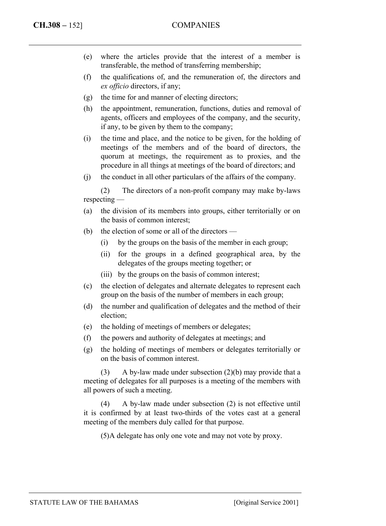- (e) where the articles provide that the interest of a member is transferable, the method of transferring membership;
- (f) the qualifications of, and the remuneration of, the directors and *ex officio* directors, if any;
- (g) the time for and manner of electing directors;
- (h) the appointment, remuneration, functions, duties and removal of agents, officers and employees of the company, and the security, if any, to be given by them to the company;
- (i) the time and place, and the notice to be given, for the holding of meetings of the members and of the board of directors, the quorum at meetings, the requirement as to proxies, and the procedure in all things at meetings of the board of directors; and
- (j) the conduct in all other particulars of the affairs of the company.

(2) The directors of a non-profit company may make by-laws respecting —

- (a) the division of its members into groups, either territorially or on the basis of common interest;
- (b) the election of some or all of the directors
	- (i) by the groups on the basis of the member in each group;
	- (ii) for the groups in a defined geographical area, by the delegates of the groups meeting together; or
	- (iii) by the groups on the basis of common interest;
- (c) the election of delegates and alternate delegates to represent each group on the basis of the number of members in each group;
- (d) the number and qualification of delegates and the method of their election;
- (e) the holding of meetings of members or delegates;
- (f) the powers and authority of delegates at meetings; and
- (g) the holding of meetings of members or delegates territorially or on the basis of common interest.

(3) A by-law made under subsection (2)(b) may provide that a meeting of delegates for all purposes is a meeting of the members with all powers of such a meeting.

(4) A by-law made under subsection (2) is not effective until it is confirmed by at least two-thirds of the votes cast at a general meeting of the members duly called for that purpose.

(5) A delegate has only one vote and may not vote by proxy.